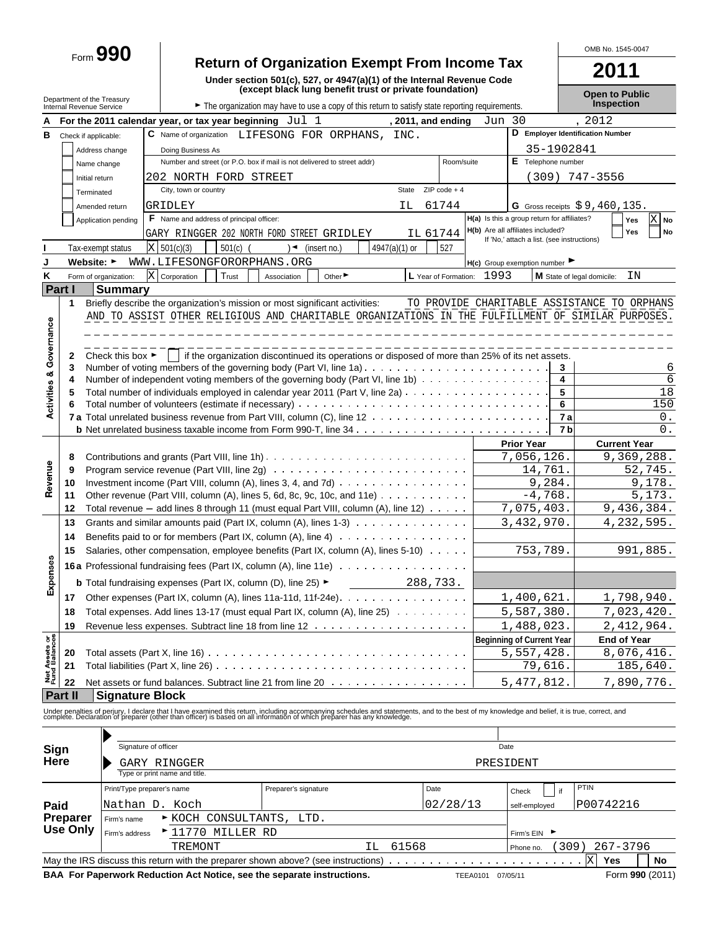# Form **990 Return of Organization Exempt From Income Tax**

**Under section 501(c), 527, or 4947(a)(1) of the Internal Revenue Code**

**2011**

OMB No. 1545-0047

|                                |                                                        |                                                                           |                                                                                                                                                                                                                                   | (except black lung benefit trust or private foundation)                                         |               |                      |           |                                                |                | <b>Open to Public</b>                       |        |
|--------------------------------|--------------------------------------------------------|---------------------------------------------------------------------------|-----------------------------------------------------------------------------------------------------------------------------------------------------------------------------------------------------------------------------------|-------------------------------------------------------------------------------------------------|---------------|----------------------|-----------|------------------------------------------------|----------------|---------------------------------------------|--------|
|                                | Department of the Treasury<br>Internal Revenue Service |                                                                           |                                                                                                                                                                                                                                   | The organization may have to use a copy of this return to satisfy state reporting requirements. |               |                      |           |                                                |                |                                             |        |
|                                |                                                        |                                                                           | For the 2011 calendar year, or tax year beginning $Jul 1$                                                                                                                                                                         |                                                                                                 |               | , 2011, and ending   | Jun 30    |                                                |                | 2012                                        |        |
| в                              | Check if applicable:                                   |                                                                           | C Name of organization LIFESONG FOR ORPHANS, INC.                                                                                                                                                                                 |                                                                                                 |               |                      |           |                                                |                | D Employer Identification Number            |        |
|                                |                                                        | Address change                                                            | Doing Business As                                                                                                                                                                                                                 |                                                                                                 |               |                      |           |                                                | 35-1902841     |                                             |        |
|                                | Name change                                            |                                                                           |                                                                                                                                                                                                                                   | Number and street (or P.O. box if mail is not delivered to street addr)                         |               | Room/suite           |           | E Telephone number                             |                |                                             |        |
|                                | Initial return                                         |                                                                           | 202 NORTH FORD STREET                                                                                                                                                                                                             |                                                                                                 |               |                      |           |                                                |                | $(309)$ 747-3556                            |        |
|                                | Terminated                                             |                                                                           | City, town or country                                                                                                                                                                                                             |                                                                                                 | State         | $ZIP code + 4$       |           |                                                |                |                                             |        |
|                                |                                                        |                                                                           | GRIDLEY                                                                                                                                                                                                                           |                                                                                                 | ΙL.           | 61744                |           |                                                |                | G Gross receipts $$9,460,135$ .             |        |
|                                |                                                        | Amended return                                                            | F Name and address of principal officer:                                                                                                                                                                                          |                                                                                                 |               |                      |           | H(a) Is this a group return for affiliates?    |                |                                             | X No   |
|                                |                                                        | Application pending                                                       |                                                                                                                                                                                                                                   |                                                                                                 |               | IL 61744             |           | H(b) Are all affiliates included?              |                | Yes<br>Yes                                  | No     |
|                                |                                                        |                                                                           | GARY RINGGER 202 NORTH FORD STREET GRIDLEY                                                                                                                                                                                        |                                                                                                 |               |                      |           | If 'No,' attach a list. (see instructions)     |                |                                             |        |
|                                |                                                        | Tax-exempt status                                                         | X   501(c)(3)<br>$501(c)$ (                                                                                                                                                                                                       | (insert no.)<br>) ◄                                                                             | 4947(a)(1) or | 527                  |           |                                                |                |                                             |        |
| J                              | Website: ►                                             |                                                                           | WWW.LIFESONGFORORPHANS.ORG                                                                                                                                                                                                        |                                                                                                 |               |                      |           | $H(c)$ Group exemption number                  |                |                                             |        |
| κ                              |                                                        | Form of organization:                                                     | X Corporation<br>Trust                                                                                                                                                                                                            | Other <sup>&gt;</sup><br>Association                                                            |               | L Year of Formation: | 1993      |                                                |                | ΙN<br>M State of legal domicile:            |        |
| Part I                         |                                                        | <b>Summary</b>                                                            |                                                                                                                                                                                                                                   |                                                                                                 |               |                      |           |                                                |                |                                             |        |
|                                | 1                                                      |                                                                           | Briefly describe the organization's mission or most significant activities:                                                                                                                                                       |                                                                                                 |               |                      |           |                                                |                | TO PROVIDE CHARITABLE ASSISTANCE TO ORPHANS |        |
|                                |                                                        |                                                                           | AND TO ASSIST OTHER RELIGIOUS AND CHARITABLE ORGANIZATIONS IN THE FULFILLMENT OF SIMILAR PURPOSES.                                                                                                                                |                                                                                                 |               |                      |           |                                                |                |                                             |        |
| Activities & Governance        |                                                        |                                                                           |                                                                                                                                                                                                                                   |                                                                                                 |               |                      |           |                                                |                |                                             |        |
|                                |                                                        | Check this box $\blacktriangleright$                                      |                                                                                                                                                                                                                                   | if the organization discontinued its operations or disposed of more than 25% of its net assets. |               |                      |           |                                                |                |                                             |        |
|                                | 2<br>3                                                 |                                                                           |                                                                                                                                                                                                                                   |                                                                                                 |               |                      |           |                                                | 3              |                                             | 6      |
|                                | 4                                                      |                                                                           | Number of independent voting members of the governing body (Part VI, line 1b)                                                                                                                                                     |                                                                                                 |               |                      |           |                                                | 4              |                                             | 6      |
|                                | 5                                                      |                                                                           |                                                                                                                                                                                                                                   |                                                                                                 |               |                      |           |                                                | 5              |                                             | 18     |
|                                | 6                                                      |                                                                           |                                                                                                                                                                                                                                   |                                                                                                 |               |                      |           |                                                | 6              |                                             | 150    |
|                                |                                                        |                                                                           |                                                                                                                                                                                                                                   |                                                                                                 |               |                      |           |                                                | 7a             |                                             | 0.     |
|                                |                                                        |                                                                           |                                                                                                                                                                                                                                   |                                                                                                 |               |                      |           |                                                | 7 <sub>b</sub> |                                             | $0$ .  |
|                                |                                                        |                                                                           |                                                                                                                                                                                                                                   |                                                                                                 |               |                      |           | <b>Prior Year</b>                              |                | <b>Current Year</b>                         |        |
|                                | 8                                                      |                                                                           |                                                                                                                                                                                                                                   |                                                                                                 |               |                      |           | 7,056,126.                                     |                | 9,369,288.                                  |        |
|                                | 9                                                      |                                                                           |                                                                                                                                                                                                                                   |                                                                                                 |               |                      |           | 14,761.                                        |                | 52,745.                                     |        |
| Revenue                        | 10                                                     |                                                                           | Investment income (Part VIII, column (A), lines 3, 4, and 7d) $\ldots$ ,                                                                                                                                                          |                                                                                                 |               |                      |           | 9,284.                                         |                |                                             | 9,178. |
|                                | 11                                                     |                                                                           | Other revenue (Part VIII, column (A), lines 5, 6d, 8c, 9c, 10c, and 11e) $\ldots \ldots \ldots$                                                                                                                                   |                                                                                                 |               |                      |           | $-4,768.$                                      |                |                                             | 5,173. |
|                                | 12                                                     |                                                                           | Total revenue $-$ add lines 8 through 11 (must equal Part VIII, column (A), line 12) $\cdots$                                                                                                                                     |                                                                                                 |               |                      |           | 7,075,403.                                     |                | 9,436,384.                                  |        |
|                                | 13                                                     |                                                                           | Grants and similar amounts paid (Part IX, column (A), lines $1-3$ ) $\ldots$                                                                                                                                                      |                                                                                                 |               |                      |           | 3,432,970.                                     |                | 4, 232, 595.                                |        |
|                                | 14                                                     | Benefits paid to or for members (Part IX, column (A), line $4$ ) $\cdots$ |                                                                                                                                                                                                                                   |                                                                                                 |               |                      |           |                                                |                |                                             |        |
|                                | 15                                                     |                                                                           | Salaries, other compensation, employee benefits (Part IX, column (A), lines 5-10)                                                                                                                                                 |                                                                                                 |               |                      |           | 753,789.                                       |                | 991,885.                                    |        |
|                                |                                                        |                                                                           | 16a Professional fundraising fees (Part IX, column (A), line 11e)                                                                                                                                                                 |                                                                                                 |               |                      |           |                                                |                |                                             |        |
| Expenses                       |                                                        |                                                                           | <b>b</b> Total fundraising expenses (Part IX, column (D), line 25) $\blacktriangleright$                                                                                                                                          |                                                                                                 |               | 288,733.             |           |                                                |                |                                             |        |
|                                |                                                        |                                                                           | 17 Other expenses (Part IX, column (A), lines 11a-11d, 11f-24e).                                                                                                                                                                  |                                                                                                 |               |                      |           | 1,400,621.                                     |                | 1,798,940.                                  |        |
|                                |                                                        |                                                                           | 18 Total expenses. Add lines 13-17 (must equal Part IX, column (A), line 25)                                                                                                                                                      |                                                                                                 |               |                      |           | 5,587,380.                                     |                | 7,023,420.                                  |        |
|                                |                                                        |                                                                           |                                                                                                                                                                                                                                   |                                                                                                 |               |                      |           |                                                |                |                                             |        |
|                                | 19                                                     |                                                                           |                                                                                                                                                                                                                                   |                                                                                                 |               |                      |           | 1,488,023.                                     |                | 2,412,964.<br><b>End of Year</b>            |        |
| Net Assets or<br>Fund Balances |                                                        |                                                                           |                                                                                                                                                                                                                                   |                                                                                                 |               |                      |           | <b>Beginning of Current Year</b><br>5,557,428. |                | 8,076,416.                                  |        |
|                                | 20<br>21                                               |                                                                           |                                                                                                                                                                                                                                   |                                                                                                 |               |                      |           | 79,616.                                        |                | 185,640.                                    |        |
|                                |                                                        |                                                                           |                                                                                                                                                                                                                                   |                                                                                                 |               |                      |           |                                                |                |                                             |        |
|                                | 22                                                     |                                                                           | Net assets or fund balances. Subtract line 21 from line 20                                                                                                                                                                        |                                                                                                 |               |                      |           | 5,477,812.                                     |                | 7,890,776.                                  |        |
|                                | Part II                                                | <b>Signature Block</b>                                                    |                                                                                                                                                                                                                                   |                                                                                                 |               |                      |           |                                                |                |                                             |        |
|                                |                                                        |                                                                           | Under penalties of perjury, I declare that I have examined this return, including accompanying schedules and statements, and to the best of my knowledge and belief, it is true, correct, and<br>complete. Declaration of prepare |                                                                                                 |               |                      |           |                                                |                |                                             |        |
|                                |                                                        |                                                                           |                                                                                                                                                                                                                                   |                                                                                                 |               |                      |           |                                                |                |                                             |        |
| Sign                           |                                                        |                                                                           | Signature of officer                                                                                                                                                                                                              |                                                                                                 |               |                      | Date      |                                                |                |                                             |        |
| <b>Here</b>                    |                                                        |                                                                           |                                                                                                                                                                                                                                   |                                                                                                 |               |                      | PRESIDENT |                                                |                |                                             |        |
|                                |                                                        |                                                                           | GARY RINGGER<br>Type or print name and title.                                                                                                                                                                                     |                                                                                                 |               |                      |           |                                                |                |                                             |        |
|                                |                                                        |                                                                           | Print/Type preparer's name                                                                                                                                                                                                        | Preparer's signature                                                                            |               | Date                 |           |                                                |                | PTIN                                        |        |
|                                |                                                        |                                                                           |                                                                                                                                                                                                                                   |                                                                                                 |               |                      |           | Check                                          | if             |                                             |        |
| Paid                           |                                                        |                                                                           | Nathan D. Koch                                                                                                                                                                                                                    |                                                                                                 |               | 02/28/13             |           | self-employed                                  |                | P00742216                                   |        |
|                                | <b>Preparer</b><br>Use Only                            | Firm's name                                                               | ► KOCH CONSULTANTS,                                                                                                                                                                                                               | LTD.                                                                                            |               |                      |           |                                                |                |                                             |        |
|                                |                                                        | Firm's address                                                            | ►11770 MILLER RD                                                                                                                                                                                                                  |                                                                                                 |               |                      |           | Firm's EIN                                     |                |                                             |        |
|                                |                                                        |                                                                           | TREMONT                                                                                                                                                                                                                           |                                                                                                 | 61568<br>ΙL   |                      |           | Phone no.                                      | (309)          | 267-3796                                    |        |

May the IRS discuss this return with the preparer shown above? (see instructions)  $\ldots \ldots \ldots \ldots \ldots \ldots \ldots \ldots \times X$  Yes **BAA For Paperwork Reduction Act Notice, see the separate instructions.** TEEA0101 07/05/11 Form 990 (2011) X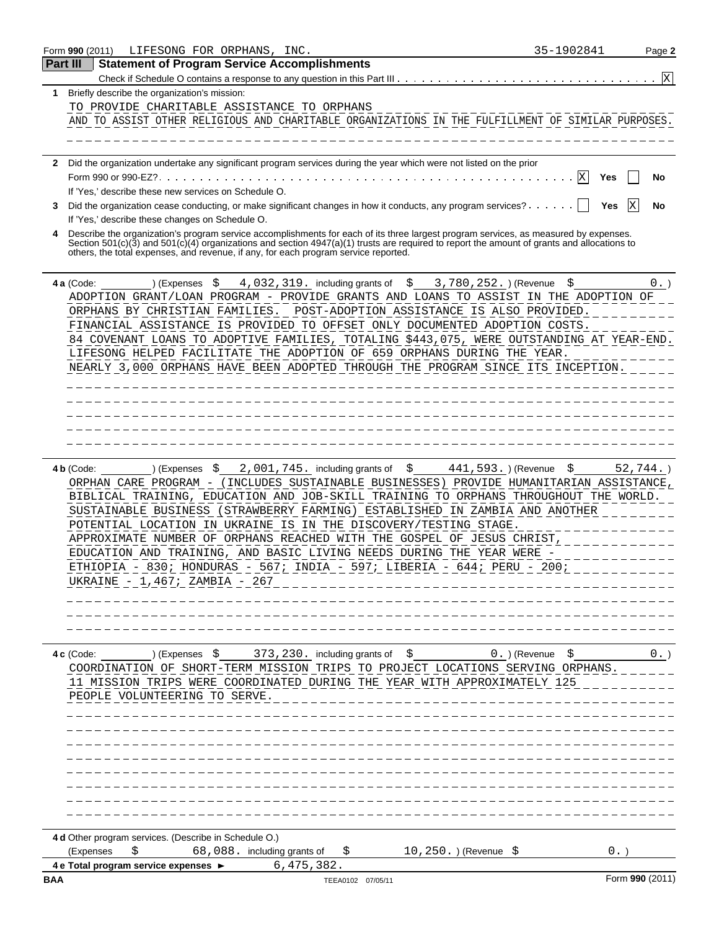|             | Form 990 (2011)                                                                                                                                                                                                                                                                                                                                                                                                                                                                                                                                                                               | LIFESONG FOR ORPHANS, INC. |                             |                                                       |                   |                                   |                                             | 35-1902841 |                 | Page 2 |
|-------------|-----------------------------------------------------------------------------------------------------------------------------------------------------------------------------------------------------------------------------------------------------------------------------------------------------------------------------------------------------------------------------------------------------------------------------------------------------------------------------------------------------------------------------------------------------------------------------------------------|----------------------------|-----------------------------|-------------------------------------------------------|-------------------|-----------------------------------|---------------------------------------------|------------|-----------------|--------|
| Part III    |                                                                                                                                                                                                                                                                                                                                                                                                                                                                                                                                                                                               |                            |                             | <b>Statement of Program Service Accomplishments</b>   |                   |                                   |                                             |            |                 |        |
|             |                                                                                                                                                                                                                                                                                                                                                                                                                                                                                                                                                                                               |                            |                             |                                                       |                   |                                   |                                             |            |                 | X      |
| $\mathbf 1$ | Briefly describe the organization's mission:                                                                                                                                                                                                                                                                                                                                                                                                                                                                                                                                                  |                            |                             |                                                       |                   |                                   |                                             |            |                 |        |
|             | TO PROVIDE CHARITABLE ASSISTANCE TO ORPHANS                                                                                                                                                                                                                                                                                                                                                                                                                                                                                                                                                   |                            |                             |                                                       |                   |                                   |                                             |            |                 |        |
|             | AND TO ASSIST OTHER RELIGIOUS AND CHARITABLE ORGANIZATIONS IN THE FULFILLMENT OF SIMILAR PURPOSES.                                                                                                                                                                                                                                                                                                                                                                                                                                                                                            |                            |                             |                                                       |                   |                                   |                                             |            |                 |        |
|             |                                                                                                                                                                                                                                                                                                                                                                                                                                                                                                                                                                                               |                            |                             |                                                       |                   |                                   |                                             |            |                 |        |
|             | 2 Did the organization undertake any significant program services during the year which were not listed on the prior                                                                                                                                                                                                                                                                                                                                                                                                                                                                          |                            |                             |                                                       |                   |                                   |                                             |            |                 |        |
|             |                                                                                                                                                                                                                                                                                                                                                                                                                                                                                                                                                                                               |                            |                             |                                                       |                   |                                   |                                             | Χ<br>Yes   |                 | No     |
|             | If 'Yes,' describe these new services on Schedule O.                                                                                                                                                                                                                                                                                                                                                                                                                                                                                                                                          |                            |                             |                                                       |                   |                                   |                                             |            |                 |        |
| 3           | Did the organization cease conducting, or make significant changes in how it conducts, any program services? $\cdots$                                                                                                                                                                                                                                                                                                                                                                                                                                                                         |                            |                             |                                                       |                   |                                   |                                             | Yes        | X               | No     |
|             | If 'Yes,' describe these changes on Schedule O.                                                                                                                                                                                                                                                                                                                                                                                                                                                                                                                                               |                            |                             |                                                       |                   |                                   |                                             |            |                 |        |
|             | Describe the organization's program service accomplishments for each of its three largest program services, as measured by expenses.                                                                                                                                                                                                                                                                                                                                                                                                                                                          |                            |                             |                                                       |                   |                                   |                                             |            |                 |        |
|             | Section 501(c)(3) and 501(c)(4) organizations and section 4947(a)(1) trusts are required to report the amount of grants and allocations to<br>others, the total expenses, and revenue, if any, for each program service reported.                                                                                                                                                                                                                                                                                                                                                             |                            |                             |                                                       |                   |                                   |                                             |            |                 |        |
|             |                                                                                                                                                                                                                                                                                                                                                                                                                                                                                                                                                                                               |                            |                             |                                                       |                   |                                   |                                             |            |                 |        |
|             | 4 a (Code:                                                                                                                                                                                                                                                                                                                                                                                                                                                                                                                                                                                    | \$<br>) (Expenses          |                             | $4,032,319$ . including grants of $$$                 |                   |                                   | 3,780,252.) (Revenue                        | \$         |                 | $0.$ ) |
|             | ADOPTION GRANT/LOAN PROGRAM - PROVIDE GRANTS AND LOANS TO ASSIST IN THE ADOPTION OF                                                                                                                                                                                                                                                                                                                                                                                                                                                                                                           |                            |                             |                                                       |                   |                                   |                                             |            |                 |        |
|             | ORPHANS BY CHRISTIAN FAMILIES. POST-ADOPTION ASSISTANCE IS ALSO PROVIDED.                                                                                                                                                                                                                                                                                                                                                                                                                                                                                                                     |                            |                             |                                                       |                   |                                   |                                             |            |                 |        |
|             | FINANCIAL ASSISTANCE IS PROVIDED TO OFFSET ONLY DOCUMENTED ADOPTION COSTS.                                                                                                                                                                                                                                                                                                                                                                                                                                                                                                                    |                            |                             |                                                       |                   |                                   |                                             |            |                 |        |
|             | 84 COVENANT LOANS TO ADOPTIVE FAMILIES, TOTALING \$443,075, WERE OUTSTANDING AT YEAR-END.                                                                                                                                                                                                                                                                                                                                                                                                                                                                                                     |                            |                             |                                                       |                   |                                   |                                             |            |                 |        |
|             | LIFESONG HELPED FACILITATE THE ADOPTION OF 659 ORPHANS DURING THE YEAR.                                                                                                                                                                                                                                                                                                                                                                                                                                                                                                                       |                            |                             |                                                       |                   |                                   |                                             |            |                 |        |
|             | NEARLY 3,000 ORPHANS HAVE BEEN ADOPTED THROUGH THE PROGRAM SINCE ITS INCEPTION.                                                                                                                                                                                                                                                                                                                                                                                                                                                                                                               |                            |                             |                                                       |                   |                                   |                                             |            |                 |        |
|             |                                                                                                                                                                                                                                                                                                                                                                                                                                                                                                                                                                                               |                            |                             |                                                       |                   |                                   |                                             |            |                 |        |
|             |                                                                                                                                                                                                                                                                                                                                                                                                                                                                                                                                                                                               |                            |                             |                                                       |                   |                                   |                                             |            |                 |        |
|             |                                                                                                                                                                                                                                                                                                                                                                                                                                                                                                                                                                                               |                            |                             |                                                       |                   |                                   |                                             |            |                 |        |
|             |                                                                                                                                                                                                                                                                                                                                                                                                                                                                                                                                                                                               |                            |                             |                                                       |                   |                                   |                                             |            |                 |        |
|             |                                                                                                                                                                                                                                                                                                                                                                                                                                                                                                                                                                                               |                            |                             |                                                       |                   |                                   |                                             |            |                 |        |
|             | 4 b (Code:<br>ORPHAN CARE PROGRAM - (INCLUDES SUSTAINABLE BUSINESSES) PROVIDE HUMANITARIAN ASSISTANCE,<br>BIBLICAL TRAINING, EDUCATION AND JOB-SKILL TRAINING TO ORPHANS THROUGHOUT THE WORLD.<br>SUSTAINABLE BUSINESS (STRAWBERRY FARMING) ESTABLISHED IN ZAMBIA AND ANOTHER<br>POTENTIAL LOCATION IN UKRAINE IS IN THE DISCOVERY/TESTING STAGE.<br>APPROXIMATE NUMBER OF ORPHANS REACHED WITH THE GOSPEL OF JESUS CHRIST,<br>EDUCATION AND TRAINING, AND BASIC LIVING NEEDS DURING THE YEAR WERE -<br>ETHIOPIA - 830; HONDURAS - 567; INDIA - 597; LIBERIA<br>UKRAINE - 1,467; ZAMBIA - 267 | ) (Expenses<br>- \$        |                             | 2,001,745. including grants of                        |                   | \$                                | 441, 593. ) (Revenue<br>- 644; PERU<br>200; | \$         | $52,744.$ )     |        |
|             | 4 c (Code:<br>COORDINATION OF SHORT-TERM MISSION TRIPS TO PROJECT LOCATIONS SERVING ORPHANS.<br>11 MISSION TRIPS WERE COORDINATED DURING THE YEAR WITH APPROXIMATELY 125<br>PEOPLE VOLUNTEERING TO SERVE.                                                                                                                                                                                                                                                                                                                                                                                     |                            |                             | $(1)$ (Expenses $\,$ \$ 373, 230. including grants of |                   | S.                                | $0.$ ) (Revenue                             | \$         |                 | 0.     |
|             | 4 d Other program services. (Describe in Schedule O.)<br>(Expenses<br>\$                                                                                                                                                                                                                                                                                                                                                                                                                                                                                                                      |                            | 68,088. including grants of |                                                       | \$.               | 10, 250. ) (Revenue $\frac{1}{2}$ |                                             |            | 0.              |        |
|             | 4 e Total program service expenses ►                                                                                                                                                                                                                                                                                                                                                                                                                                                                                                                                                          |                            |                             | 6,475,382.                                            |                   |                                   |                                             |            |                 |        |
| BAA         |                                                                                                                                                                                                                                                                                                                                                                                                                                                                                                                                                                                               |                            |                             |                                                       | TEEA0102 07/05/11 |                                   |                                             |            | Form 990 (2011) |        |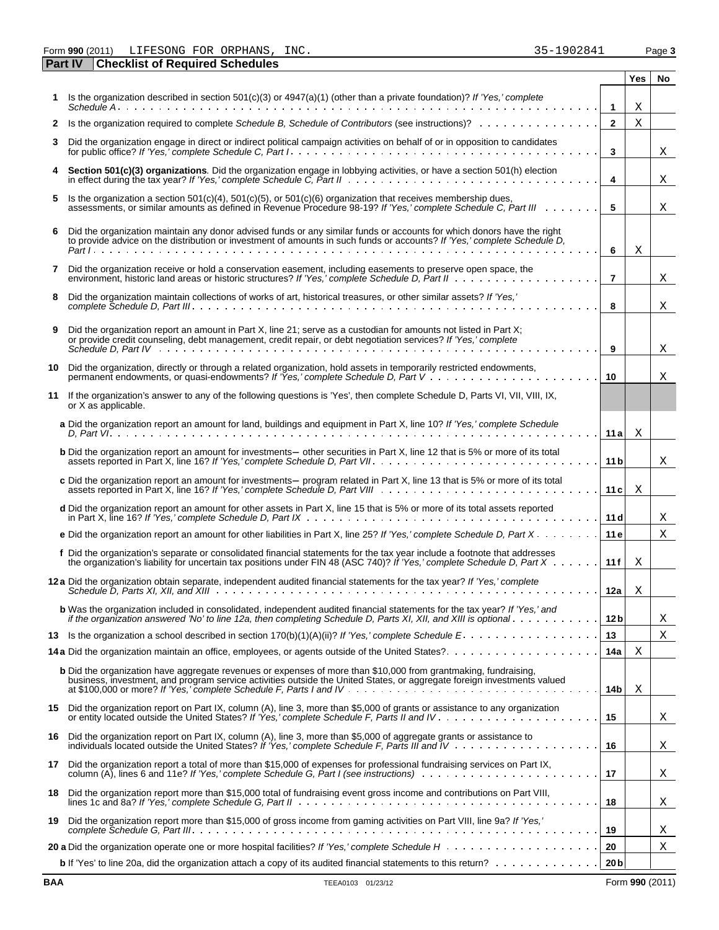Form **990** (2011) Page **3** LIFESONG FOR ORPHANS, INC. 35-1902841

|    | <b>Checklist of Required Schedules</b><br><b>Part IV</b>                                                                                                                                                                                                                  |                 |     |    |
|----|---------------------------------------------------------------------------------------------------------------------------------------------------------------------------------------------------------------------------------------------------------------------------|-----------------|-----|----|
|    |                                                                                                                                                                                                                                                                           |                 | Yes | No |
|    | Is the organization described in section $501(c)(3)$ or $4947(a)(1)$ (other than a private foundation)? If 'Yes,' complete                                                                                                                                                |                 |     |    |
|    |                                                                                                                                                                                                                                                                           | $\mathbf{1}$    | Χ   |    |
| 2  |                                                                                                                                                                                                                                                                           | $\mathbf{2}$    | Χ   |    |
| 3  | Did the organization engage in direct or indirect political campaign activities on behalf of or in opposition to candidates                                                                                                                                               | 3               |     | Χ  |
|    | Section 501(c)(3) organizations. Did the organization engage in lobbying activities, or have a section 501(h) election in effect during the tax year? If 'Yes,' complete Schedule C, Part II                                                                              | 4               |     | X  |
| 5. | Is the organization a section $501(c)(4)$ , $501(c)(5)$ , or $501(c)(6)$ organization that receives membership dues,<br>assessments, or similar amounts as defined in Revenue Procedure 98-19? If 'Yes,' complete Schedule C, Part III                                    | 5               |     | Χ  |
| 6  | Did the organization maintain any donor advised funds or any similar funds or accounts for which donors have the right<br>to provide advice on the distribution or investment of amounts in such funds or accounts? If 'Yes,' complete Schedule D,                        | 6               | Χ   |    |
| 7  | Did the organization receive or hold a conservation easement, including easements to preserve open space, the<br>environment, historic land areas or historic structures? If 'Yes,' complete Schedule D, Part II                                                          | $\overline{7}$  |     | Χ  |
| 8  | Did the organization maintain collections of works of art, historical treasures, or other similar assets? If 'Yes,'                                                                                                                                                       | 8               |     | Χ  |
| 9  | Did the organization report an amount in Part X, line 21; serve as a custodian for amounts not listed in Part X;<br>or provide credit counseling, debt management, credit repair, or debt negotiation services? If 'Yes,' complete                                        | 9               |     | Χ  |
| 10 | Did the organization, directly or through a related organization, hold assets in temporarily restricted endowments,<br>permanent endowments, or quasi-endowments? If 'Yes,' complete Schedule D, Part V                                                                   | 10              |     | Χ  |
| 11 | If the organization's answer to any of the following questions is 'Yes', then complete Schedule D, Parts VI, VII, VIII, IX,<br>or X as applicable.                                                                                                                        |                 |     |    |
|    | a Did the organization report an amount for land, buildings and equipment in Part X, line 10? If 'Yes,' complete Schedule                                                                                                                                                 | 11a             | X   |    |
|    | <b>b</b> Did the organization report an amount for investments- other securities in Part X, line 12 that is 5% or more of its total                                                                                                                                       | 11 <sub>b</sub> |     | X  |
|    | c Did the organization report an amount for investments- program related in Part X, line 13 that is 5% or more of its total                                                                                                                                               | 11c             | X   |    |
|    | d Did the organization report an amount for other assets in Part X, line 15 that is 5% or more of its total assets reported                                                                                                                                               | 11d             |     | Χ  |
|    | e Did the organization report an amount for other liabilities in Part X, line 25? If 'Yes,' complete Schedule D, Part X                                                                                                                                                   | 11e             |     | Χ  |
|    | f Did the organization's separate or consolidated financial statements for the tax year include a footnote that addresses<br>the organization's liability for uncertain tax positions under FIN 48 (ASC 740)? If 'Yes,' complete Schedule D, Part X                       | 11f             | X   |    |
|    | 12 a Did the organization obtain separate, independent audited financial statements for the tax year? If 'Yes,' complete                                                                                                                                                  | 12a             | Χ   |    |
|    | <b>b</b> Was the organization included in consolidated, independent audited financial statements for the tax year? If 'Yes,' and<br>if the organization answered 'No' to line 12a, then completing Schedule D, Parts XI, XII, and XIII is optional $\ldots \ldots \ldots$ | 12 <sub>b</sub> |     | Χ  |
|    |                                                                                                                                                                                                                                                                           | 13              |     | Χ  |
|    |                                                                                                                                                                                                                                                                           | 14a             | Χ   |    |
|    | <b>b</b> Did the organization have aggregate revenues or expenses of more than \$10,000 from grantmaking, fundraising,<br>business, investment, and program service activities outside the United States, or aggregate foreign investments valued                         | 14b             | Χ   |    |
|    | 15 Did the organization report on Part IX, column (A), line 3, more than \$5,000 of grants or assistance to any organization                                                                                                                                              | 15              |     | Χ  |
|    | 16 Did the organization report on Part IX, column (A), line 3, more than \$5,000 of aggregate grants or assistance to individuals located outside the United States? If 'Yes,' complete Schedule F, Parts III and IV                                                      | 16              |     | Χ  |
|    | 17 Did the organization report a total of more than \$15,000 of expenses for professional fundraising services on Part IX,<br>column (A), lines 6 and 11e? If 'Yes,' complete Schedule G, Part I (see instructions)                                                       | 17              |     | X  |
|    | 18 Did the organization report more than \$15,000 total of fundraising event gross income and contributions on Part VIII,                                                                                                                                                 | 18              |     | Χ  |
| 19 | Did the organization report more than \$15,000 of gross income from gaming activities on Part VIII, line 9a? If 'Yes,'                                                                                                                                                    | 19              |     | X  |
|    |                                                                                                                                                                                                                                                                           | 20              |     | Χ  |
|    |                                                                                                                                                                                                                                                                           | 20 <sub>b</sub> |     |    |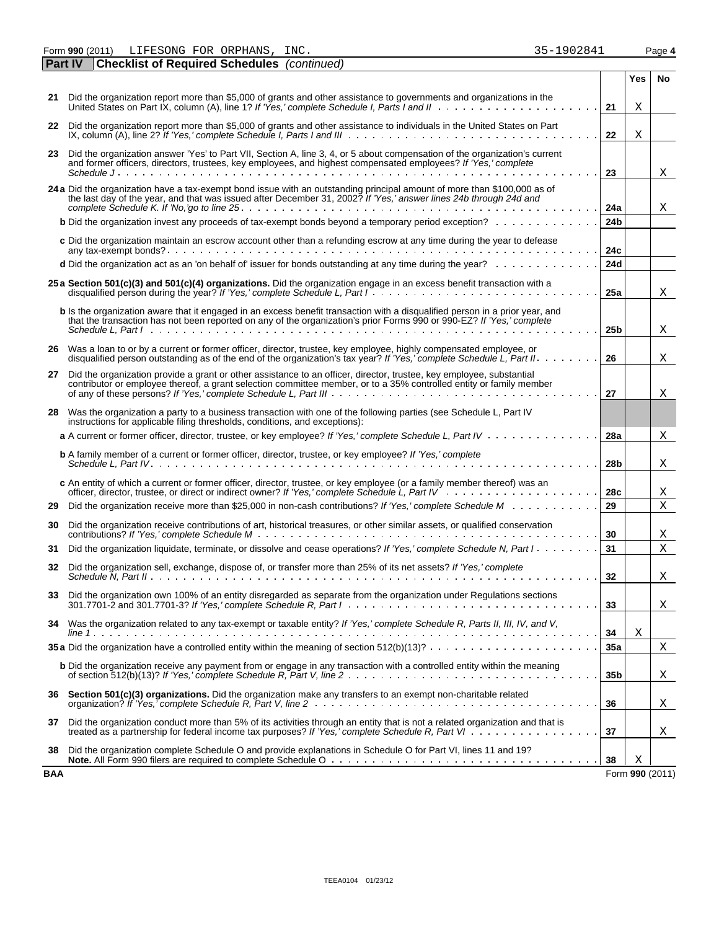Form **990** (2011) Page **4** LIFESONG FOR ORPHANS, INC. 35-1902841

| <b>Part IV</b> | <b>Checklist of Required Schedules</b> (continued)                                                                                                                                                                                                                                                                                                                                                                                                                                                                                                                                                                                                                                                           |                 |                 |    |
|----------------|--------------------------------------------------------------------------------------------------------------------------------------------------------------------------------------------------------------------------------------------------------------------------------------------------------------------------------------------------------------------------------------------------------------------------------------------------------------------------------------------------------------------------------------------------------------------------------------------------------------------------------------------------------------------------------------------------------------|-----------------|-----------------|----|
|                |                                                                                                                                                                                                                                                                                                                                                                                                                                                                                                                                                                                                                                                                                                              |                 | Yes             | No |
| 21             | Did the organization report more than \$5,000 of grants and other assistance to governments and organizations in the<br>United States on Part IX, column (A), line 1? If 'Yes,' complete Schedule I, Parts I and II                                                                                                                                                                                                                                                                                                                                                                                                                                                                                          | 21              | Χ               |    |
| 22             | Did the organization report more than \$5,000 of grants and other assistance to individuals in the United States on Part<br>IX, column (A), line 2? If 'Yes,' complete Schedule I, Parts I and III $\cdots \cdots \cdots \cdots \cdots \cdots \cdots \cdots \cdots \cdots$                                                                                                                                                                                                                                                                                                                                                                                                                                   | 22              | Χ               |    |
| 23             | Did the organization answer 'Yes' to Part VII, Section A, line 3, 4, or 5 about compensation of the organization's current<br>and former officers, directors, trustees, key employees, and highest compensated employees? If 'Yes,' complete                                                                                                                                                                                                                                                                                                                                                                                                                                                                 |                 |                 |    |
|                |                                                                                                                                                                                                                                                                                                                                                                                                                                                                                                                                                                                                                                                                                                              | 23              |                 | Χ  |
|                | 24 a Did the organization have a tax-exempt bond issue with an outstanding principal amount of more than \$100,000 as of<br>the last day of the year, and that was issued after December 31, 2002? If 'Yes,' answer lines 24b through 24d and                                                                                                                                                                                                                                                                                                                                                                                                                                                                | 24a             |                 | Χ  |
|                | <b>b</b> Did the organization invest any proceeds of tax-exempt bonds beyond a temporary period exception?                                                                                                                                                                                                                                                                                                                                                                                                                                                                                                                                                                                                   | 24 <sub>b</sub> |                 |    |
|                | c Did the organization maintain an escrow account other than a refunding escrow at any time during the year to defease                                                                                                                                                                                                                                                                                                                                                                                                                                                                                                                                                                                       | 24c             |                 |    |
|                | d Did the organization act as an 'on behalf of' issuer for bonds outstanding at any time during the year?                                                                                                                                                                                                                                                                                                                                                                                                                                                                                                                                                                                                    | 24d             |                 |    |
|                | 25 a Section 501(c)(3) and 501(c)(4) organizations. Did the organization engage in an excess benefit transaction with a                                                                                                                                                                                                                                                                                                                                                                                                                                                                                                                                                                                      | 25a             |                 | Χ  |
|                | <b>b</b> Is the organization aware that it engaged in an excess benefit transaction with a disqualified person in a prior year, and<br>that the transaction has not been reported on any of the organization's prior Forms 990 or 990-EZ? If 'Yes,' complete<br>Schedule L. Part $\vert \cdot \vert$ , $\vert \cdot \vert$ , $\vert \cdot \vert$ , $\vert \cdot \vert$ , $\vert \cdot \vert$ , $\vert \cdot \vert$ , $\vert \cdot \vert$ , $\vert \cdot \vert$ , $\vert \cdot \vert$ , $\vert \cdot \vert$ , $\vert \cdot \vert$ , $\vert \cdot \vert$ , $\vert \cdot \vert$ , $\vert \cdot \vert$ , $\vert \cdot \vert$ , $\vert \cdot \vert$ , $\vert \cdot \vert$ , $\vert \cdot \vert$ , $\vert \cdot \$ | 25 <sub>b</sub> |                 | Χ  |
|                | 26 Was a loan to or by a current or former officer, director, trustee, key employee, highly compensated employee, or<br>disqualified person outstanding as of the end of the organization's tax year? If 'Yes,' complete Schedule L. Part II                                                                                                                                                                                                                                                                                                                                                                                                                                                                 | 26              |                 | Χ  |
| 27             | Did the organization provide a grant or other assistance to an officer, director, trustee, key employee, substantial<br>contributor or employee thereof, a grant selection committee member, or to a 35% controlled entity or family member                                                                                                                                                                                                                                                                                                                                                                                                                                                                  | 27              |                 | Χ  |
|                | 28 Was the organization a party to a business transaction with one of the following parties (see Schedule L, Part IV<br>instructions for applicable filing thresholds, conditions, and exceptions):                                                                                                                                                                                                                                                                                                                                                                                                                                                                                                          |                 |                 |    |
|                | a A current or former officer, director, trustee, or key employee? If 'Yes,' complete Schedule L, Part IV                                                                                                                                                                                                                                                                                                                                                                                                                                                                                                                                                                                                    | 28a             |                 | Χ  |
|                | <b>b</b> A family member of a current or former officer, director, trustee, or key employee? If 'Yes,' complete                                                                                                                                                                                                                                                                                                                                                                                                                                                                                                                                                                                              | 28 <sub>b</sub> |                 | Χ  |
|                | c An entity of which a current or former officer, director, trustee, or key employee (or a family member thereof) was an                                                                                                                                                                                                                                                                                                                                                                                                                                                                                                                                                                                     | 28c             |                 | Χ  |
| 29             | Did the organization receive more than \$25,000 in non-cash contributions? If 'Yes,' complete Schedule M                                                                                                                                                                                                                                                                                                                                                                                                                                                                                                                                                                                                     | 29              |                 | X  |
| 30             | Did the organization receive contributions of art, historical treasures, or other similar assets, or qualified conservation                                                                                                                                                                                                                                                                                                                                                                                                                                                                                                                                                                                  | 30              |                 | Χ  |
| 31             | Did the organization liquidate, terminate, or dissolve and cease operations? If 'Yes,' complete Schedule N, Part I                                                                                                                                                                                                                                                                                                                                                                                                                                                                                                                                                                                           | 31              |                 | X  |
| 32             | Did the organization sell, exchange, dispose of, or transfer more than 25% of its net assets? If 'Yes,' complete                                                                                                                                                                                                                                                                                                                                                                                                                                                                                                                                                                                             | 32              |                 | Χ  |
|                | 33 Did the organization own 100% of an entity disregarded as separate from the organization under Regulations sections<br>$301.7701$ 2 and $301.7701$ 3? If 'Yes' complete Schedule R. Part $1, \ldots, \ldots,$ $\ldots, \ldots, \ldots, \ldots, \ldots, \ldots, \ldots, \ldots$                                                                                                                                                                                                                                                                                                                                                                                                                            | 33              |                 | X  |
|                | 34 Was the organization related to any tax-exempt or taxable entity? If 'Yes,' complete Schedule R, Parts II, III, IV, and V,                                                                                                                                                                                                                                                                                                                                                                                                                                                                                                                                                                                | 34              | Χ               |    |
|                | 35 a Did the organization have a controlled entity within the meaning of section $512(b)(13)? \ldots \ldots \ldots \ldots \ldots \ldots$                                                                                                                                                                                                                                                                                                                                                                                                                                                                                                                                                                     | 35a             |                 | Χ  |
|                | <b>b</b> Did the organization receive any payment from or engage in any transaction with a controlled entity within the meaning                                                                                                                                                                                                                                                                                                                                                                                                                                                                                                                                                                              | 35b             |                 | X  |
|                | 36 Section 501(c)(3) organizations. Did the organization make any transfers to an exempt non-charitable related                                                                                                                                                                                                                                                                                                                                                                                                                                                                                                                                                                                              | 36              |                 | Χ  |
| 37             | Did the organization conduct more than 5% of its activities through an entity that is not a related organization and that is<br>treated as a partnership for federal income tax purposes? If 'Yes,' complete Schedule R, Part VI.                                                                                                                                                                                                                                                                                                                                                                                                                                                                            | 37              |                 | X  |
| 38             | Did the organization complete Schedule O and provide explanations in Schedule O for Part VI, lines 11 and 19?                                                                                                                                                                                                                                                                                                                                                                                                                                                                                                                                                                                                | 38              | Χ               |    |
| BAA            |                                                                                                                                                                                                                                                                                                                                                                                                                                                                                                                                                                                                                                                                                                              |                 | Form 990 (2011) |    |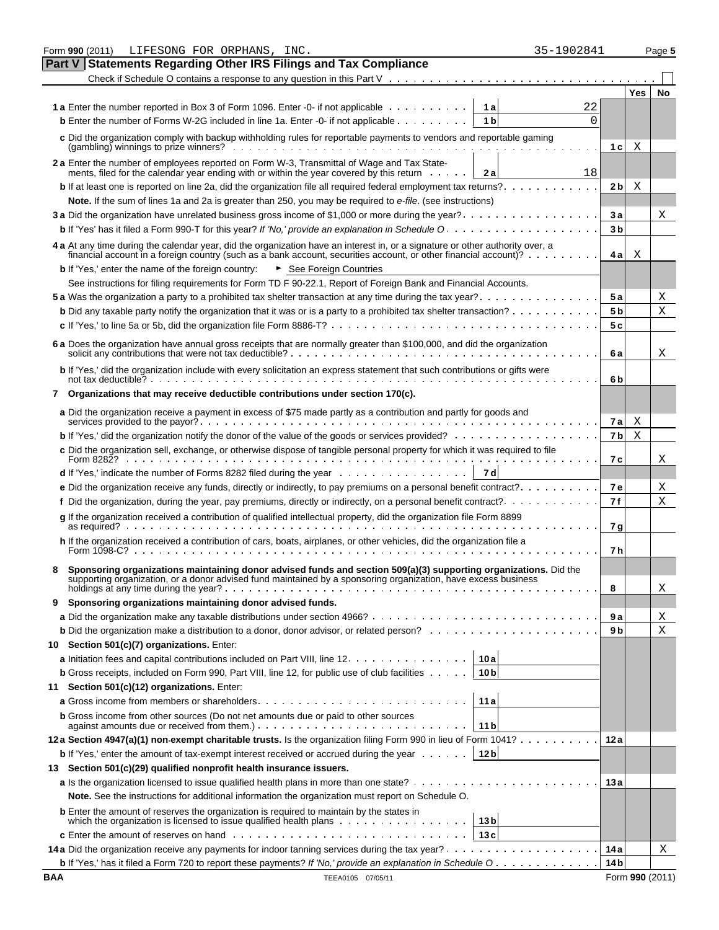|            | 35-1902841<br>Form 990 (2011)<br>LIFESONG FOR ORPHANS, INC.                                                                                                                                                                                                                                                                                               |                         |            | Page 5          |
|------------|-----------------------------------------------------------------------------------------------------------------------------------------------------------------------------------------------------------------------------------------------------------------------------------------------------------------------------------------------------------|-------------------------|------------|-----------------|
|            | Part V<br><b>Statements Regarding Other IRS Filings and Tax Compliance</b>                                                                                                                                                                                                                                                                                |                         |            |                 |
|            | Check if Schedule O contains a response to any question in this Part $V \cdot \cdot \cdot \cdot \cdot \cdot \cdot \cdot \cdot \cdot \cdot \cdot \cdot \cdot \cdot \cdot \cdot \cdot$                                                                                                                                                                      |                         |            |                 |
|            |                                                                                                                                                                                                                                                                                                                                                           |                         | <b>Yes</b> | No              |
|            | <b>1a</b> Enter the number reported in Box 3 of Form 1096. Enter -0- if not applicable<br>22<br>1 a                                                                                                                                                                                                                                                       |                         |            |                 |
|            | <b>b</b> Enter the number of Forms W-2G included in line 1a. Enter -0- if not applicable $\dots$<br>0<br>1 <sub>b</sub>                                                                                                                                                                                                                                   |                         |            |                 |
|            | c Did the organization comply with backup withholding rules for reportable payments to vendors and reportable gaming                                                                                                                                                                                                                                      | 1 c                     | Χ          |                 |
|            | 2 a Enter the number of employees reported on Form W-3, Transmittal of Wage and Tax State-                                                                                                                                                                                                                                                                |                         |            |                 |
|            | ments, filed for the calendar year ending with or within the year covered by this return<br>18<br>2 a                                                                                                                                                                                                                                                     |                         |            |                 |
|            | <b>b</b> If at least one is reported on line 2a, did the organization file all required federal employment tax returns?                                                                                                                                                                                                                                   | 2 <sub>b</sub>          | Χ          |                 |
|            | Note. If the sum of lines 1a and 2a is greater than 250, you may be required to e-file. (see instructions)<br>3 a Did the organization have unrelated business gross income of \$1,000 or more during the year?                                                                                                                                           |                         |            |                 |
|            |                                                                                                                                                                                                                                                                                                                                                           | 3а<br>3 <sub>b</sub>    |            | Χ               |
|            |                                                                                                                                                                                                                                                                                                                                                           |                         |            |                 |
|            | 4 a At any time during the calendar year, did the organization have an interest in, or a signature or other authority over, a<br>financial account in a foreign country (such as a bank account, securities account, or other financial account)? $\cdots \cdots$<br><b>b</b> If 'Yes,' enter the name of the foreign country:<br>► See Foreign Countries | 4al                     | Χ          |                 |
|            | See instructions for filing requirements for Form TD F 90-22.1, Report of Foreign Bank and Financial Accounts.                                                                                                                                                                                                                                            |                         |            |                 |
|            |                                                                                                                                                                                                                                                                                                                                                           | 5 a                     |            | Χ               |
|            | <b>b</b> Did any taxable party notify the organization that it was or is a party to a prohibited tax shelter transaction? $\ldots$                                                                                                                                                                                                                        | 5 <sub>b</sub>          |            | X               |
|            |                                                                                                                                                                                                                                                                                                                                                           | 5c                      |            |                 |
|            | 6 a Does the organization have annual gross receipts that are normally greater than \$100,000, and did the organization                                                                                                                                                                                                                                   |                         |            |                 |
|            |                                                                                                                                                                                                                                                                                                                                                           | 6а                      |            | Χ               |
|            | b If 'Yes,' did the organization include with every solicitation an express statement that such contributions or gifts were                                                                                                                                                                                                                               | 6b                      |            |                 |
|            | Organizations that may receive deductible contributions under section 170(c).                                                                                                                                                                                                                                                                             |                         |            |                 |
|            | a Did the organization receive a payment in excess of \$75 made partly as a contribution and partly for goods and                                                                                                                                                                                                                                         | 7а                      | X          |                 |
|            | <b>b</b> If 'Yes,' did the organization notify the donor of the value of the goods or services provided? $\ldots$ , $\ldots$ , $\ldots$ , $\ldots$                                                                                                                                                                                                        | 7 <sub>b</sub>          | Χ          |                 |
|            | c Did the organization sell, exchange, or otherwise dispose of tangible personal property for which it was required to file                                                                                                                                                                                                                               | 7с                      |            | Χ               |
|            | <b>d</b> If 'Yes,' indicate the number of Forms 8282 filed during the year $\dots \dots \dots \dots \dots \dots$<br>7 d                                                                                                                                                                                                                                   |                         |            |                 |
|            | <b>e</b> Did the organization receive any funds, directly or indirectly, to pay premiums on a personal benefit contract?                                                                                                                                                                                                                                  | <b>7e</b>               |            | Χ               |
|            | f Did the organization, during the year, pay premiums, directly or indirectly, on a personal benefit contract?                                                                                                                                                                                                                                            | 7f                      |            | Χ               |
|            | g If the organization received a contribution of qualified intellectual property, did the organization file Form 8899                                                                                                                                                                                                                                     | 7 g                     |            |                 |
|            | h If the organization received a contribution of cars, boats, airplanes, or other vehicles, did the organization file a                                                                                                                                                                                                                                   | 7 h                     |            |                 |
| 8          | Sponsoring organizations maintaining donor advised funds and section 509(a)(3) supporting organizations. Did the<br>supporting organization, or a donor advised fund maintained by a sponsoring organization, have excess business                                                                                                                        |                         |            |                 |
|            |                                                                                                                                                                                                                                                                                                                                                           | 8                       |            | х               |
|            | Sponsoring organizations maintaining donor advised funds.                                                                                                                                                                                                                                                                                                 |                         |            |                 |
|            |                                                                                                                                                                                                                                                                                                                                                           | 9а<br>9 b               |            | Χ<br>X          |
| 10         | Section 501(c)(7) organizations. Enter:                                                                                                                                                                                                                                                                                                                   |                         |            |                 |
|            | 10 a                                                                                                                                                                                                                                                                                                                                                      |                         |            |                 |
|            | <b>b</b> Gross receipts, included on Form 990, Part VIII, line 12, for public use of club facilities<br>10 <sub>b</sub>                                                                                                                                                                                                                                   |                         |            |                 |
| 11         | Section 501(c)(12) organizations. Enter:                                                                                                                                                                                                                                                                                                                  |                         |            |                 |
|            | 11 a                                                                                                                                                                                                                                                                                                                                                      |                         |            |                 |
|            | <b>b</b> Gross income from other sources (Do not net amounts due or paid to other sources<br>against amounts due or received from them.) $\ldots \ldots \ldots \ldots \ldots \ldots \ldots \ldots \ldots$<br>11 <sub>b</sub>                                                                                                                              |                         |            |                 |
|            | 12a Section 4947(a)(1) non-exempt charitable trusts. Is the organization filing Form 990 in lieu of Form 1041?                                                                                                                                                                                                                                            | 12a                     |            |                 |
|            | <b>b</b> If 'Yes,' enter the amount of tax-exempt interest received or accrued during the year $\dots \dots$<br>12 <sub>b</sub>                                                                                                                                                                                                                           |                         |            |                 |
| 13         | Section 501(c)(29) qualified nonprofit health insurance issuers.                                                                                                                                                                                                                                                                                          |                         |            |                 |
|            | Note. See the instructions for additional information the organization must report on Schedule O.                                                                                                                                                                                                                                                         | 13a                     |            |                 |
|            | <b>b</b> Enter the amount of reserves the organization is required to maintain by the states in                                                                                                                                                                                                                                                           |                         |            |                 |
|            | which the organization is licensed to issue qualified health plans $\ldots$ ,<br>13 <sub>b</sub>                                                                                                                                                                                                                                                          |                         |            |                 |
|            | 13c                                                                                                                                                                                                                                                                                                                                                       |                         |            |                 |
|            | <b>b</b> If 'Yes,' has it filed a Form 720 to report these payments? If 'No,' provide an explanation in Schedule O                                                                                                                                                                                                                                        | 14 a<br>14 <sub>b</sub> |            | Χ               |
| <b>BAA</b> | TEEA0105 07/05/11                                                                                                                                                                                                                                                                                                                                         |                         |            | Form 990 (2011) |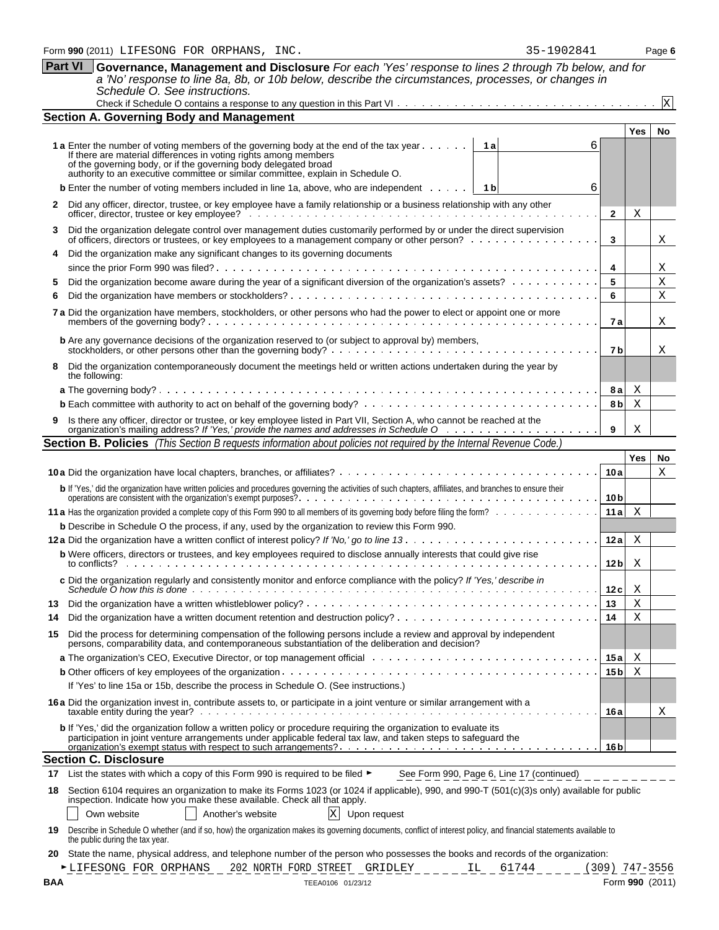**Section A. Governing Body and Management**

If there are material differences in voting rights among members of the governing body, or if the governing body delegated broad

stockholders, or other persons other than the governing body?

the following:

**Section** 

authority to an executive committee or similar committee, explain in Schedule O.

**4** Did the organization make any significant changes to its governing documents

|     |                                                                                                                                                                                                                                           | 8 a              | Χ   |                 |
|-----|-------------------------------------------------------------------------------------------------------------------------------------------------------------------------------------------------------------------------------------------|------------------|-----|-----------------|
|     |                                                                                                                                                                                                                                           | 8 b              | Χ   |                 |
|     | Is there any officer, director or trustee, or key employee listed in Part VII, Section A, who cannot be reached at the                                                                                                                    | 9                | Χ   |                 |
|     | <b>Section B. Policies</b> (This Section B requests information about policies not required by the Internal Revenue Code.)                                                                                                                |                  |     |                 |
|     |                                                                                                                                                                                                                                           |                  | Yes | No              |
|     |                                                                                                                                                                                                                                           | 10a              |     | X               |
|     | b If 'Yes,' did the organization have written policies and procedures governing the activities of such chapters, affiliates, and branches to ensure their                                                                                 | 10 <sub>b</sub>  |     |                 |
|     | 11 a Has the organization provided a complete copy of this Form 990 to all members of its governing body before filing the form?                                                                                                          | 11a              | Χ   |                 |
|     | <b>b</b> Describe in Schedule O the process, if any, used by the organization to review this Form 990.                                                                                                                                    |                  |     |                 |
|     |                                                                                                                                                                                                                                           | 12a              | Χ   |                 |
|     | <b>b</b> Were officers, directors or trustees, and key employees required to disclose annually interests that could give rise<br>to conflicts?                                                                                            | 12 b             | Χ   |                 |
|     | c Did the organization regularly and consistently monitor and enforce compliance with the policy? If 'Yes,' describe in                                                                                                                   | 12c              | Χ   |                 |
| 13  |                                                                                                                                                                                                                                           | 13               | X   |                 |
| 14  |                                                                                                                                                                                                                                           | 14               | X   |                 |
| 15  | Did the process for determining compensation of the following persons include a review and approval by independent persons, comparability data, and contemporaneous substantiation of the deliberation and decision?                      |                  |     |                 |
|     |                                                                                                                                                                                                                                           | 15a              | Χ   |                 |
|     |                                                                                                                                                                                                                                           | 15 <sub>b</sub>  | Χ   |                 |
|     | If 'Yes' to line 15a or 15b, describe the process in Schedule O. (See instructions.)                                                                                                                                                      |                  |     |                 |
|     | 16 a Did the organization invest in, contribute assets to, or participate in a joint venture or similar arrangement with a                                                                                                                | 16a              |     | X               |
|     | <b>b</b> If 'Yes,' did the organization follow a written policy or procedure requiring the organization to evaluate its<br>participation in joint venture arrangements under applicable federal tax law, and taken steps to safeguard the | 16 <sub>b</sub>  |     |                 |
|     | <b>Section C. Disclosure</b>                                                                                                                                                                                                              |                  |     |                 |
| 17  | List the states with which a copy of this Form 990 is required to be filed ▶<br>See Form 990, Page 6, Line 17 (continued)                                                                                                                 |                  |     |                 |
| 18  | Section 6104 requires an organization to make its Forms 1023 (or 1024 if applicable), 990, and 990-T (501(c)(3)s only) available for public                                                                                               |                  |     |                 |
|     | inspection. Indicate how you make these available. Check all that apply.<br>$\mathbf{X}$<br>Own website<br>Another's website<br>Upon request                                                                                              |                  |     |                 |
| 19  | Describe in Schedule O whether (and if so, how) the organization makes its governing documents, conflict of interest policy, and financial statements available to<br>the public during the tax year.                                     |                  |     |                 |
| 20  | State the name, physical address, and telephone number of the person who possesses the books and records of the organization:                                                                                                             |                  |     |                 |
|     | LIFESONG FOR ORPHANS<br>202 NORTH FORD STREET GRIDLEY<br>61744<br>IL.                                                                                                                                                                     | $(309)$ 747-3556 |     |                 |
| BAA | TEEA0106 01/23/12                                                                                                                                                                                                                         |                  |     | Form 990 (2011) |

| Part VI Governance, Management and Disclosure For each 'Yes' response to lines 2 through 7b below, and for |
|------------------------------------------------------------------------------------------------------------|
| a 'No' response to line 8a, 8b, or 10b below, describe the circumstances, processes, or changes in         |
| Schedule O. See instructions.                                                                              |
|                                                                                                            |

**Yes No**

X

**2**

X

X

X X X

X

X

6

6

**3**

**4 5 6**

**7 a**

**7 b**

**1 a** Enter the number of voting members of the governing body at the end of the tax year  $\cdot \cdot \cdot \cdot$ 

**b** Enter the number of voting members included in line 1a, above, who are independent  $\cdots$ 

5 Did the organization become aware during the year of a significant diversion of the organization's assets? . . **6** Did the organization have members or stockholders?

**b** Are any governance decisions of the organization reserved to (or subject to approval by) members,

**7 a** Did the organization have members, stockholders, or other persons who had the power to elect or appoint one or more members of the governing body?

**8** Did the organization contemporaneously document the meetings held or written actions undertaken during the year by

**2** Did any officer, director, trustee, or key employee have a family relationship or a business relationship with any other officer, director, trustee or key employee? **3** Did the organization delegate control over management duties customarily performed by or under the direct supervision of officers, directors or trustees, or key employees to a management company or other person?

since the prior Form 990 was filed?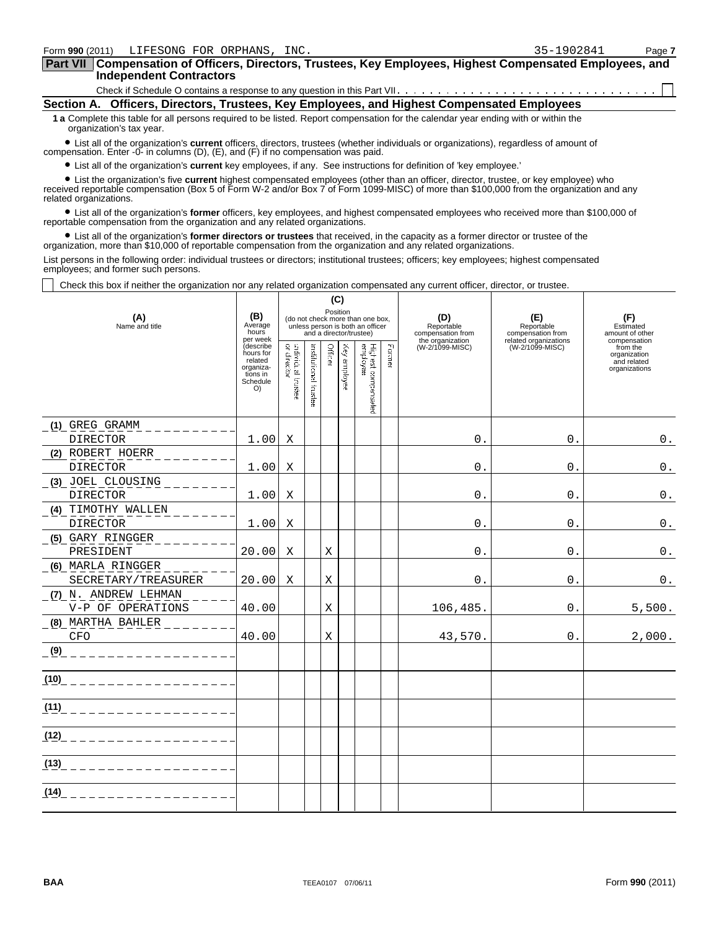**Compensation of Officers, Directors, Trustees, Key Employees, Highest Compensated Employees, and Part VII Independent Contractors**

Check if Schedule O contains a response to any question in this Part VII

| Section A.   Officers, Directors, Trustees, Key Employees, and Highest Compensated Employees |  |  |  |
|----------------------------------------------------------------------------------------------|--|--|--|
|                                                                                              |  |  |  |

**1 a** Complete this table for all persons required to be listed. Report compensation for the calendar year ending with or within the organization's tax year.

? List all of the organization's **current** officers, directors, trustees (whether individuals or organizations), regardless of amount of compensation. Enter -0- in columns (D), (E), and (F) if no compensation was paid.

? List all of the organization's **current** key employees, if any. See instructions for definition of 'key employee.'

 ? List the organization's five **current** highest compensated employees (other than an officer, director, trustee, or key employee) who received reportable compensation (Box 5 of Form W-2 and/or Box 7 of Form 1099-MISC) of more than \$100,000 from the organization and any related organizations.

 ? List all of the organization's **former** officers, key employees, and highest compensated employees who received more than \$100,000 of reportable compensation from the organization and any related organizations.

 ? List all of the organization's **former directors or trustees** that received, in the capacity as a former director or trustee of the organization, more than \$10,000 of reportable compensation from the organization and any related organizations.

List persons in the following order: individual trustees or directors; institutional trustees; officers; key employees; highest compensated employees; and former such persons.

Check this box if neither the organization nor any related organization compensated any current officer, director, or trustee.

| (A)                      | (B)<br>Average                                                               |                                    |                      | (C)<br>Position |              | (do not check more than one box,                            |        | (D)                                                 | (E)                                                      | (F)                                                      |
|--------------------------|------------------------------------------------------------------------------|------------------------------------|----------------------|-----------------|--------------|-------------------------------------------------------------|--------|-----------------------------------------------------|----------------------------------------------------------|----------------------------------------------------------|
| Name and title           | hours<br>per week                                                            |                                    |                      |                 |              | unless person is both an officer<br>and a director/trustee) |        | Reportable<br>compensation from<br>the organization | Reportable<br>compensation from<br>related organizations | Estimated<br>amount of other<br>compensation             |
|                          | (describe<br>hours for<br>related<br>organiza-<br>tions in<br>Schedule<br>O) | ardividual trastee.<br>or director | mstitutional taustee | Officer         | Key amployee | Highest compensated<br>employee                             | Former | (W-2/1099-MISC)                                     | (W-2/1099-MISC)                                          | from the<br>organization<br>and related<br>organizations |
| (1) GREG GRAMM           |                                                                              |                                    |                      |                 |              |                                                             |        |                                                     |                                                          |                                                          |
| DIRECTOR                 | 1.00                                                                         | X                                  |                      |                 |              |                                                             |        | 0.                                                  | $0$ .                                                    | $\mathbf 0$ .                                            |
| (2) ROBERT HOERR         |                                                                              |                                    |                      |                 |              |                                                             |        |                                                     |                                                          |                                                          |
| <b>DIRECTOR</b>          | 1.00                                                                         | Χ                                  |                      |                 |              |                                                             |        | $\mathbf{0}$ .                                      | 0.                                                       | $\mathbf 0$ .                                            |
| (3) JOEL CLOUSING        |                                                                              |                                    |                      |                 |              |                                                             |        |                                                     |                                                          |                                                          |
| <b>DIRECTOR</b>          | 1.00                                                                         | Χ                                  |                      |                 |              |                                                             |        | $^{\circ}$                                          | $0$ .                                                    | $0$ .                                                    |
| (4) TIMOTHY WALLEN       |                                                                              |                                    |                      |                 |              |                                                             |        |                                                     |                                                          |                                                          |
| <b>DIRECTOR</b>          | 1.00                                                                         | Χ                                  |                      |                 |              |                                                             |        | $0$ .                                               | $0$ .                                                    | $0$ .                                                    |
| (5) GARY RINGGER         |                                                                              |                                    |                      |                 |              |                                                             |        |                                                     |                                                          |                                                          |
| PRESIDENT                | 20.00                                                                        | Χ                                  |                      | Χ               |              |                                                             |        | 0.                                                  | $0$ .                                                    | $0$ .                                                    |
| (6) MARLA RINGGER        |                                                                              |                                    |                      |                 |              |                                                             |        |                                                     |                                                          |                                                          |
| SECRETARY/TREASURER      | 20.00                                                                        | X                                  |                      | Χ               |              |                                                             |        | 0.                                                  | 0.                                                       | 0.                                                       |
| (7) N. ANDREW LEHMAN     |                                                                              |                                    |                      |                 |              |                                                             |        |                                                     |                                                          |                                                          |
| V-P OF OPERATIONS        | 40.00                                                                        |                                    |                      | X               |              |                                                             |        | 106,485.                                            | 0.                                                       | 5,500.                                                   |
| (8) MARTHA BAHLER        |                                                                              |                                    |                      |                 |              |                                                             |        |                                                     |                                                          |                                                          |
| CFO                      | 40.00                                                                        |                                    |                      | X               |              |                                                             |        | 43,570.                                             | $0$ .                                                    | 2,000.                                                   |
| (9)<br>1000 L L L L L    |                                                                              |                                    |                      |                 |              |                                                             |        |                                                     |                                                          |                                                          |
| (10)<br><u> 22222222</u> |                                                                              |                                    |                      |                 |              |                                                             |        |                                                     |                                                          |                                                          |
| (11)                     |                                                                              |                                    |                      |                 |              |                                                             |        |                                                     |                                                          |                                                          |
| (12)                     |                                                                              |                                    |                      |                 |              |                                                             |        |                                                     |                                                          |                                                          |
| (13)                     |                                                                              |                                    |                      |                 |              |                                                             |        |                                                     |                                                          |                                                          |
| (14)                     |                                                                              |                                    |                      |                 |              |                                                             |        |                                                     |                                                          |                                                          |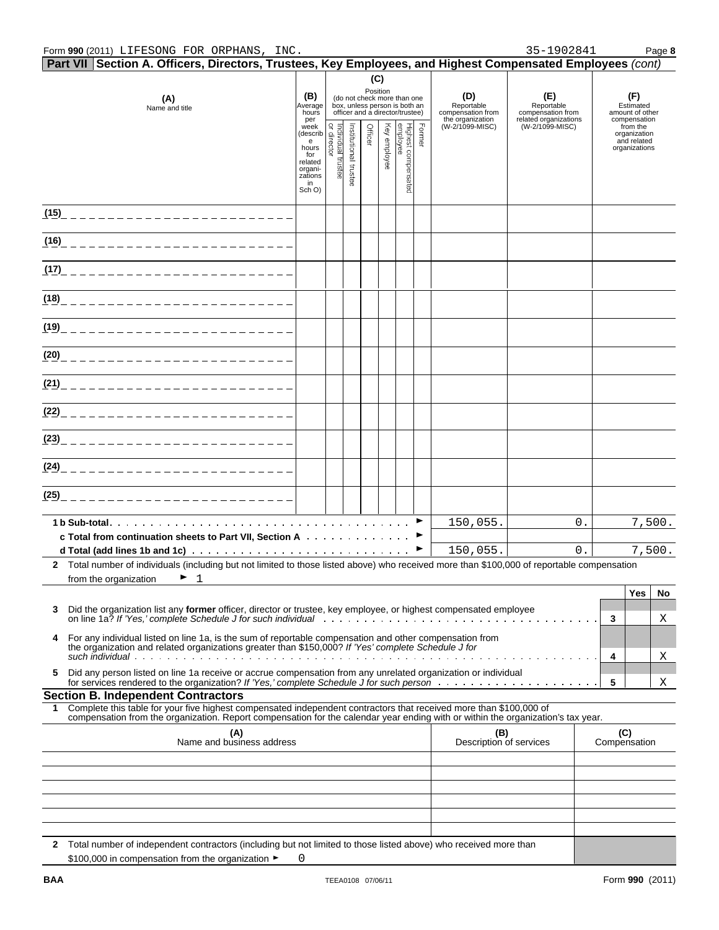|      | Form 990 (2011) LIFESONG FOR ORPHANS, INC.                                                                                                                                                                                           |                                                                                                                                                                                                                                                                                                   |         |                       |         |                 |                                                                                                 |        |                                                            | 35-1902841                                                      |                                                     |                                                          | Page 8   |
|------|--------------------------------------------------------------------------------------------------------------------------------------------------------------------------------------------------------------------------------------|---------------------------------------------------------------------------------------------------------------------------------------------------------------------------------------------------------------------------------------------------------------------------------------------------|---------|-----------------------|---------|-----------------|-------------------------------------------------------------------------------------------------|--------|------------------------------------------------------------|-----------------------------------------------------------------|-----------------------------------------------------|----------------------------------------------------------|----------|
|      | Part VII Section A. Officers, Directors, Trustees, Key Employees, and Highest Compensated Employees (cont)                                                                                                                           |                                                                                                                                                                                                                                                                                                   |         |                       |         |                 |                                                                                                 |        |                                                            |                                                                 |                                                     |                                                          |          |
|      | (A)<br>Name and title                                                                                                                                                                                                                | (B)<br>Average<br>hours<br>per                                                                                                                                                                                                                                                                    |         |                       |         | (C)<br>Position | (do not check more than one<br>box, unless person is both an<br>officer and a director/trustee) |        | (D)<br>Reportable<br>compensation from<br>the organization | (E)<br>Reportable<br>compensation from<br>related organizations | (F)<br>Estimated<br>amount of other<br>compensation |                                                          |          |
|      |                                                                                                                                                                                                                                      | Francisco<br>e discriptor de Monte de Maria<br>de Monte de Maria<br>for de Maria de Maria<br>for de Maria de Maria<br>de Maria de Maria de Maria de Maria de Maria de Maria de Maria de Maria de Maria de Maria de Maria de Maria d<br>de<br>for<br>related<br>organi-<br>zations<br>in<br>Sch O) | trustee | Institutional trustee | Officer | Key employee    | Highest compensated<br>employee                                                                 | Former | (W-2/1099-MISC)                                            | (W-2/1099-MISC)                                                 |                                                     | from the<br>organization<br>and related<br>organizations |          |
|      |                                                                                                                                                                                                                                      |                                                                                                                                                                                                                                                                                                   |         |                       |         |                 |                                                                                                 |        |                                                            |                                                                 |                                                     |                                                          |          |
|      |                                                                                                                                                                                                                                      |                                                                                                                                                                                                                                                                                                   |         |                       |         |                 |                                                                                                 |        |                                                            |                                                                 |                                                     |                                                          |          |
|      |                                                                                                                                                                                                                                      |                                                                                                                                                                                                                                                                                                   |         |                       |         |                 |                                                                                                 |        |                                                            |                                                                 |                                                     |                                                          |          |
|      |                                                                                                                                                                                                                                      |                                                                                                                                                                                                                                                                                                   |         |                       |         |                 |                                                                                                 |        |                                                            |                                                                 |                                                     |                                                          |          |
|      |                                                                                                                                                                                                                                      |                                                                                                                                                                                                                                                                                                   |         |                       |         |                 |                                                                                                 |        |                                                            |                                                                 |                                                     |                                                          |          |
|      |                                                                                                                                                                                                                                      |                                                                                                                                                                                                                                                                                                   |         |                       |         |                 |                                                                                                 |        |                                                            |                                                                 |                                                     |                                                          |          |
|      |                                                                                                                                                                                                                                      |                                                                                                                                                                                                                                                                                                   |         |                       |         |                 |                                                                                                 |        |                                                            |                                                                 |                                                     |                                                          |          |
|      |                                                                                                                                                                                                                                      |                                                                                                                                                                                                                                                                                                   |         |                       |         |                 |                                                                                                 |        |                                                            |                                                                 |                                                     |                                                          |          |
|      | (23)_____________________________                                                                                                                                                                                                    |                                                                                                                                                                                                                                                                                                   |         |                       |         |                 |                                                                                                 |        |                                                            |                                                                 |                                                     |                                                          |          |
|      | (24)_____________________________                                                                                                                                                                                                    |                                                                                                                                                                                                                                                                                                   |         |                       |         |                 |                                                                                                 |        |                                                            |                                                                 |                                                     |                                                          |          |
| (25) |                                                                                                                                                                                                                                      |                                                                                                                                                                                                                                                                                                   |         |                       |         |                 |                                                                                                 |        |                                                            |                                                                 |                                                     |                                                          |          |
|      | c Total from continuation sheets to Part VII, Section A                                                                                                                                                                              |                                                                                                                                                                                                                                                                                                   |         |                       |         |                 |                                                                                                 |        | 150,055.                                                   | 0.                                                              |                                                     |                                                          | 7,500.   |
|      | 2 Total number of individuals (including but not limited to those listed above) who received more than \$100,000 of reportable compensation                                                                                          |                                                                                                                                                                                                                                                                                                   |         |                       |         |                 |                                                                                                 |        | 150,055.                                                   | $0$ .                                                           |                                                     |                                                          | 7,500.   |
|      | $\mathbf{1}$<br>from the organization                                                                                                                                                                                                |                                                                                                                                                                                                                                                                                                   |         |                       |         |                 |                                                                                                 |        |                                                            |                                                                 |                                                     |                                                          |          |
| 3    | Did the organization list any former officer, director or trustee, key employee, or highest compensated employee<br>on line 1a? If 'Yes,' complete Schedule J for such individual enterprise in the contract of the set of the set o |                                                                                                                                                                                                                                                                                                   |         |                       |         |                 |                                                                                                 |        |                                                            |                                                                 | 3                                                   | Yes                                                      | No.<br>Χ |
| 4    | For any individual listed on line 1a, is the sum of reportable compensation and other compensation from<br>the organization and related organizations greater than \$150,000? If 'Yes' complete Schedule J for                       |                                                                                                                                                                                                                                                                                                   |         |                       |         |                 |                                                                                                 |        |                                                            |                                                                 | 4                                                   |                                                          | Χ        |
| 5    | Did any person listed on line 1a receive or accrue compensation from any unrelated organization or individual                                                                                                                        |                                                                                                                                                                                                                                                                                                   |         |                       |         |                 |                                                                                                 |        |                                                            |                                                                 | 5                                                   |                                                          | Χ        |
| 1.   | <b>Section B. Independent Contractors</b><br>Complete this table for your five highest compensated independent contractors that received more than \$100,000 of                                                                      |                                                                                                                                                                                                                                                                                                   |         |                       |         |                 |                                                                                                 |        |                                                            |                                                                 |                                                     |                                                          |          |
|      | compensation from the organization. Report compensation for the calendar year ending with or within the organization's tax year.                                                                                                     |                                                                                                                                                                                                                                                                                                   |         |                       |         |                 |                                                                                                 |        |                                                            |                                                                 |                                                     |                                                          |          |
|      | (A)<br>Name and business address                                                                                                                                                                                                     |                                                                                                                                                                                                                                                                                                   |         |                       |         |                 |                                                                                                 |        | (B)<br>Description of services                             |                                                                 |                                                     | (C)<br>Compensation                                      |          |
|      |                                                                                                                                                                                                                                      |                                                                                                                                                                                                                                                                                                   |         |                       |         |                 |                                                                                                 |        |                                                            |                                                                 |                                                     |                                                          |          |
|      |                                                                                                                                                                                                                                      |                                                                                                                                                                                                                                                                                                   |         |                       |         |                 |                                                                                                 |        |                                                            |                                                                 |                                                     |                                                          |          |
|      |                                                                                                                                                                                                                                      |                                                                                                                                                                                                                                                                                                   |         |                       |         |                 |                                                                                                 |        |                                                            |                                                                 |                                                     |                                                          |          |
|      |                                                                                                                                                                                                                                      |                                                                                                                                                                                                                                                                                                   |         |                       |         |                 |                                                                                                 |        |                                                            |                                                                 |                                                     |                                                          |          |
|      | 2 Total number of independent contractors (including but not limited to those listed above) who received more than                                                                                                                   |                                                                                                                                                                                                                                                                                                   |         |                       |         |                 |                                                                                                 |        |                                                            |                                                                 |                                                     |                                                          |          |

\$100,000 in compensation from the organization ► 0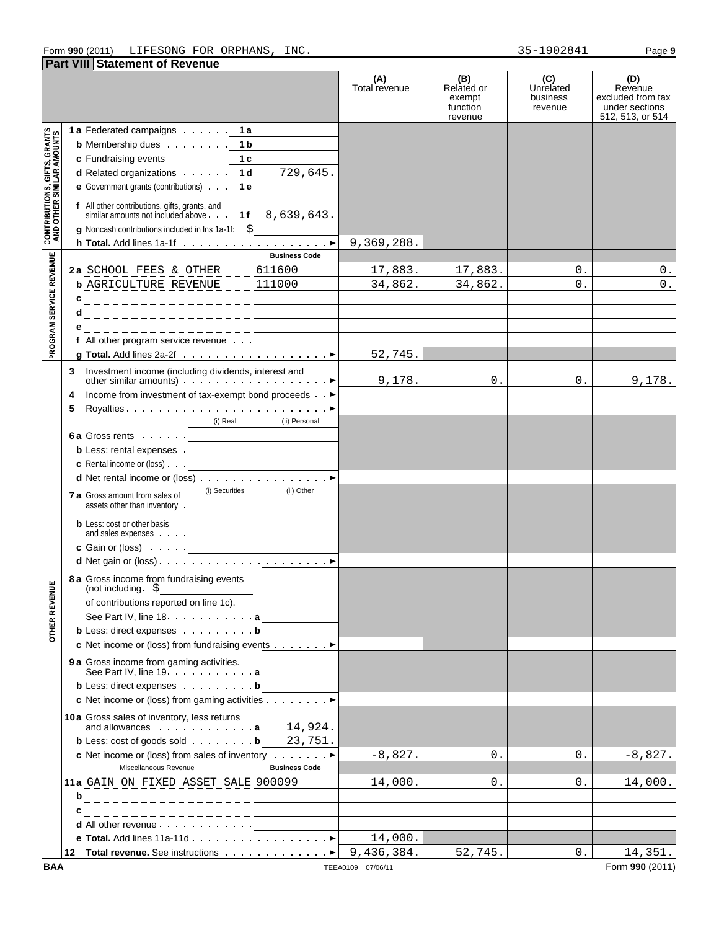### Form **990** (2011) Page **9** LIFESONG FOR ORPHANS, INC. 35-1902841

**Part VIII Statement of Revenue**

|                                                                   |                                                                                                                                           | (A)<br>Total revenue | (B)<br>Related or<br>exempt | (C)<br>Unrelated<br>business | (D)<br>Revenue<br>excluded from tax |
|-------------------------------------------------------------------|-------------------------------------------------------------------------------------------------------------------------------------------|----------------------|-----------------------------|------------------------------|-------------------------------------|
|                                                                   |                                                                                                                                           |                      | function<br>revenue         | revenue                      | under sections<br>512, 513, or 514  |
|                                                                   | 1a Federated campaigns 1a                                                                                                                 |                      |                             |                              |                                     |
|                                                                   | <b>b</b> Membership dues 1 <b>b</b>                                                                                                       |                      |                             |                              |                                     |
|                                                                   | c Fundraising events<br>1c                                                                                                                |                      |                             |                              |                                     |
|                                                                   | <b>d</b> Related organizations $\cdots$ 1 d<br>729,645.                                                                                   |                      |                             |                              |                                     |
|                                                                   | e Government grants (contributions)<br>1 e                                                                                                |                      |                             |                              |                                     |
| <b>CONTRIBUTIONS, GIFTS, GRANTS<br/>AND OTHER SIMILAR AMOUNTS</b> | f All other contributions, gifts, grants, and<br>similar amounts not included above.<br>$1f \mid 8,639,643.$                              |                      |                             |                              |                                     |
|                                                                   | \$<br>g Noncash contributions included in lns 1a-1f:                                                                                      |                      |                             |                              |                                     |
|                                                                   | <b>Business Code</b>                                                                                                                      | 9,369,288.           |                             |                              |                                     |
|                                                                   | 611600<br>2a SCHOOL FEES & OTHER ___                                                                                                      | 17,883.              | 17,883.                     | 0.                           | 0.                                  |
|                                                                   | <b>b</b> AGRICULTURE REVENUE _ _ 111000                                                                                                   | 34,862.              | 34,862.                     | $0$ .                        | $\boldsymbol{0}$ .                  |
| PROGRAM SERVICE REVENUE                                           |                                                                                                                                           |                      |                             |                              |                                     |
|                                                                   | d _ _ _ _ _ _ _ _ _ _ _ _ _ _ _ _ _ _                                                                                                     |                      |                             |                              |                                     |
|                                                                   | ___________________                                                                                                                       |                      |                             |                              |                                     |
|                                                                   | f All other program service revenue $\ldots$                                                                                              |                      |                             |                              |                                     |
|                                                                   |                                                                                                                                           | 52,745.              |                             |                              |                                     |
|                                                                   | Investment income (including dividends, interest and<br>3<br>other similar amounts) $\cdots$ $\cdots$ $\cdots$ $\cdots$ $\cdots$ $\cdots$ | 9,178.               | 0.                          | 0.                           | 9,178.                              |
|                                                                   | Income from investment of tax-exempt bond proceeds ►<br>4                                                                                 |                      |                             |                              |                                     |
|                                                                   | 5                                                                                                                                         |                      |                             |                              |                                     |
|                                                                   | $(i)$ Real<br>(ii) Personal                                                                                                               |                      |                             |                              |                                     |
|                                                                   | 6 a Gross rents $\ldots$ .<br>and the control of the control of                                                                           |                      |                             |                              |                                     |
|                                                                   | <b>b</b> Less: rental expenses .                                                                                                          |                      |                             |                              |                                     |
|                                                                   | <b>c</b> Rental income or (loss) $\ldots$<br><u> 1989 - John Stone, amerikansk politiker</u>                                              |                      |                             |                              |                                     |
|                                                                   | d Net rental income or (loss) ▶                                                                                                           |                      |                             |                              |                                     |
|                                                                   | (i) Securities<br>(ii) Other<br>7 a Gross amount from sales of<br>assets other than inventory .                                           |                      |                             |                              |                                     |
|                                                                   | <b>b</b> Less: cost or other basis<br>and sales expenses <u>  _ _ _ _ _ _ _ _ _ _</u>                                                     |                      |                             |                              |                                     |
|                                                                   | c Gain or (loss) <u>  _ _ _ _ _ _ _ _</u>                                                                                                 |                      |                             |                              |                                     |
|                                                                   |                                                                                                                                           |                      |                             |                              |                                     |
| <b>MNE</b>                                                        | 8 a Gross income from fundraising events<br>$(not including . $ \underline{\hspace{2cm} \text{S}}$                                        |                      |                             |                              |                                     |
| <b>OTHER REVE</b>                                                 | of contributions reported on line 1c).                                                                                                    |                      |                             |                              |                                     |
|                                                                   | See Part IV, line 18. a                                                                                                                   |                      |                             |                              |                                     |
|                                                                   | <b>b</b> Less: direct expenses $\cdot \cdot \cdot \cdot \cdot \cdot$ <b>b</b><br>c Net income or (loss) from fundraising events >         |                      |                             |                              |                                     |
|                                                                   |                                                                                                                                           |                      |                             |                              |                                     |
|                                                                   | 9 a Gross income from gaming activities.<br>See Part IV, line $19. \ldots 1. \ldots 1.$                                                   |                      |                             |                              |                                     |
|                                                                   | <b>b</b> Less: direct expenses <b>b</b>                                                                                                   |                      |                             |                              |                                     |
|                                                                   | c Net income or (loss) from gaming activities ▶                                                                                           |                      |                             |                              |                                     |
|                                                                   | 10a Gross sales of inventory, less returns<br>14,924.<br>and allowances $\cdots$ $\cdots$ $\cdots$ $\cdots$                               |                      |                             |                              |                                     |
|                                                                   | <b>b</b> Less: cost of goods sold $\ldots$ $\ldots$ <b>b</b><br>23,751.                                                                   |                      |                             |                              |                                     |
|                                                                   | <b>c</b> Net income or (loss) from sales of inventory $\cdots$                                                                            | $-8,827.$            | 0.                          | 0.                           | $-8,827.$                           |
|                                                                   | <b>Business Code</b><br>Miscellaneous Revenue                                                                                             |                      |                             |                              |                                     |
|                                                                   | 11a GAIN ON FIXED ASSET SALE 900099                                                                                                       | 14,000.              | 0.                          | 0.                           | 14,000.                             |
|                                                                   | b<br>________________                                                                                                                     |                      |                             |                              |                                     |
|                                                                   | _________________                                                                                                                         |                      |                             |                              |                                     |
|                                                                   | d All other revenue                                                                                                                       |                      |                             |                              |                                     |
|                                                                   |                                                                                                                                           | 14,000.              |                             |                              |                                     |
|                                                                   | Total revenue. See instructions ▶<br>12                                                                                                   | 9,436,384.           | 52,745.                     | 0.                           | 14,351.                             |
| <b>BAA</b>                                                        |                                                                                                                                           | TEEA0109 07/06/11    |                             |                              | Form 990 (2011)                     |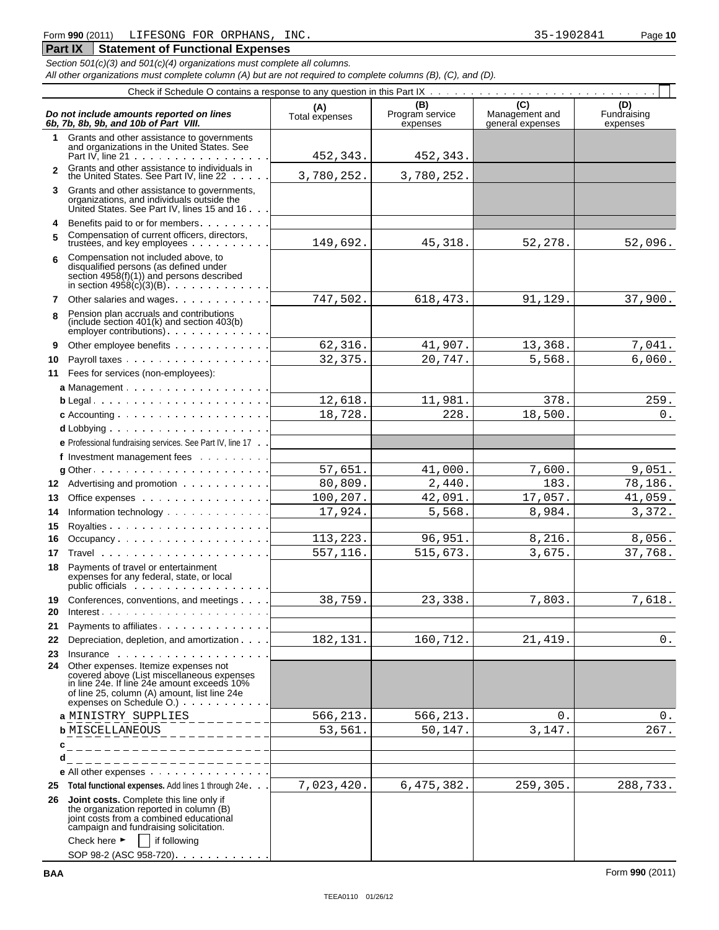*Section 501(c)(3) and 501(c)(4) organizations must complete all columns.*

*All other organizations must complete column (A) but are not required to complete columns (B), (C), and (D).*

|                | Do not include amounts reported on lines<br>6b, 7b, 8b, 9b, and 10b of Part VIII.                                                                                                                                                                                                                                       | (A)<br>Total expenses | (B)<br>Program service<br>expenses | (C)<br>Management and<br>general expenses | (D)<br>Fundraising<br>expenses |
|----------------|-------------------------------------------------------------------------------------------------------------------------------------------------------------------------------------------------------------------------------------------------------------------------------------------------------------------------|-----------------------|------------------------------------|-------------------------------------------|--------------------------------|
| 1              | Grants and other assistance to governments<br>and organizations in the United States. See<br>Part IV. line $21 \cdot \cdot \cdot \cdot \cdot \cdot \cdot \cdot \cdot \cdot \cdot \cdot \cdot$                                                                                                                           | 452,343.              | 452,343.                           |                                           |                                |
| $\overline{2}$ | Grants and other assistance to individuals in<br>the United States. See Part IV, line 22                                                                                                                                                                                                                                | 3,780,252.            | 3,780,252.                         |                                           |                                |
| 3              | Grants and other assistance to governments,<br>organizations, and individuals outside the<br>United States. See Part IV, lines 15 and 16                                                                                                                                                                                |                       |                                    |                                           |                                |
| 4              | Benefits paid to or for members                                                                                                                                                                                                                                                                                         |                       |                                    |                                           |                                |
| 5              | Compensation of current officers, directors,<br>trustees, and key employees                                                                                                                                                                                                                                             | 149,692.              | 45, 318.                           | 52,278.                                   | 52,096.                        |
| 6              | Compensation not included above, to<br>disqualified persons (as defined under<br>section $4958(f)(1)$ and persons described<br>in section $4958(c)(3)(B)$ . $\ldots$ $\ldots$ $\ldots$ .                                                                                                                                |                       |                                    |                                           |                                |
| 7              | Other salaries and wages                                                                                                                                                                                                                                                                                                | 747,502.              | 618,473.                           | 91,129.                                   | 37,900.                        |
| 8              | Pension plan accruals and contributions<br>(include section 401(k) and section 403(b)<br>employer contributions) enter a series and series and series and series and series are series and series are series and series and series are series and series are series and series are series and series are series and ser |                       |                                    |                                           |                                |
| 9              | Other employee benefits $\ldots$ ,                                                                                                                                                                                                                                                                                      | 62,316.               | 41,907.                            | 13,368.                                   | 7,041.                         |
| 10             |                                                                                                                                                                                                                                                                                                                         | 32,375.               | 20,747.                            | 5,568.                                    | 6,060.                         |
| 11             | Fees for services (non-employees):                                                                                                                                                                                                                                                                                      |                       |                                    |                                           |                                |
|                | a Management $\cdots$ $\cdots$ $\cdots$ $\cdots$ $\cdots$ $\cdots$                                                                                                                                                                                                                                                      |                       |                                    |                                           |                                |
|                | $b$ Legal                                                                                                                                                                                                                                                                                                               | 12,618.               | 11,981.                            | 378.                                      | 259.                           |
|                | c Accounting $\ldots \ldots \ldots \ldots \ldots$                                                                                                                                                                                                                                                                       | 18,728.               | 228.                               | 18,500.                                   | $0$ .                          |
|                | $d$ Lobbying $\ldots$ , $\ldots$ , $\ldots$ , $\ldots$ , $\ldots$ , $\ldots$                                                                                                                                                                                                                                            |                       |                                    |                                           |                                |
|                | e Professional fundraising services. See Part IV, line 17                                                                                                                                                                                                                                                               |                       |                                    |                                           |                                |
|                | f Investment management fees $\ldots$                                                                                                                                                                                                                                                                                   |                       |                                    |                                           |                                |
|                | $g$ Other $\cdots$ $\cdots$ $\cdots$ $\cdots$ $\cdots$ $\cdots$ $\cdots$ $\cdots$                                                                                                                                                                                                                                       | 57,651.               | 41,000.                            | 7,600.                                    | 9,051.                         |
| 12             | Advertising and promotion                                                                                                                                                                                                                                                                                               | 80,809.               | 2,440.                             | 183.                                      | 78,186.                        |
| 13             | Office expenses                                                                                                                                                                                                                                                                                                         | 100,207.<br>17,924.   | 42,091.<br>5,568.                  | 17,057.<br>8,984.                         | 41,059.                        |
| 14<br>15       | Information technology                                                                                                                                                                                                                                                                                                  |                       |                                    |                                           | 3,372.                         |
| 16             | Occupancy $\ldots$ $\ldots$ $\ldots$ $\ldots$ $\ldots$ $\ldots$ $\ldots$                                                                                                                                                                                                                                                | 113,223.              | 96,951.                            | 8,216.                                    | 8,056.                         |
| 17             |                                                                                                                                                                                                                                                                                                                         | 557,116.              | 515,673.                           | 3,675.                                    | 37,768.                        |
|                | 18 Payments of travel or entertainment<br>expenses for any federal, state, or local<br>public officials                                                                                                                                                                                                                 |                       |                                    |                                           |                                |
|                | 19 Conferences, conventions, and meetings                                                                                                                                                                                                                                                                               | 38,759.               | 23,338.                            | 7,803.                                    | 7,618.                         |
| 20             |                                                                                                                                                                                                                                                                                                                         |                       |                                    |                                           |                                |
| 21             | Payments to affiliates.                                                                                                                                                                                                                                                                                                 |                       |                                    |                                           |                                |
| 22             | Depreciation, depletion, and amortization                                                                                                                                                                                                                                                                               | 182,131.              | 160,712.                           | 21,419.                                   | $0$ .                          |
| 23             | $Insquare \,$<br>24 Other expenses. Itemize expenses not<br>covered above (List miscellaneous expenses<br>in line 24e. If line 24e amount exceeds 10%<br>of line 25, column (A) amount, list line 24e<br>expenses on Schedule O.)                                                                                       |                       |                                    |                                           |                                |
|                | a MINISTRY SUPPLIES                                                                                                                                                                                                                                                                                                     | 566,213.              | 566,213.                           | 0.                                        | 0.                             |
|                | <b>b</b> MISCELLANEOUS                                                                                                                                                                                                                                                                                                  | 53,561.               | 50,147.                            | 3,147.                                    | 267.                           |
| c              | __________________                                                                                                                                                                                                                                                                                                      |                       |                                    |                                           |                                |
|                | d<br><u> 2222222222</u>                                                                                                                                                                                                                                                                                                 |                       |                                    |                                           |                                |
|                | e All other expenses                                                                                                                                                                                                                                                                                                    |                       |                                    |                                           |                                |
| 25             | Total functional expenses. Add lines 1 through 24e                                                                                                                                                                                                                                                                      | 7,023,420.            | 6,475,382.                         | 259,305.                                  | 288,733.                       |
| 26             | <b>Joint costs.</b> Complete this line only if<br>the organization reported in column (B)<br>joint costs from a combined educational<br>campaign and fundraising solicitation.<br>Check here $\blacktriangleright$<br>if following                                                                                      |                       |                                    |                                           |                                |
|                | SOP 98-2 (ASC 958-720)                                                                                                                                                                                                                                                                                                  |                       |                                    |                                           |                                |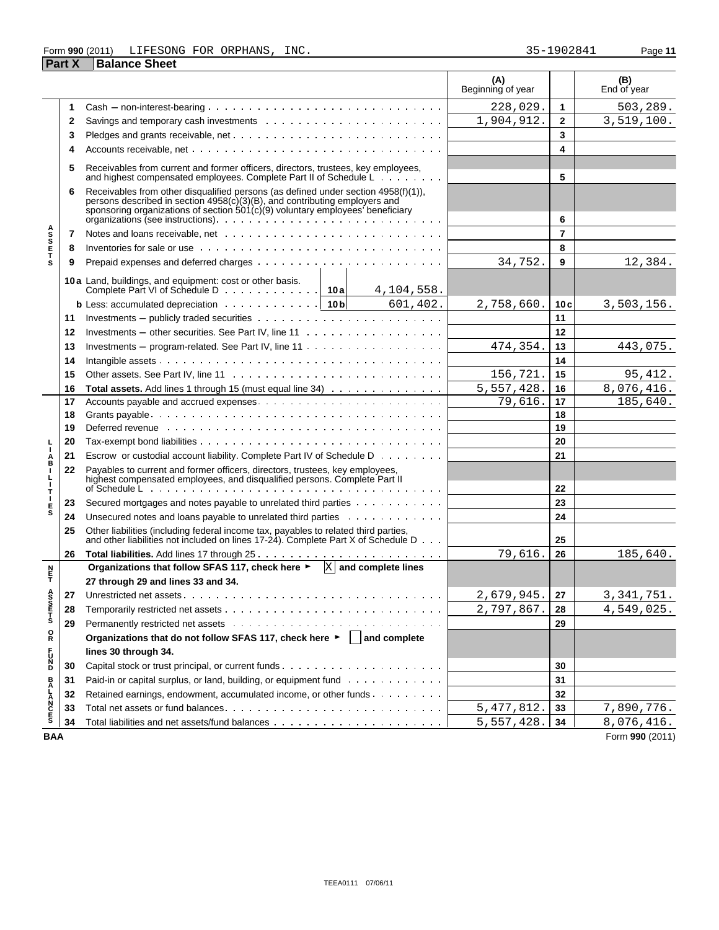## Form **990** (2011) Page **11** LIFESONG FOR ORPHANS, INC. 35-1902841

|                       | <b>Part X</b> | <b>Balance Sheet</b>                                                                                                                                                                                                                               |                          |                 |                    |
|-----------------------|---------------|----------------------------------------------------------------------------------------------------------------------------------------------------------------------------------------------------------------------------------------------------|--------------------------|-----------------|--------------------|
|                       |               |                                                                                                                                                                                                                                                    | (A)<br>Beginning of year |                 | (B)<br>End of year |
|                       | 1             | $Cash - non-interest-bearing             $                                                                                                                                                                                                         | 228,029.                 | 1               | 503, 289.          |
|                       | 2             |                                                                                                                                                                                                                                                    | 1,904,912.               | $\mathbf{2}$    | 3,519,100.         |
|                       | 3             |                                                                                                                                                                                                                                                    |                          | 3               |                    |
|                       | 4             |                                                                                                                                                                                                                                                    |                          | 4               |                    |
|                       | 5             | Receivables from current and former officers, directors, trustees, key employees,<br>and highest compensated employees. Complete Part II of Schedule L                                                                                             |                          | 5               |                    |
|                       | 6             | Receivables from other disqualified persons (as defined under section 4958(f)(1)),<br>records described in section 4958(c)(3)(B), and contributing employers and<br>sponsoring organizations of section 501(c)(9) voluntary employees' beneficiary |                          |                 |                    |
|                       |               | organizations (see instructions).                                                                                                                                                                                                                  |                          | 6               |                    |
| <b>ASSETS</b>         | 7             |                                                                                                                                                                                                                                                    |                          | 7               |                    |
|                       | 8             | Inventories for sale or use contact of the contact of the contact of the contact of the contact of the contact of the contact of the contact of the contact of the contact of the contact of the contact of the contact of the                     |                          | 8               |                    |
|                       | 9             |                                                                                                                                                                                                                                                    | 34,752.                  | 9               | 12,384.            |
|                       |               | 10 a Land, buildings, and equipment: cost or other basis.<br>Complete Part VI of Schedule D 10a<br>4,104,558.                                                                                                                                      |                          |                 |                    |
|                       |               | <b>b</b> Less: accumulated depreciation $\cdots \cdots \cdots \cdots$   10 b<br>601, 402.                                                                                                                                                          | 2,758,660.               | 10 <sub>c</sub> | 3,503,156.         |
|                       | 11            |                                                                                                                                                                                                                                                    |                          | 11              |                    |
|                       | 12            | Investments – other securities. See Part IV, line $11 \ldots \ldots \ldots \ldots \ldots \ldots$                                                                                                                                                   |                          | 12              |                    |
|                       | 13            | Investments – program-related. See Part IV, line $11 \cdot \cdot \cdot \cdot \cdot \cdot \cdot \cdot \cdot \cdot \cdot \cdot \cdot \cdot \cdot \cdot \cdot \cdot$                                                                                  | 474,354.                 | 13              | 443,075.           |
|                       | 14            |                                                                                                                                                                                                                                                    |                          | 14              |                    |
|                       | 15            |                                                                                                                                                                                                                                                    | 156,721                  | 15              | 95, 412.           |
|                       | 16            | Total assets. Add lines 1 through 15 (must equal line 34)                                                                                                                                                                                          | 5,557,428.               | 16              | 8,076,416.         |
|                       | 17            |                                                                                                                                                                                                                                                    | 79,616.                  | 17              | 185,640.           |
|                       | 18            |                                                                                                                                                                                                                                                    |                          | 18              |                    |
|                       | 19            | Deferred revenue www.communicationshipsers are all the contract to the contract to the contract to the contract to the contract to the contract to the contract of the contract of the contract of the contract of the contrac                     |                          | 19              |                    |
|                       | 20            |                                                                                                                                                                                                                                                    |                          | 20              |                    |
| A<br>B                | 21            | Escrow or custodial account liability. Complete Part IV of Schedule D                                                                                                                                                                              |                          | 21              |                    |
| п<br>г<br>J.          | 22            | Payables to current and former officers, directors, trustees, key employees, highest compensated employees, and disqualified persons. Complete Part II                                                                                             |                          | 22              |                    |
| т                     | 23            | Secured mortgages and notes payable to unrelated third parties                                                                                                                                                                                     |                          | 23              |                    |
| Е<br>s                | 24            | Unsecured notes and loans payable to unrelated third parties                                                                                                                                                                                       |                          | 24              |                    |
|                       | 25            | Other liabilities (including federal income tax, payables to related third parties,<br>and other liabilities not included on lines 17-24). Complete Part X of Schedule D                                                                           |                          | 25              |                    |
|                       | 26            |                                                                                                                                                                                                                                                    | 79,616.                  | 26              | 185,640.           |
|                       |               | Organizations that follow SFAS 117, check here $\blacktriangleright$ $\mathbb{X}$ and complete lines                                                                                                                                               |                          |                 |                    |
| n<br>F                |               | 27 through 29 and lines 33 and 34.                                                                                                                                                                                                                 |                          |                 |                    |
|                       | 27            |                                                                                                                                                                                                                                                    | 2,679,945.               | 27              | 3, 341, 751.       |
| A<br>S<br>S<br>T<br>S | 28            |                                                                                                                                                                                                                                                    | 2,797,867.               | 28              | 4,549,025.         |
|                       | 29            |                                                                                                                                                                                                                                                    |                          | 29              |                    |
| R                     |               | Organizations that do not follow SFAS 117, check here ►   and complete                                                                                                                                                                             |                          |                 |                    |
|                       |               | lines 30 through 34.                                                                                                                                                                                                                               |                          |                 |                    |
| <b>DZC7</b>           | 30            |                                                                                                                                                                                                                                                    |                          | 30              |                    |
|                       | 31            | Paid-in or capital surplus, or land, building, or equipment fund                                                                                                                                                                                   |                          | 31              |                    |
|                       | 32            | Retained earnings, endowment, accumulated income, or other funds                                                                                                                                                                                   |                          | 32              |                    |
| <b>BALANCES</b>       | 33            |                                                                                                                                                                                                                                                    | 5, 477, 812.             | 33              | 7,890,776.         |
|                       | 34            |                                                                                                                                                                                                                                                    | 5,557,428.               | 34              | 8,076,416.         |

**BAA** Form **990** (2011)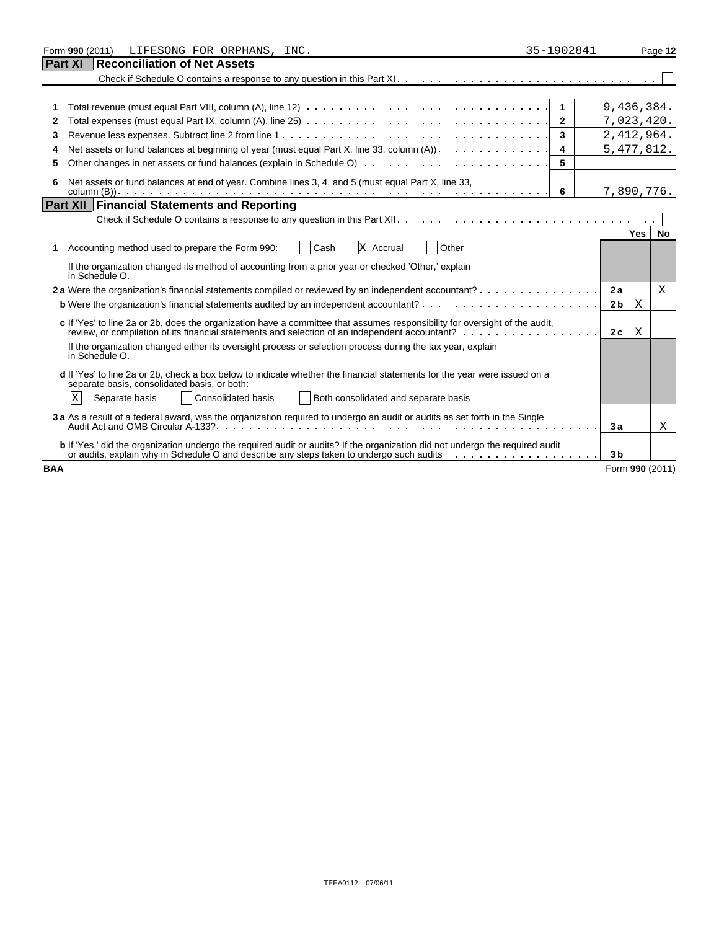|            | LIFESONG FOR ORPHANS, INC.<br>Form 990 (2011)                                                                                                                                                                                 | 35-1902841              |                | Page 12                 |
|------------|-------------------------------------------------------------------------------------------------------------------------------------------------------------------------------------------------------------------------------|-------------------------|----------------|-------------------------|
|            | Part XI<br><b>Reconciliation of Net Assets</b>                                                                                                                                                                                |                         |                |                         |
|            |                                                                                                                                                                                                                               |                         |                |                         |
|            |                                                                                                                                                                                                                               |                         |                |                         |
|            |                                                                                                                                                                                                                               |                         |                | 9,436,384.              |
| 2          | Total expenses (must equal Part IX, column (A), line 25) $\ldots \ldots \ldots \ldots \ldots \ldots \ldots \ldots \ldots \ldots \ldots \ldots$                                                                                | $\overline{2}$          |                | 7,023,420.              |
| 3          |                                                                                                                                                                                                                               | $\mathbf{3}$            |                | 2,412,964.              |
| 4          | Net assets or fund balances at beginning of year (must equal Part X, line 33, column (A)).                                                                                                                                    | $\overline{\mathbf{4}}$ |                | 5, 477, 812.            |
|            |                                                                                                                                                                                                                               | 5                       |                |                         |
| 6          | Net assets or fund balances at end of year. Combine lines 3, 4, and 5 (must equal Part X, line 33,                                                                                                                            |                         |                |                         |
|            |                                                                                                                                                                                                                               |                         |                | 7,890,776.              |
|            | <b>Part XII Financial Statements and Reporting</b>                                                                                                                                                                            |                         |                |                         |
|            |                                                                                                                                                                                                                               |                         |                |                         |
|            |                                                                                                                                                                                                                               |                         |                | <b>Yes</b><br><b>No</b> |
| 1          | X Accrual<br>Other<br>Accounting method used to prepare the Form 990:<br>Cash                                                                                                                                                 |                         |                |                         |
|            | If the organization changed its method of accounting from a prior year or checked 'Other,' explain<br>in Schedule O.                                                                                                          |                         |                |                         |
|            | 2a Were the organization's financial statements compiled or reviewed by an independent accountant?                                                                                                                            |                         | 2a             | X                       |
|            |                                                                                                                                                                                                                               |                         | 2 <sub>b</sub> | X                       |
|            |                                                                                                                                                                                                                               |                         |                |                         |
|            | c If 'Yes' to line 2a or 2b, does the organization have a committee that assumes responsibility for oversight of the audit,<br>review, or compilation of its financial statements and selection of an independent accountant? |                         | 2c             | X                       |
|            | If the organization changed either its oversight process or selection process during the tax year, explain<br>in Schedule O.                                                                                                  |                         |                |                         |
|            | d If 'Yes' to line 2a or 2b, check a box below to indicate whether the financial statements for the year were issued on a<br>separate basis, consolidated basis, or both:                                                     |                         |                |                         |
|            | X<br>Both consolidated and separate basis<br><b>Consolidated basis</b><br>Separate basis                                                                                                                                      |                         |                |                         |
|            | 3 a As a result of a federal award, was the organization required to undergo an audit or audits as set forth in the Single                                                                                                    |                         | 3a             | X                       |
|            | b If 'Yes,' did the organization undergo the required audit or audits? If the organization did not undergo the required audit                                                                                                 |                         | 3 <sub>b</sub> |                         |
| <b>BAA</b> |                                                                                                                                                                                                                               |                         |                | Form 990 (2011)         |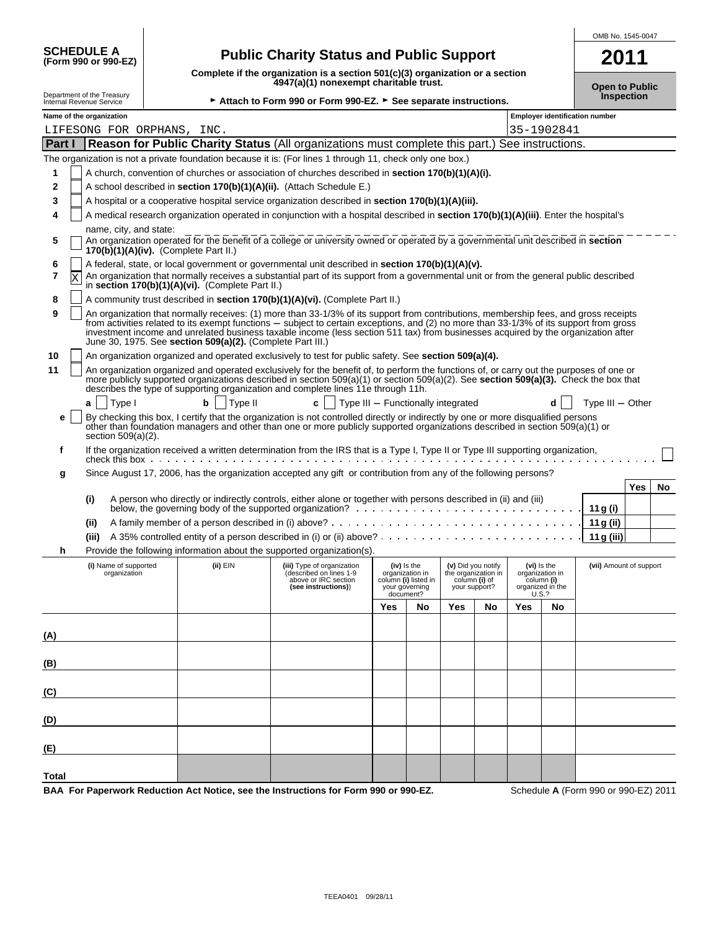| <b>SCHEDULE A</b>                        |  |  |
|------------------------------------------|--|--|
| $(F_0, F_1, G_0) \cap F_1, G_2 \cap F_2$ |  |  |

## **Public Charity Status and Public Support**

| OMB No. 1545-0047 |
|-------------------|
|                   |

| SCHEDULE A<br>(Form 990 or 990-EZ)                     |                          | <b>Public Charity Status and Public Support</b>                                                                                                                               |                                                                               | 2011                                       |
|--------------------------------------------------------|--------------------------|-------------------------------------------------------------------------------------------------------------------------------------------------------------------------------|-------------------------------------------------------------------------------|--------------------------------------------|
| Department of the Treasury<br>Internal Revenue Service |                          | 4947(a)(1) nonexempt charitable trust.                                                                                                                                        | Complete if the organization is a section 501(c)(3) organization or a section |                                            |
|                                                        |                          | ► Attach to Form 990 or Form 990-EZ. ► See separate instructions.                                                                                                             |                                                                               | <b>Open to Public</b><br><b>Inspection</b> |
|                                                        | Name of the organization |                                                                                                                                                                               | <b>Employer identification number</b>                                         |                                            |
|                                                        |                          | LIFESONG FOR ORPHANS, INC.                                                                                                                                                    | 35-1902841                                                                    |                                            |
| <b>Part I</b>                                          |                          | <b>Reason for Public Charity Status</b> (All organizations must complete this part.) See instructions.                                                                        |                                                                               |                                            |
|                                                        |                          | The organization is not a private foundation because it is: (For lines 1 through 11, check only one box.)                                                                     |                                                                               |                                            |
|                                                        |                          | A church, convention of churches or association of churches described in <b>section 170(b)(1)(A)(i).</b>                                                                      |                                                                               |                                            |
| $\mathbf{2}$                                           |                          | A school described in section 170(b)(1)(A)(ii). (Attach Schedule E.)                                                                                                          |                                                                               |                                            |
| 3                                                      |                          | A hospital or a cooperative hospital service organization described in section 170(b)(1)(A)(iii).                                                                             |                                                                               |                                            |
| 4                                                      |                          | A medical research organization operated in conjunction with a hospital described in section 170(b)(1)(A)(iii). Enter the hospital's                                          |                                                                               |                                            |
|                                                        | name, city, and state:   |                                                                                                                                                                               |                                                                               |                                            |
| 5.                                                     |                          | An organization operated for the benefit of a college or university owned or operated by a governmental unit described in section<br>$170(b)(1)(A)(iv)$ . (Complete Part II.) |                                                                               |                                            |
| 6                                                      |                          | A federal, state, or local government or governmental unit described in section 170(b)(1)(A)(v).                                                                              |                                                                               |                                            |
|                                                        |                          | An organization that normally receives a substantial part of its support from a governmental unit or from the general public described<br>in section $170/hV/1VAV$            |                                                                               |                                            |

|  | $\frac{1}{2}$ in section 170(b)(1)(A)(vi). (Complete Part II.)                        |
|--|---------------------------------------------------------------------------------------|
|  | 8 $\Box$ A community trust described in section 170(b)(1)(A)(vi). (Complete Part II.) |

|  | An organization that normally receives: (1) more than 33-1/3% of its support from contributions, membership fees, and gross receipts                                                            |
|--|-------------------------------------------------------------------------------------------------------------------------------------------------------------------------------------------------|
|  | from activities related to its exempt functions – subject to certain exceptions, and (2) no more than 33-1/3% of its support from gross                                                         |
|  | investment income and unrelated business taxable income (less section 511 tax) from businesses acquired by the organization after<br>June 30, 1975. See section 509(a)(2). (Complete Part III.) |

**10** An organization organized and operated exclusively to test for public safety. See **section 509(a)(4).** 

|  | An organization organized and operated exclusively for the benefit of, to perform the functions of, or carry out the purposes of one or<br>more publicly supported organizations described in section $509(a)(1)$ or section $509(a)(2)$ . See <b>section <math>509(a)(3)</math>.</b> Check the box that |
|--|----------------------------------------------------------------------------------------------------------------------------------------------------------------------------------------------------------------------------------------------------------------------------------------------------------|
|  | describes the type of supporting organization and complete lines 11e through 11h.                                                                                                                                                                                                                        |
|  | $\mathbf{c}$   Type III – Functionally integrated<br>Type $III -$ Other<br>$a$   Type  <br>Tvpe II                                                                                                                                                                                                       |

| $a \mid \text{hyper}$ | $\mathbf{u}$   $\mathbf{v}$   $\mathbf{v}$ | $\mathcal{C}$ report in $\mathcal{C}$ requirements integrated                                                                                                                                                                                                          | $u_{\text{1}}$ type $m - c$ |
|-----------------------|--------------------------------------------|------------------------------------------------------------------------------------------------------------------------------------------------------------------------------------------------------------------------------------------------------------------------|-----------------------------|
| section $509(a)(2)$ . |                                            | e   By checking this box, I certify that the organization is not controlled directly or indirectly by one or more disqualified persons<br>other than foundation managers and other than one or more publicly supported organizations described in section 509(a)(1) or |                             |

| If the organization received a written determination from the IRS that is a Type I, Type II or Type III supporting organization, |
|----------------------------------------------------------------------------------------------------------------------------------|
|                                                                                                                                  |

|  |  | Since August 17, 2006, has the organization accepted any gift or contribution from any of the following persons? |
|--|--|------------------------------------------------------------------------------------------------------------------|

|      |                                                                                                                 | Yes |  |
|------|-----------------------------------------------------------------------------------------------------------------|-----|--|
|      | A person who directly or indirectly controls, either alone or together with persons described in (ii) and (iii) |     |  |
|      | below, the governing body of the supported organization?                                                        |     |  |
| (ii) |                                                                                                                 |     |  |
|      |                                                                                                                 |     |  |

**h** Provide the following information about the supported organization(s).

|       | (i) Name of supported<br>organization | (ii) EIN | . .<br>$\sqrt{ }$<br>(iii) Type of organization<br>(described on lines 1-9<br>above or IRC section<br>(see instructions)) | (iv) Is the<br>organization in<br>column (i) listed in<br>your governing<br>document? |    |            |    | (v) Did you notify<br>the organization in<br>column (i) of<br>(vi) Is the<br>organization in<br>column (i)<br>organized in the<br>U.S.?<br>your support? |    | (vii) Amount of support |
|-------|---------------------------------------|----------|---------------------------------------------------------------------------------------------------------------------------|---------------------------------------------------------------------------------------|----|------------|----|----------------------------------------------------------------------------------------------------------------------------------------------------------|----|-------------------------|
|       |                                       |          |                                                                                                                           | <b>Yes</b>                                                                            | No | <b>Yes</b> | No | <b>Yes</b>                                                                                                                                               | No |                         |
| (A)   |                                       |          |                                                                                                                           |                                                                                       |    |            |    |                                                                                                                                                          |    |                         |
| (B)   |                                       |          |                                                                                                                           |                                                                                       |    |            |    |                                                                                                                                                          |    |                         |
| (C)   |                                       |          |                                                                                                                           |                                                                                       |    |            |    |                                                                                                                                                          |    |                         |
| (D)   |                                       |          |                                                                                                                           |                                                                                       |    |            |    |                                                                                                                                                          |    |                         |
| (E)   |                                       |          |                                                                                                                           |                                                                                       |    |            |    |                                                                                                                                                          |    |                         |
| Total |                                       |          |                                                                                                                           |                                                                                       |    |            |    |                                                                                                                                                          |    |                         |

**BAA For Paperwork Reduction Act Notice, see the Instructions for Form 990 or 990-EZ.** Schedule **A** (Form 990 or 990-EZ) 2011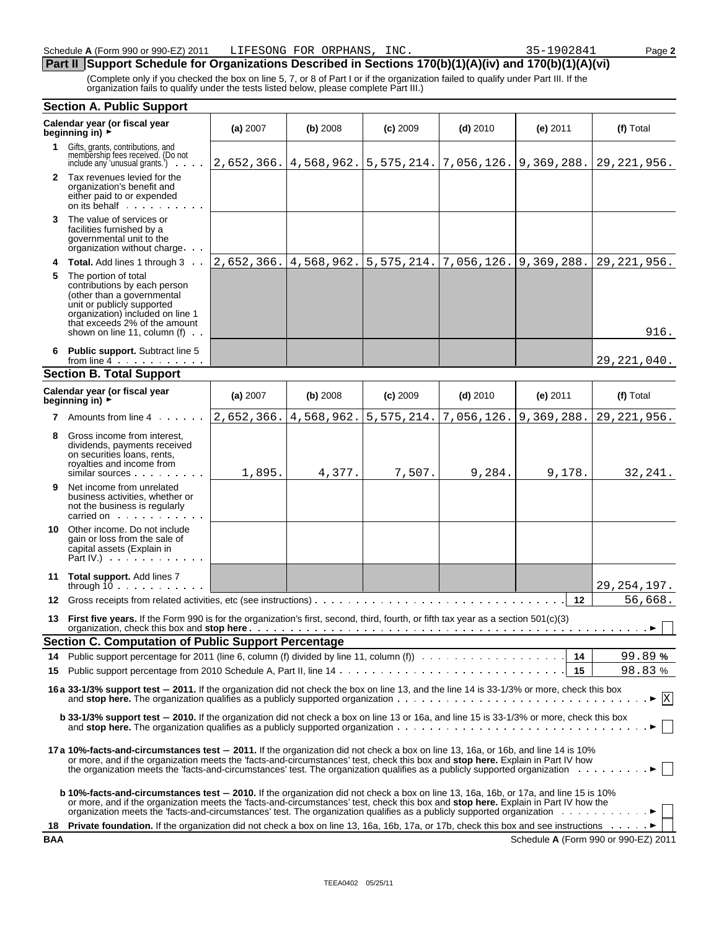## **Part II Support Schedule for Organizations Described in Sections 170(b)(1)(A)(iv) and 170(b)(1)(A)(vi)**

(Complete only if you checked the box on line 5, 7, or 8 of Part I or if the organization failed to qualify under Part III. If the organization fails to qualify under the tests listed below, please complete Part III.)

|     | <b>Section A. Public Support</b>                                                                                                                                                                                                                                                                                                                                                                   |            |            |                                                            |                           |            |                                      |  |
|-----|----------------------------------------------------------------------------------------------------------------------------------------------------------------------------------------------------------------------------------------------------------------------------------------------------------------------------------------------------------------------------------------------------|------------|------------|------------------------------------------------------------|---------------------------|------------|--------------------------------------|--|
|     | Calendar year (or fiscal year<br>beginning in) $\rightarrow$                                                                                                                                                                                                                                                                                                                                       | (a) 2007   | (b) 2008   | $(c)$ 2009                                                 | $(d)$ 2010                | $(e)$ 2011 | (f) Total                            |  |
|     | 1 Gifts, grants, contributions, and<br>membership fees received. (Do not<br>include any 'unusual grants.')                                                                                                                                                                                                                                                                                         | 2,652,366. | 4,568,962. | $\vert 5, 575, 214. \vert 7, 056, 126. \vert 9, 369, 288.$ |                           |            | 29, 221, 956.                        |  |
|     | 2 Tax revenues levied for the<br>organization's benefit and<br>either paid to or expended<br>on its behalf                                                                                                                                                                                                                                                                                         |            |            |                                                            |                           |            |                                      |  |
| 3   | The value of services or<br>facilities furnished by a<br>governmental unit to the<br>organization without charge                                                                                                                                                                                                                                                                                   |            |            |                                                            |                           |            |                                      |  |
| 4   | <b>Total.</b> Add lines 1 through 3                                                                                                                                                                                                                                                                                                                                                                | 2,652,366. | 4,568,962. | 5,575,214.                                                 | 7,056,126.                | 9,369,288. | 29, 221, 956.                        |  |
| 5   | The portion of total<br>contributions by each person<br>(other than a governmental<br>unit or publicly supported<br>organization) included on line 1<br>that exceeds 2% of the amount<br>shown on line 11, column (f) $\cdot$ .                                                                                                                                                                    |            |            |                                                            |                           |            | 916.                                 |  |
| 6   | Public support. Subtract line 5<br>from line $4 \cdot \cdot \cdot \cdot \cdot \cdot \cdot$                                                                                                                                                                                                                                                                                                         |            |            |                                                            |                           |            | 29, 221, 040.                        |  |
|     | <b>Section B. Total Support</b>                                                                                                                                                                                                                                                                                                                                                                    |            |            |                                                            |                           |            |                                      |  |
|     | Calendar year (or fiscal year<br>beginning in) $\rightarrow$                                                                                                                                                                                                                                                                                                                                       | (a) 2007   | (b) 2008   | $(c)$ 2009                                                 | $(d)$ 2010                | $(e)$ 2011 | (f) Total                            |  |
| 7   | Amounts from line 4                                                                                                                                                                                                                                                                                                                                                                                | 2,652,366. | 4,568,962. | 5, 575, 214.                                               | $7,056,126.$ 9, 369, 288. |            | 29, 221, 956.                        |  |
| 8   | Gross income from interest,<br>dividends, payments received<br>on securities loans, rents,<br>royalties and income from<br>similar sources                                                                                                                                                                                                                                                         | 1,895.     | 4,377.     | 7,507.                                                     | 9,284.                    | 9,178.     | 32, 241.                             |  |
| 9.  | Net income from unrelated<br>business activities, whether or<br>not the business is regularly<br>carried on carried on                                                                                                                                                                                                                                                                             |            |            |                                                            |                           |            |                                      |  |
| 10. | Other income. Do not include<br>gain or loss from the sale of<br>capital assets (Explain in<br>Part IV.) $\cdots$                                                                                                                                                                                                                                                                                  |            |            |                                                            |                           |            |                                      |  |
|     | 11 Total support. Add lines 7<br>through $10 \ldots \ldots$                                                                                                                                                                                                                                                                                                                                        |            |            |                                                            |                           |            | 29, 254, 197.                        |  |
| 12  |                                                                                                                                                                                                                                                                                                                                                                                                    |            |            |                                                            |                           | 12         | 56,668.                              |  |
| 13  | First five years. If the Form 990 is for the organization's first, second, third, fourth, or fifth tax year as a section 501(c)(3)                                                                                                                                                                                                                                                                 |            |            |                                                            |                           |            |                                      |  |
|     | <b>Section C. Computation of Public Support Percentage</b>                                                                                                                                                                                                                                                                                                                                         |            |            |                                                            |                           |            |                                      |  |
| 14  |                                                                                                                                                                                                                                                                                                                                                                                                    |            |            |                                                            |                           |            | 99.89%                               |  |
| 15  |                                                                                                                                                                                                                                                                                                                                                                                                    |            |            |                                                            |                           |            | 98.83%                               |  |
|     | 16 a 33-1/3% support test - 2011. If the organization did not check the box on line 13, and the line 14 is 33-1/3% or more, check this box<br>$\mathbf x$<br>$\cdot$ $\blacktriangleright$                                                                                                                                                                                                         |            |            |                                                            |                           |            |                                      |  |
|     | b 33-1/3% support test - 2010. If the organization did not check a box on line 13 or 16a, and line 15 is 33-1/3% or more, check this box                                                                                                                                                                                                                                                           |            |            |                                                            |                           |            |                                      |  |
|     | 17 a 10%-facts-and-circumstances test - 2011. If the organization did not check a box on line 13, 16a, or 16b, and line 14 is 10%<br>or more, and if the organization meets the 'facts-and-circumstances' test, check this box and stop here. Explain in Part IV how<br>the organization meets the 'facts-and-circumstances' test. The organization qualifies as a publicly supported organization |            |            |                                                            |                           |            |                                      |  |
|     | b 10%-facts-and-circumstances test - 2010. If the organization did not check a box on line 13, 16a, 16b, or 17a, and line 15 is 10%<br>or more, and if the organization meets the 'facts-and-circumstances' test, check this box and stop here. Explain in Part IV how the                                                                                                                         |            |            |                                                            |                           |            |                                      |  |
| 18  | <b>Private foundation.</b> If the organization did not check a box on line 13, 16a, 16b, 17a, or 17b, check this box and see instructions ▶                                                                                                                                                                                                                                                        |            |            |                                                            |                           |            |                                      |  |
| BAA |                                                                                                                                                                                                                                                                                                                                                                                                    |            |            |                                                            |                           |            | Schedule A (Form 990 or 990-EZ) 2011 |  |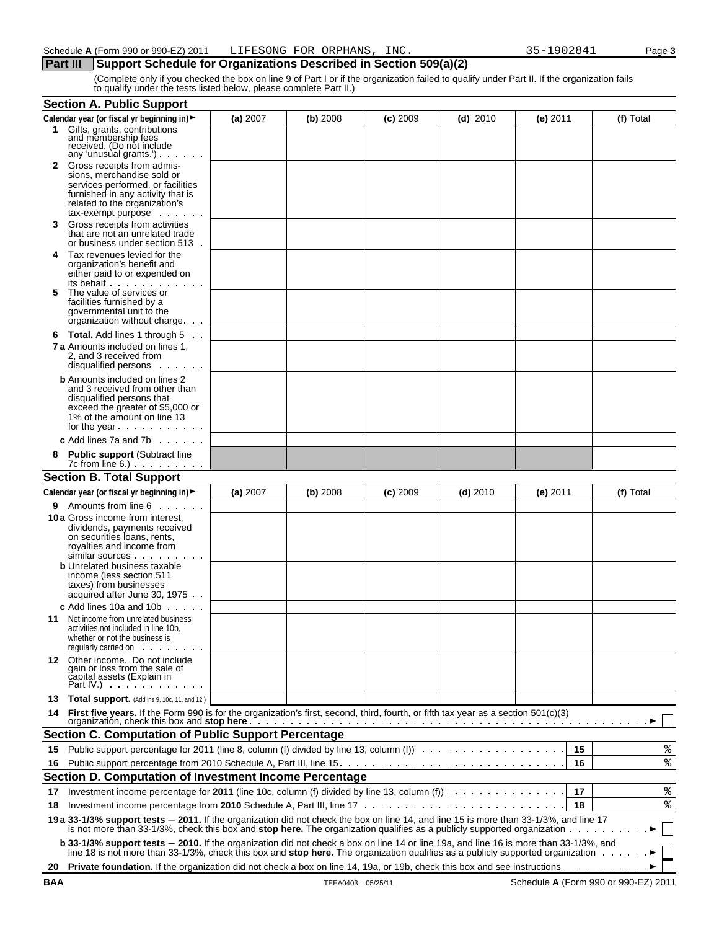## **Part III** Support Schedule for Organizations Described in Section 509(a)(2)

(Complete only if you checked the box on line 9 of Part I or if the organization failed to qualify under Part II. If the organization fails to qualify under the tests listed below, please complete Part II.)

|    | <b>Section A. Public Support</b>                                                                                                                                                                                                                                         |          |          |            |            |            |           |
|----|--------------------------------------------------------------------------------------------------------------------------------------------------------------------------------------------------------------------------------------------------------------------------|----------|----------|------------|------------|------------|-----------|
|    | Calendar year (or fiscal yr beginning in) ►                                                                                                                                                                                                                              | (a) 2007 | (b) 2008 | $(c)$ 2009 | $(d)$ 2010 | $(e)$ 2011 | (f) Total |
| 1. | Gifts, grants, contributions<br>and membership fees<br>received. (Do not include                                                                                                                                                                                         |          |          |            |            |            |           |
|    | any 'unusual grants.')<br><b>2</b> Gross receipts from admis-<br>sions, merchandise sold or<br>services performed, or facilities<br>furnished in any activity that is<br>related to the organization's                                                                   |          |          |            |            |            |           |
| 3  | $tax$ -exempt purpose $\cdots$<br>Gross receipts from activities<br>that are not an unrelated trade                                                                                                                                                                      |          |          |            |            |            |           |
| 4  | or business under section 513.<br>Tax revenues levied for the<br>organization's benefit and<br>either paid to or expended on                                                                                                                                             |          |          |            |            |            |           |
| 5  | its behalf<br>The value of services or<br>facilities furnished by a<br>governmental unit to the<br>organization without charge.                                                                                                                                          |          |          |            |            |            |           |
|    | 6 Total. Add lines 1 through 5.<br><b>7 a</b> Amounts included on lines 1.<br>2. and 3 received from<br>disqualified persons                                                                                                                                             |          |          |            |            |            |           |
|    | <b>b</b> Amounts included on lines 2<br>and 3 received from other than<br>disqualified persons that<br>exceed the greater of \$5,000 or<br>1% of the amount on line 13<br>for the year                                                                                   |          |          |            |            |            |           |
|    | <b>c</b> Add lines 7a and 7b $\ldots$                                                                                                                                                                                                                                    |          |          |            |            |            |           |
| 8  | <b>Public support (Subtract line</b><br>$7c$ from line $6.$ )                                                                                                                                                                                                            |          |          |            |            |            |           |
|    | <b>Section B. Total Support</b>                                                                                                                                                                                                                                          |          |          |            |            |            |           |
|    | Calendar year (or fiscal yr beginning in) ►                                                                                                                                                                                                                              | (a) 2007 | (b) 2008 | $(c)$ 2009 | $(d)$ 2010 | $(e)$ 2011 | (f) Total |
| 9  | Amounts from line 6<br>10 a Gross income from interest,<br>dividends, payments received<br>on securities loans, rents,<br>royalties and income from<br>similar sources<br><b>b</b> Unrelated business taxable<br>income (less section 511<br>taxes) from businesses      |          |          |            |            |            |           |
| 11 | acquired after June 30, 1975.<br><b>c</b> Add lines 10a and 10b $\cdots$<br>Net income from unrelated business<br>activities not included in line 10b,<br>whether or not the business is                                                                                 |          |          |            |            |            |           |
|    | requiarly carried on<br>12 Other income. Do not include<br>gain or loss from the sale of<br>capital assets (Explain in<br>Part IV.) $\cdots$                                                                                                                             |          |          |            |            |            |           |
|    | <b>13 Total support.</b> (Add Ins 9, 10c, 11, and 12.)                                                                                                                                                                                                                   |          |          |            |            |            |           |
| 14 | First five years. If the Form 990 is for the organization's first, second, third, fourth, or fifth tax year as a section 501(c)(3)<br>organization, check this box and stop here                                                                                         |          |          |            |            |            |           |
|    | <b>Section C. Computation of Public Support Percentage</b>                                                                                                                                                                                                               |          |          |            |            |            |           |
| 15 |                                                                                                                                                                                                                                                                          |          |          |            |            | 15         | %         |
| 16 |                                                                                                                                                                                                                                                                          |          |          |            |            | 16         | ిం        |
|    | Section D. Computation of Investment Income Percentage                                                                                                                                                                                                                   |          |          |            |            |            |           |
| 17 |                                                                                                                                                                                                                                                                          |          |          |            |            | 17         | ್ಠಿ       |
| 18 |                                                                                                                                                                                                                                                                          |          |          |            |            | 18         | ి         |
|    | 19 a 33-1/3% support tests - 2011. If the organization did not check the box on line 14, and line 15 is more than 33-1/3%, and line 17<br>is not more than 33-1/3%, check this box and stop here. The organization qualifies as a publicly supported organization        |          |          |            |            |            |           |
|    | b 33-1/3% support tests - 2010. If the organization did not check a box on line 14 or line 19a, and line 16 is more than 33-1/3%, and<br>line 18 is not more than 33-1/3%, check this box and stop here. The organization qualifies as a publicly supported organization |          |          |            |            |            |           |
| 20 |                                                                                                                                                                                                                                                                          |          |          |            |            |            |           |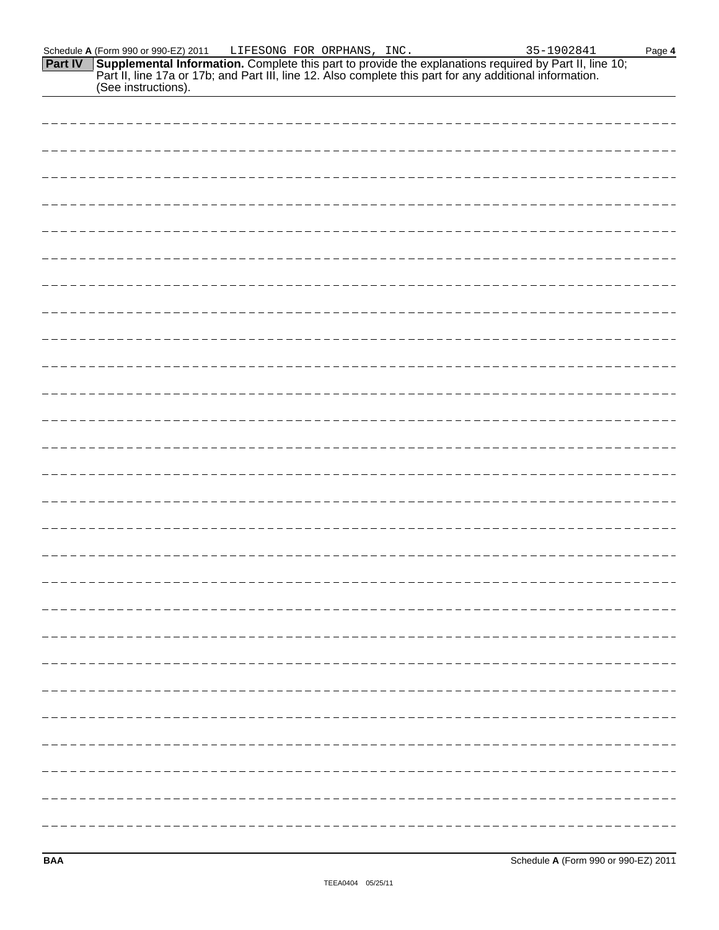| (See instructions). |
|---------------------|
|                     |
|                     |
|                     |
|                     |
|                     |
|                     |
|                     |
|                     |
|                     |
|                     |
|                     |
|                     |
|                     |
|                     |
|                     |
|                     |
|                     |
|                     |
|                     |
|                     |
|                     |
|                     |
|                     |
|                     |
|                     |

Schedule **A** (Form 990 or 990-EZ) 2011 LIFESONG FOR ORPHANS, INC. 35-1902841 Page 4

**Supplemental Information.** Complete this part to provide the explanations required by Part II, line 10; Part II, line 17a or 17b; and Part III, line 12. Also complete this part for any additional information.

**Part IV**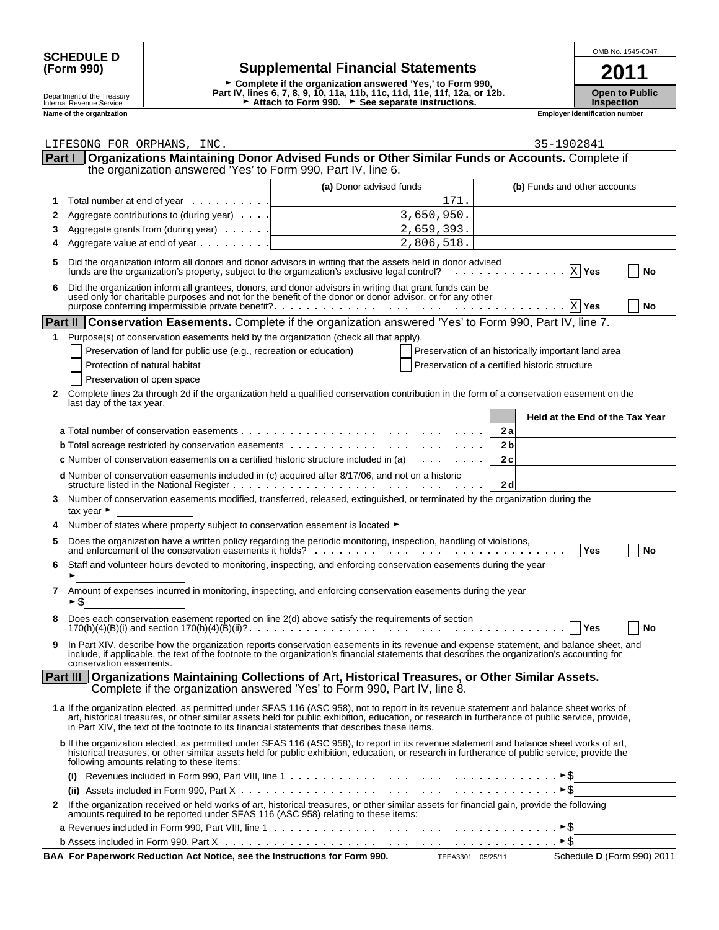| <b>SCHEDULE D</b> |                                          | OMB No. 1545-0047 |
|-------------------|------------------------------------------|-------------------|
| (Form 990)        | <b>Supplemental Financial Statements</b> | 2011              |

| (Form 990)                                             | <b>Supplemental Financial Statements</b>                                                                                        | 2011                             |
|--------------------------------------------------------|---------------------------------------------------------------------------------------------------------------------------------|----------------------------------|
|                                                        | ► Complete if the organization answered 'Yes.' to Form 990.                                                                     |                                  |
| Department of the Treasury<br>Internal Revenue Service | Part IV, lines 6, 7, 8, 9, 10, 11a, 11b, 11c, 11d, 11e, 11f, 12a, or 12b.<br>► Attach to Form 990. ► See separate instructions. | Open to Pub<br><b>Inspection</b> |

**Open to Public Inspection**

| Name of the organization |                        |
|--------------------------|------------------------|
|                          | Emplove <sup>.</sup>   |
|                          | * identification numb⊾ |
|                          |                        |

|              | LIFESONG FOR ORPHANS, INC.                                                                                                                                                                                                                                                                                                                                                                                                                               |                                                                                                                                                                           | 35-1902841                                          |
|--------------|----------------------------------------------------------------------------------------------------------------------------------------------------------------------------------------------------------------------------------------------------------------------------------------------------------------------------------------------------------------------------------------------------------------------------------------------------------|---------------------------------------------------------------------------------------------------------------------------------------------------------------------------|-----------------------------------------------------|
| Part I       |                                                                                                                                                                                                                                                                                                                                                                                                                                                          | Organizations Maintaining Donor Advised Funds or Other Similar Funds or Accounts. Complete if                                                                             |                                                     |
|              | the organization answered 'Yes' to Form 990, Part IV, line 6.                                                                                                                                                                                                                                                                                                                                                                                            |                                                                                                                                                                           |                                                     |
|              |                                                                                                                                                                                                                                                                                                                                                                                                                                                          | (a) Donor advised funds                                                                                                                                                   | (b) Funds and other accounts                        |
| 1            | Total number at end of year                                                                                                                                                                                                                                                                                                                                                                                                                              | 171.                                                                                                                                                                      |                                                     |
| 2            | Aggregate contributions to (during year)                                                                                                                                                                                                                                                                                                                                                                                                                 | 3,650,950.                                                                                                                                                                |                                                     |
| 3            | Aggregate grants from (during year)                                                                                                                                                                                                                                                                                                                                                                                                                      | 2,659,393.                                                                                                                                                                |                                                     |
| 4            | Aggregate value at end of year                                                                                                                                                                                                                                                                                                                                                                                                                           | 2,806,518.                                                                                                                                                                |                                                     |
| 5            | Did the organization inform all donors and donor advisors in writing that the assets held in donor advised<br>funds are the organization's property, subject to the organization's exclusive legal control?                                                                                                                                                                                                                                              |                                                                                                                                                                           | $X$ Yes<br>No                                       |
| 6            | Did the organization inform all grantees, donors, and donor advisors in writing that grant funds can be<br>used only for charitable purposes and not for the benefit of the donor or donor advisor, or for any other<br>purpose conferring impermissible private benefit?<br>experience in the context of the context of the context of the context of the context of the context of the context of the context of the context of the context of the con |                                                                                                                                                                           | $X$ Yes<br>No                                       |
|              | <b>Part II Conservation Easements.</b> Complete if the organization answered 'Yes' to Form 990, Part IV, line 7.                                                                                                                                                                                                                                                                                                                                         |                                                                                                                                                                           |                                                     |
| 1            | Purpose(s) of conservation easements held by the organization (check all that apply).                                                                                                                                                                                                                                                                                                                                                                    |                                                                                                                                                                           |                                                     |
|              | Preservation of land for public use (e.g., recreation or education)                                                                                                                                                                                                                                                                                                                                                                                      |                                                                                                                                                                           | Preservation of an historically important land area |
|              | Protection of natural habitat                                                                                                                                                                                                                                                                                                                                                                                                                            |                                                                                                                                                                           | Preservation of a certified historic structure      |
|              | Preservation of open space                                                                                                                                                                                                                                                                                                                                                                                                                               |                                                                                                                                                                           |                                                     |
| 2            | Complete lines 2a through 2d if the organization held a qualified conservation contribution in the form of a conservation easement on the<br>last day of the tax year.                                                                                                                                                                                                                                                                                   |                                                                                                                                                                           |                                                     |
|              |                                                                                                                                                                                                                                                                                                                                                                                                                                                          |                                                                                                                                                                           | Held at the End of the Tax Year                     |
|              |                                                                                                                                                                                                                                                                                                                                                                                                                                                          |                                                                                                                                                                           | 2a                                                  |
|              |                                                                                                                                                                                                                                                                                                                                                                                                                                                          |                                                                                                                                                                           | 2 <sub>b</sub>                                      |
|              | <b>c</b> Number of conservation easements on a certified historic structure included in (a) $\ldots \ldots \ldots$                                                                                                                                                                                                                                                                                                                                       |                                                                                                                                                                           | 2c                                                  |
|              |                                                                                                                                                                                                                                                                                                                                                                                                                                                          |                                                                                                                                                                           |                                                     |
|              | d Number of conservation easements included in (c) acquired after 8/17/06, and not on a historic                                                                                                                                                                                                                                                                                                                                                         |                                                                                                                                                                           | 2d                                                  |
| 3            | Number of conservation easements modified, transferred, released, extinguished, or terminated by the organization during the<br>tax year $\blacktriangleright$                                                                                                                                                                                                                                                                                           |                                                                                                                                                                           |                                                     |
|              | Number of states where property subject to conservation easement is located ▶                                                                                                                                                                                                                                                                                                                                                                            |                                                                                                                                                                           |                                                     |
| 5            | Does the organization have a written policy regarding the periodic monitoring, inspection, handling of violations,                                                                                                                                                                                                                                                                                                                                       |                                                                                                                                                                           | Yes<br>No                                           |
| 6            | Staff and volunteer hours devoted to monitoring, inspecting, and enforcing conservation easements during the year                                                                                                                                                                                                                                                                                                                                        |                                                                                                                                                                           |                                                     |
| 7            | Amount of expenses incurred in monitoring, inspecting, and enforcing conservation easements during the year<br>S                                                                                                                                                                                                                                                                                                                                         |                                                                                                                                                                           |                                                     |
|              | Does each conservation easement reported on line 2(d) above satisfy the requirements of section                                                                                                                                                                                                                                                                                                                                                          |                                                                                                                                                                           | Yes<br>No                                           |
|              | In Part XIV, describe how the organization reports conservation easements in its revenue and expense statement, and balance sheet, and<br>include, if applicable, the text of the footnote to the organization's financial statements that describes the organization's accounting for<br>conservation easements.                                                                                                                                        |                                                                                                                                                                           |                                                     |
|              | Part III                                                                                                                                                                                                                                                                                                                                                                                                                                                 | Organizations Maintaining Collections of Art, Historical Treasures, or Other Similar Assets.<br>Complete if the organization answered 'Yes' to Form 990, Part IV, line 8. |                                                     |
|              | 1 a If the organization elected, as permitted under SFAS 116 (ASC 958), not to report in its revenue statement and balance sheet works of<br>art, historical treasures, or other similar assets held for public exhibition, education, or research in furtherance of public service, provide,<br>in Part XIV, the text of the footnote to its financial statements that describes these items.                                                           |                                                                                                                                                                           |                                                     |
|              | b If the organization elected, as permitted under SFAS 116 (ASC 958), to report in its revenue statement and balance sheet works of art,<br>historical treasures, or other similar assets held for public exhibition, education, or research in furtherance of public service, provide the<br>following amounts relating to these items:                                                                                                                 |                                                                                                                                                                           |                                                     |
|              | (i)                                                                                                                                                                                                                                                                                                                                                                                                                                                      | Revenues included in Form 990, Part VIII, line 1 $\dots \dots \dots \dots \dots \dots \dots \dots \dots \dots \dots \dots \dots \dots \dots \dots \dots \dots$            |                                                     |
|              |                                                                                                                                                                                                                                                                                                                                                                                                                                                          |                                                                                                                                                                           |                                                     |
| $\mathbf{2}$ | If the organization received or held works of art, historical treasures, or other similar assets for financial gain, provide the following<br>amounts required to be reported under SFAS 116 (ASC 958) relating to these items:                                                                                                                                                                                                                          |                                                                                                                                                                           |                                                     |
|              |                                                                                                                                                                                                                                                                                                                                                                                                                                                          |                                                                                                                                                                           |                                                     |
|              |                                                                                                                                                                                                                                                                                                                                                                                                                                                          |                                                                                                                                                                           |                                                     |

**BAA For Paperwork Reduction Act Notice, see the Instructions for Form 990.** TEEA3301 05/25/11 Schedule D (Form 990) 2011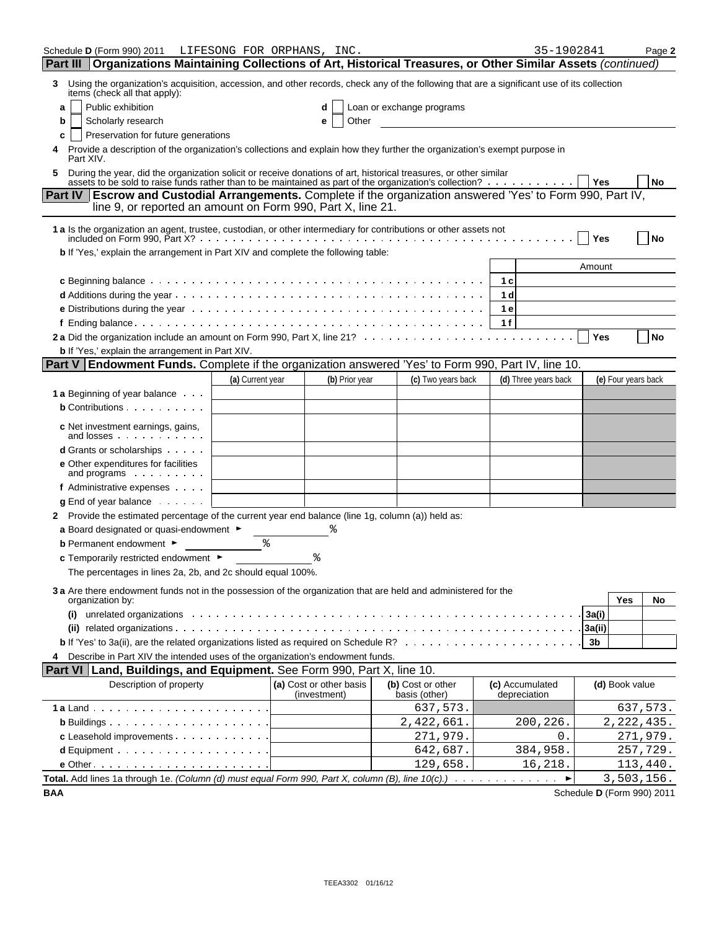| Schedule D (Form 990) 2011 LIFESONG FOR ORPHANS, INC.                                                                                                                                                                           |                  |                                         |                |                                    | 35-1902841                      |        |                     | Page 2                     |
|---------------------------------------------------------------------------------------------------------------------------------------------------------------------------------------------------------------------------------|------------------|-----------------------------------------|----------------|------------------------------------|---------------------------------|--------|---------------------|----------------------------|
| Part III   Organizations Maintaining Collections of Art, Historical Treasures, or Other Similar Assets (continued)                                                                                                              |                  |                                         |                |                                    |                                 |        |                     |                            |
| Using the organization's acquisition, accession, and other records, check any of the following that are a significant use of its collection<br>3<br>items (check all that apply):                                               |                  |                                         |                |                                    |                                 |        |                     |                            |
| Public exhibition<br>a                                                                                                                                                                                                          |                  | d                                       |                | Loan or exchange programs          |                                 |        |                     |                            |
| Scholarly research<br>b                                                                                                                                                                                                         |                  | е                                       | Other          |                                    |                                 |        |                     |                            |
| Preservation for future generations<br>c                                                                                                                                                                                        |                  |                                         |                |                                    |                                 |        |                     |                            |
| Provide a description of the organization's collections and explain how they further the organization's exempt purpose in<br>4<br>Part XIV.                                                                                     |                  |                                         |                |                                    |                                 |        |                     |                            |
| During the year, did the organization solicit or receive donations of art, historical treasures, or other similar assets to be sold to raise funds rather than to be maintained as part of the organization's collection?<br>5. |                  |                                         |                |                                    |                                 | l Yes  |                     | No                         |
| Escrow and Custodial Arrangements. Complete if the organization answered 'Yes' to Form 990, Part IV,<br><b>Part IV</b><br>line 9, or reported an amount on Form 990, Part X, line 21.                                           |                  |                                         |                |                                    |                                 |        |                     |                            |
| 1 a Is the organization an agent, trustee, custodian, or other intermediary for contributions or other assets not                                                                                                               |                  |                                         |                |                                    |                                 | Yes    |                     | No                         |
| b If 'Yes,' explain the arrangement in Part XIV and complete the following table:                                                                                                                                               |                  |                                         |                |                                    |                                 |        |                     |                            |
|                                                                                                                                                                                                                                 |                  |                                         |                |                                    |                                 | Amount |                     |                            |
|                                                                                                                                                                                                                                 |                  |                                         |                |                                    | 1 <sub>c</sub>                  |        |                     |                            |
|                                                                                                                                                                                                                                 |                  |                                         |                |                                    | 1 <sub>d</sub>                  |        |                     |                            |
|                                                                                                                                                                                                                                 |                  |                                         |                |                                    | 1 e                             |        |                     |                            |
|                                                                                                                                                                                                                                 |                  |                                         |                |                                    | 1f                              |        |                     |                            |
|                                                                                                                                                                                                                                 |                  |                                         |                |                                    |                                 | Yes    |                     | <b>No</b>                  |
| <b>b</b> If 'Yes,' explain the arrangement in Part XIV.                                                                                                                                                                         |                  |                                         |                |                                    |                                 |        |                     |                            |
| <b>Part V</b> Endowment Funds. Complete if the organization answered 'Yes' to Form 990, Part IV, line 10.                                                                                                                       |                  |                                         |                |                                    |                                 |        |                     |                            |
| 1 a Beginning of year balance                                                                                                                                                                                                   | (a) Current year |                                         | (b) Prior year | (c) Two years back                 | (d) Three years back            |        | (e) Four years back |                            |
| <b>b</b> Contributions                                                                                                                                                                                                          |                  |                                         |                |                                    |                                 |        |                     |                            |
|                                                                                                                                                                                                                                 |                  |                                         |                |                                    |                                 |        |                     |                            |
| c Net investment earnings, gains,<br>and losses                                                                                                                                                                                 |                  |                                         |                |                                    |                                 |        |                     |                            |
| <b>d</b> Grants or scholarships                                                                                                                                                                                                 |                  |                                         |                |                                    |                                 |        |                     |                            |
| e Other expenditures for facilities<br>and programs                                                                                                                                                                             |                  |                                         |                |                                    |                                 |        |                     |                            |
| f Administrative expenses                                                                                                                                                                                                       |                  |                                         |                |                                    |                                 |        |                     |                            |
| $g$ End of year balance $\cdots$                                                                                                                                                                                                |                  |                                         |                |                                    |                                 |        |                     |                            |
| 2 Provide the estimated percentage of the current year end balance (line 1g, column (a)) held as:                                                                                                                               |                  |                                         |                |                                    |                                 |        |                     |                            |
| a Board designated or quasi-endowment ►                                                                                                                                                                                         |                  |                                         |                |                                    |                                 |        |                     |                            |
| <b>b</b> Permanent endowment ►                                                                                                                                                                                                  |                  |                                         |                |                                    |                                 |        |                     |                            |
| c Temporarily restricted endowment ►<br>The percentages in lines 2a, 2b, and 2c should equal 100%.                                                                                                                              |                  |                                         |                |                                    |                                 |        |                     |                            |
|                                                                                                                                                                                                                                 |                  |                                         |                |                                    |                                 |        |                     |                            |
| 3 a Are there endowment funds not in the possession of the organization that are held and administered for the<br>organization by:                                                                                              |                  |                                         |                |                                    |                                 |        | Yes                 | No                         |
| (i) unrelated organizations with the contract of the contract of the contract of the contract of the contract of the contract of the contract of the contract of the contract of the contract of the contract of the contract   |                  |                                         |                |                                    |                                 | 3a(i)  |                     |                            |
|                                                                                                                                                                                                                                 |                  |                                         |                |                                    |                                 |        |                     |                            |
|                                                                                                                                                                                                                                 |                  |                                         |                |                                    |                                 | 3b     |                     |                            |
| Describe in Part XIV the intended uses of the organization's endowment funds.<br>4                                                                                                                                              |                  |                                         |                |                                    |                                 |        |                     |                            |
| <b>Part VI Land, Buildings, and Equipment.</b> See Form 990, Part X, line 10.                                                                                                                                                   |                  |                                         |                |                                    |                                 |        |                     |                            |
| Description of property                                                                                                                                                                                                         |                  | (a) Cost or other basis<br>(investment) |                | (b) Cost or other<br>basis (other) | (c) Accumulated<br>depreciation |        | (d) Book value      |                            |
|                                                                                                                                                                                                                                 |                  |                                         |                | 637,573.                           |                                 |        |                     | 637,573.                   |
| <b>b</b> Buildings $\ldots$ $\ldots$ $\ldots$ $\ldots$ $\ldots$ $\ldots$ $\ldots$ $\ldots$                                                                                                                                      |                  |                                         |                | 2,422,661.                         | 200,226.                        |        | 2, 222, 435.        |                            |
| c Leasehold improvements                                                                                                                                                                                                        |                  |                                         |                | 271,979.                           | 0.                              |        |                     | 271,979.                   |
| <b>d</b> Equipment $\cdots$ $\cdots$ $\cdots$ $\cdots$ $\cdots$ $\cdots$                                                                                                                                                        |                  |                                         |                | 642,687.                           | 384,958.                        |        |                     | 257,729.                   |
| $e$ Other $\cdots$ $\cdots$ $\cdots$ $\cdots$ $\cdots$ $\cdots$ $\cdots$ $\cdots$                                                                                                                                               |                  |                                         |                | 129,658.                           | 16,218.                         |        |                     | 113,440.                   |
| Total. Add lines 1a through 1e. (Column (d) must equal Form 990, Part X, column (B), line 10(c).)                                                                                                                               |                  |                                         |                |                                    |                                 |        | 3,503,156.          |                            |
| BAA                                                                                                                                                                                                                             |                  |                                         |                |                                    |                                 |        |                     | Schedule D (Form 990) 2011 |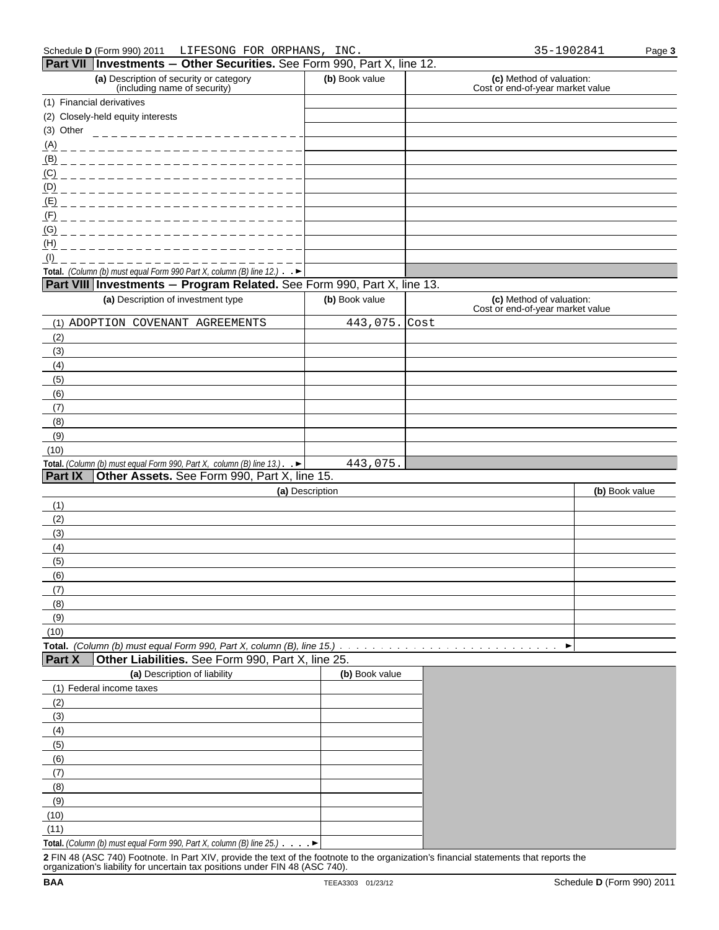|                | <b>Fail VII</b> Interstinents $-$ Other Securities. See Form 990, Fail A, line 12.          |                 |                                                              |                |
|----------------|---------------------------------------------------------------------------------------------|-----------------|--------------------------------------------------------------|----------------|
|                | (a) Description of security or category<br>(including name of security)                     | (b) Book value  | (c) Method of valuation:<br>Cost or end-of-year market value |                |
|                | (1) Financial derivatives                                                                   |                 |                                                              |                |
|                | (2) Closely-held equity interests                                                           |                 |                                                              |                |
|                |                                                                                             |                 |                                                              |                |
| (A)            | ____________________________                                                                |                 |                                                              |                |
| (B)            | ____________________________                                                                |                 |                                                              |                |
|                | <u>(C) ________________________</u>                                                         |                 |                                                              |                |
|                | <u>(D) _____________________</u>                                                            |                 |                                                              |                |
|                | <u>(E) ______________________</u>                                                           |                 |                                                              |                |
| (F)            | __________________________                                                                  |                 |                                                              |                |
| (G)            | _______________________                                                                     |                 |                                                              |                |
| (H)            |                                                                                             |                 |                                                              |                |
| (1)            |                                                                                             |                 |                                                              |                |
|                | Total. (Column (b) must equal Form 990 Part X, column (B) line 12.) $\rightarrow$           |                 |                                                              |                |
|                | Part VIII   Investments - Program Related. See Form 990, Part X, line 13.                   |                 |                                                              |                |
|                | (a) Description of investment type                                                          | (b) Book value  | (c) Method of valuation:<br>Cost or end-of-year market value |                |
|                | (1) ADOPTION COVENANT AGREEMENTS                                                            | 443,075. Cost   |                                                              |                |
| (2)            |                                                                                             |                 |                                                              |                |
| (3)            |                                                                                             |                 |                                                              |                |
| (4)            |                                                                                             |                 |                                                              |                |
| (5)            |                                                                                             |                 |                                                              |                |
| (6)            |                                                                                             |                 |                                                              |                |
| (7)            |                                                                                             |                 |                                                              |                |
| (8)            |                                                                                             |                 |                                                              |                |
| (9)            |                                                                                             |                 |                                                              |                |
| (10)           |                                                                                             |                 |                                                              |                |
|                | Total. (Column (b) must equal Form 990, Part X, column (B) line 13.). $\blacktriangleright$ | 443,075.        |                                                              |                |
| <b>Part IX</b> | Other Assets. See Form 990, Part X, line 15.                                                |                 |                                                              |                |
|                |                                                                                             | (a) Description |                                                              | (b) Book value |
| (1)            |                                                                                             |                 |                                                              |                |
| (2)            |                                                                                             |                 |                                                              |                |
| (3)<br>(4)     |                                                                                             |                 |                                                              |                |
| (5)            |                                                                                             |                 |                                                              |                |
| (6)            |                                                                                             |                 |                                                              |                |
| (7)            |                                                                                             |                 |                                                              |                |
| (8)            |                                                                                             |                 |                                                              |                |
| (9)            |                                                                                             |                 |                                                              |                |
| (10)           |                                                                                             |                 |                                                              |                |
|                | Total. (Column (b) must equal Form 990, Part X, column (B), line $15.$ ) $\ldots$           |                 |                                                              | ▶              |
| <b>Part X</b>  | Other Liabilities. See Form 990, Part X, line 25.                                           |                 |                                                              |                |
|                | (a) Description of liability                                                                | (b) Book value  |                                                              |                |
|                | (1) Federal income taxes                                                                    |                 |                                                              |                |
| (2)            |                                                                                             |                 |                                                              |                |
| (3)            |                                                                                             |                 |                                                              |                |
| (4)            |                                                                                             |                 |                                                              |                |
| (5)            |                                                                                             |                 |                                                              |                |
| (6)            |                                                                                             |                 |                                                              |                |
| (7)            |                                                                                             |                 |                                                              |                |
| (8)            |                                                                                             |                 |                                                              |                |
| (9)            |                                                                                             |                 |                                                              |                |
| (10)           |                                                                                             |                 |                                                              |                |
| (11)           |                                                                                             |                 |                                                              |                |

**Total.** *(Column (b) must equal Form 990, Part X, column (B) line 25.)*

**2** FIN 48 (ASC 740) Footnote. In Part XIV, provide the text of the footnote to the organization's financial statements that reports the organization's liability for uncertain tax positions under FIN 48 (ASC 740).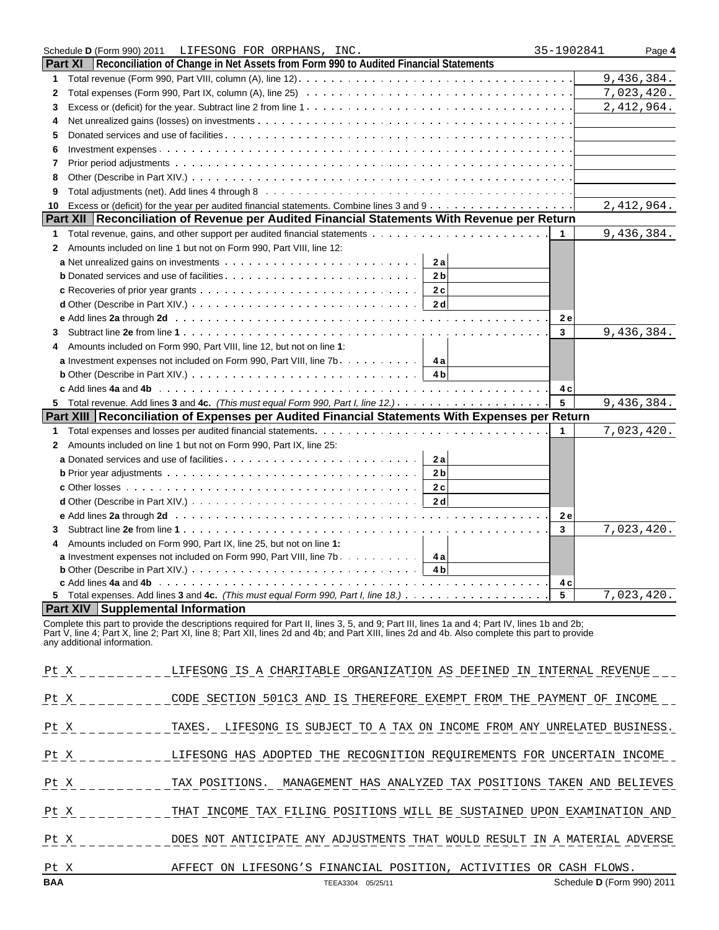|              | Schedule D (Form 990) 2011 LIFESONG FOR ORPHANS, INC.                                                                                                                                                                          | 35-1902841 | Page 4     |
|--------------|--------------------------------------------------------------------------------------------------------------------------------------------------------------------------------------------------------------------------------|------------|------------|
|              | <b>Part XI</b><br>Reconciliation of Change in Net Assets from Form 990 to Audited Financial Statements                                                                                                                         |            |            |
| 1            |                                                                                                                                                                                                                                |            | 9,436,384. |
| $\mathbf{2}$ |                                                                                                                                                                                                                                |            | 7,023,420. |
| 3            |                                                                                                                                                                                                                                |            | 2,412,964. |
| 4            |                                                                                                                                                                                                                                |            |            |
| 5            |                                                                                                                                                                                                                                |            |            |
| 6            |                                                                                                                                                                                                                                |            |            |
| 7            |                                                                                                                                                                                                                                |            |            |
| 8            |                                                                                                                                                                                                                                |            |            |
| 9            |                                                                                                                                                                                                                                |            |            |
| 10           |                                                                                                                                                                                                                                |            | 2,412,964. |
|              | Part XII   Reconciliation of Revenue per Audited Financial Statements With Revenue per Return                                                                                                                                  |            |            |
| 1            |                                                                                                                                                                                                                                |            | 9,436,384. |
| $\mathbf{2}$ | Amounts included on line 1 but not on Form 990, Part VIII, line 12:                                                                                                                                                            |            |            |
|              | 2a                                                                                                                                                                                                                             |            |            |
|              | 2 <sub>b</sub>                                                                                                                                                                                                                 |            |            |
|              | 2c                                                                                                                                                                                                                             |            |            |
|              | 2 <sub>d</sub>                                                                                                                                                                                                                 |            |            |
|              |                                                                                                                                                                                                                                | 2e         |            |
| 3            |                                                                                                                                                                                                                                | 3          | 9,436,384. |
| 4            | Amounts included on Form 990, Part VIII, line 12, but not on line 1:                                                                                                                                                           |            |            |
|              | <b>a</b> Investment expenses not included on Form 990, Part VIII, line $7b$<br>4al                                                                                                                                             |            |            |
|              | <b>b</b> Other (Describe in Part XIV.) $\ldots \ldots \ldots \ldots \ldots \ldots \ldots \ldots \ldots \ldots \ldots \ldots$                                                                                                   |            |            |
|              |                                                                                                                                                                                                                                | 4 c        |            |
| 5.           |                                                                                                                                                                                                                                | 5          | 9,436,384. |
|              | Part XIII Reconciliation of Expenses per Audited Financial Statements With Expenses per Return                                                                                                                                 |            |            |
| 1            |                                                                                                                                                                                                                                | 1          | 7,023,420. |
| 2            | Amounts included on line 1 but not on Form 990, Part IX, line 25:                                                                                                                                                              |            |            |
|              | 2a                                                                                                                                                                                                                             |            |            |
|              | 2 <sub>b</sub>                                                                                                                                                                                                                 |            |            |
|              | c Other losses $\ldots \ldots \ldots \ldots \ldots \ldots \ldots \ldots \ldots \ldots \ldots \ldots \ldots$<br>2c                                                                                                              |            |            |
|              | 2d<br><b>d</b> Other (Describe in Part XIV.) $\ldots$ $\ldots$ $\ldots$ $\ldots$ $\ldots$ $\ldots$ $\ldots$ $\ldots$ $\ldots$ $\ldots$                                                                                         |            |            |
|              | e Add lines 2a through 2d (a) and a contract of the contract of the contract of the contract of the contract of the contract of the contract of the contract of the contract of the contract of the contract of the contract o | 2e         |            |
| 3            |                                                                                                                                                                                                                                | 3          | 7,023,420. |
| 4            | Amounts included on Form 990, Part IX, line 25, but not on line 1:                                                                                                                                                             |            |            |
|              | <b>a</b> Investment expenses not included on Form 990, Part VIII, line 7b. $\dots$ 4 <b>a</b>                                                                                                                                  |            |            |
|              | 4 <sub>b</sub>                                                                                                                                                                                                                 |            |            |
|              |                                                                                                                                                                                                                                | 4 c        |            |
|              |                                                                                                                                                                                                                                | 5          | 7,023,420. |
|              | <b>Part XIV   Supplemental Information</b>                                                                                                                                                                                     |            |            |

Complete this part to provide the descriptions required for Part II, lines 3, 5, and 9; Part III, lines 1a and 4; Part IV, lines 1b and 2b; Part V, line 4; Part X, line 2; Part XI, line 8; Part XII, lines 2d and 4b; and Part XIII, lines 2d and 4b. Also complete this part to provide any additional information.

| <b>BAA</b> | TEEA3304 05/25/11                                                                                    | Schedule D (Form 990) 2011 |
|------------|------------------------------------------------------------------------------------------------------|----------------------------|
| Pt X       | AFFECT ON LIFESONG'S FINANCIAL POSITION, ACTIVITIES OR CASH FLOWS.                                   |                            |
|            | Pt X 6 DOES NOT ANTICIPATE ANY ADJUSTMENTS THAT WOULD RESULT IN A MATERIAL ADVERSE                   |                            |
|            | Pt X THAT INCOME TAX FILING POSITIONS WILL BE SUSTAINED UPON EXAMINATION AND                         |                            |
| Pt X       | TAX POSITIONS.  MANAGEMENT HAS ANALYZED TAX POSITIONS TAKEN AND BELIEVES                             |                            |
|            | Pt X Government Construction ALIFESONG HAS ADOPTED THE RECOGNITION REQUIREMENTS FOR UNCERTAIN INCOME |                            |
|            | Pt X TAXES. LIFESONG IS SUBJECT TO A TAX ON INCOME FROM ANY UNRELATED BUSINESS.                      |                            |
| Pt X       | CODE SECTION 501C3 AND IS THEREFORE EXEMPT FROM THE PAYMENT OF INCOME                                |                            |
|            | Pt X                       LIFESONG IS A CHARITABLE ORGANIZATION AS DEFINED IN INTERNAL REVENUE      |                            |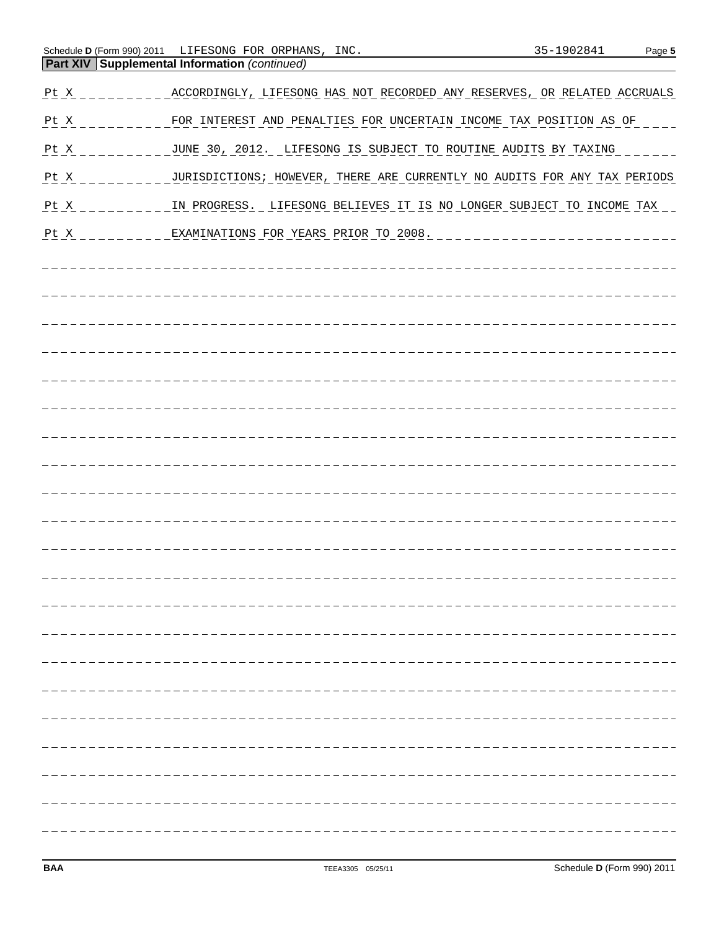| $Pt_ X$ | ACCORDINGLY, LIFESONG HAS NOT RECORDED ANY RESERVES, OR RELATED ACCRUALS                |
|---------|-----------------------------------------------------------------------------------------|
|         | Pt X _________ FOR INTEREST AND PENALTIES FOR UNCERTAIN INCOME TAX POSITION AS OF       |
|         |                                                                                         |
|         | Pt X ________ JURISDICTIONS; HOWEVER, THERE ARE CURRENTLY NO AUDITS FOR ANY TAX PERIODS |
| $Pt_ X$ | IN PROGRESS. LIFESONG BELIEVES IT IS NO LONGER SUBJECT TO INCOME TAX                    |
| $Pt_ X$ | ___EXAMINATIONS_FOR_YEARS_PRIOR_TO_2008._________________________                       |
|         |                                                                                         |
|         |                                                                                         |
|         |                                                                                         |
|         |                                                                                         |
|         |                                                                                         |
|         |                                                                                         |
|         |                                                                                         |
|         |                                                                                         |
|         |                                                                                         |
|         |                                                                                         |
|         |                                                                                         |
|         |                                                                                         |
|         |                                                                                         |
|         |                                                                                         |
|         |                                                                                         |
|         |                                                                                         |
|         |                                                                                         |
|         |                                                                                         |
|         |                                                                                         |
|         |                                                                                         |
|         |                                                                                         |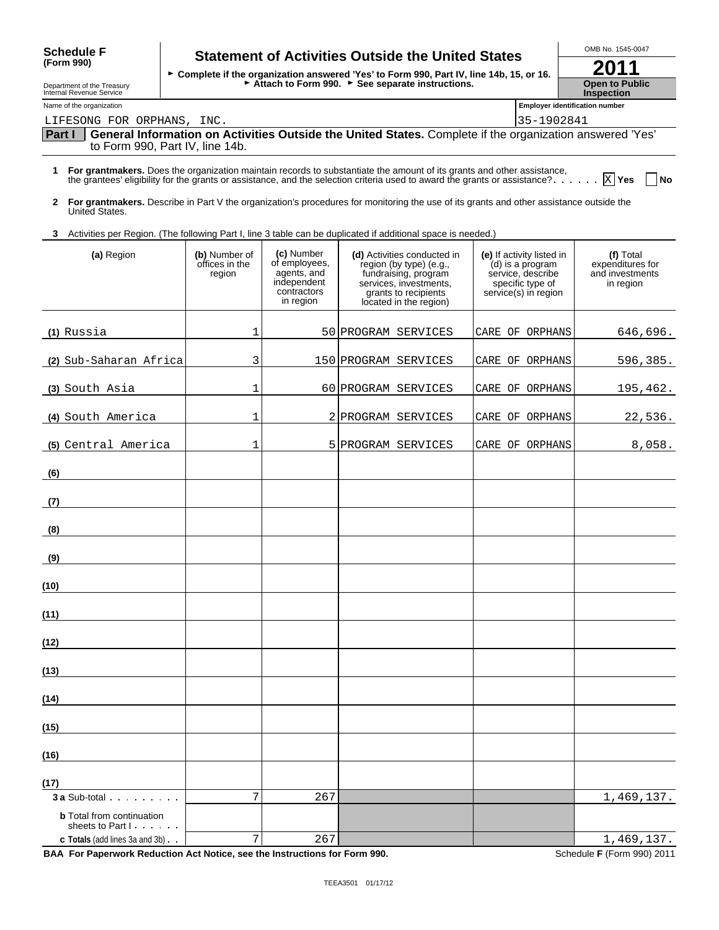| Department of the Treasury<br>Internal Revenue Service                                                                   |                                           |                                                                                       | Attach to Form 990. See separate instructions.                                                                                                             |                                                                                                                | <b>Open to Public</b><br><b>Inspection</b>                    |
|--------------------------------------------------------------------------------------------------------------------------|-------------------------------------------|---------------------------------------------------------------------------------------|------------------------------------------------------------------------------------------------------------------------------------------------------------|----------------------------------------------------------------------------------------------------------------|---------------------------------------------------------------|
| Name of the organization                                                                                                 |                                           |                                                                                       |                                                                                                                                                            |                                                                                                                | <b>Employer identification number</b>                         |
| LIFESONG FOR ORPHANS, INC.                                                                                               |                                           |                                                                                       |                                                                                                                                                            | 35-1902841                                                                                                     |                                                               |
| Part I                                                                                                                   |                                           |                                                                                       | General Information on Activities Outside the United States. Complete if the organization answered 'Yes'                                                   |                                                                                                                |                                                               |
| to Form 990, Part IV, line 14b.                                                                                          |                                           |                                                                                       |                                                                                                                                                            |                                                                                                                |                                                               |
| 1 For grantmakers. Does the organization maintain records to substantiate the amount of its grants and other assistance, |                                           |                                                                                       | the grantees' eligibility for the grants or assistance, and the selection criteria used to award the grants or assistance? $\boxed{\text{X}}$ Yes          |                                                                                                                | <b>No</b>                                                     |
| $\mathbf{2}$<br>United States.                                                                                           |                                           |                                                                                       | For grantmakers. Describe in Part V the organization's procedures for monitoring the use of its grants and other assistance outside the                    |                                                                                                                |                                                               |
| 3 Activities per Region. (The following Part I, line 3 table can be duplicated if additional space is needed.)           |                                           |                                                                                       |                                                                                                                                                            |                                                                                                                |                                                               |
| (a) Region                                                                                                               | (b) Number of<br>offices in the<br>region | (c) Number<br>of employees,<br>agents, and<br>independent<br>contractors<br>in region | (d) Activities conducted in<br>region (by type) (e.g.,<br>fundraising, program<br>services, investments,<br>grants to recipients<br>located in the region) | (e) If activity listed in<br>(d) is a program<br>service, describe<br>specific type of<br>service(s) in region | (f) Total<br>expenditures for<br>and investments<br>in region |
| (1) Russia                                                                                                               | 1                                         |                                                                                       | 50 PROGRAM SERVICES                                                                                                                                        | CARE OF ORPHANS                                                                                                | 646,696.                                                      |
| (2) Sub-Saharan Africa                                                                                                   | 3                                         |                                                                                       | 150 PROGRAM SERVICES                                                                                                                                       | CARE OF ORPHANS                                                                                                | 596,385.                                                      |
| (3) South Asia                                                                                                           | 1                                         |                                                                                       | 60 PROGRAM SERVICES                                                                                                                                        | CARE OF ORPHANS                                                                                                | 195,462.                                                      |
| (4) South America                                                                                                        | 1                                         |                                                                                       | 2 PROGRAM SERVICES                                                                                                                                         | CARE OF ORPHANS                                                                                                | 22,536.                                                       |
| (5) Central America                                                                                                      | 1                                         |                                                                                       | 5 PROGRAM SERVICES                                                                                                                                         | CARE OF ORPHANS                                                                                                | 8,058.                                                        |
| (6)                                                                                                                      |                                           |                                                                                       |                                                                                                                                                            |                                                                                                                |                                                               |
| (7)                                                                                                                      |                                           |                                                                                       |                                                                                                                                                            |                                                                                                                |                                                               |
| (8)                                                                                                                      |                                           |                                                                                       |                                                                                                                                                            |                                                                                                                |                                                               |
| (9)                                                                                                                      |                                           |                                                                                       |                                                                                                                                                            |                                                                                                                |                                                               |
| (10)                                                                                                                     |                                           |                                                                                       |                                                                                                                                                            |                                                                                                                |                                                               |
| (11)                                                                                                                     |                                           |                                                                                       |                                                                                                                                                            |                                                                                                                |                                                               |
| (12)                                                                                                                     |                                           |                                                                                       |                                                                                                                                                            |                                                                                                                |                                                               |
| (13)                                                                                                                     |                                           |                                                                                       |                                                                                                                                                            |                                                                                                                |                                                               |
| (14)                                                                                                                     |                                           |                                                                                       |                                                                                                                                                            |                                                                                                                |                                                               |
| (15)                                                                                                                     |                                           |                                                                                       |                                                                                                                                                            |                                                                                                                |                                                               |
| (16)                                                                                                                     |                                           |                                                                                       |                                                                                                                                                            |                                                                                                                |                                                               |
| (17)                                                                                                                     |                                           |                                                                                       |                                                                                                                                                            |                                                                                                                |                                                               |
| <b>3 a</b> Sub-total                                                                                                     | 7                                         | 267                                                                                   |                                                                                                                                                            |                                                                                                                | 1,469,137.                                                    |
| <b>b</b> Total from continuation<br>sheets to Part I                                                                     |                                           |                                                                                       |                                                                                                                                                            |                                                                                                                |                                                               |
| c Totals (add lines 3a and 3b)                                                                                           | 7                                         | 267                                                                                   |                                                                                                                                                            |                                                                                                                | 1,469,137.                                                    |

**BAA For Paperwork Reduction Act Notice, see the Instructions for Form 990.** Schedule **F** (Form 990) 2011

| oongaalo l<br>(Form 990) |  |  |
|--------------------------|--|--|
|                          |  |  |

## Schedule F Statement of Activities Outside the United States  $\frac{\text{OMB No. 1545-0047}}{0.044}$ Schedule F **Statement of Activities Outside the United States**<br>
Form 990) Form 990, Part IV, line 14b, 15, or 16.

| 201                   |
|-----------------------|
| <b>Open to Public</b> |
| <b>Inspection</b>     |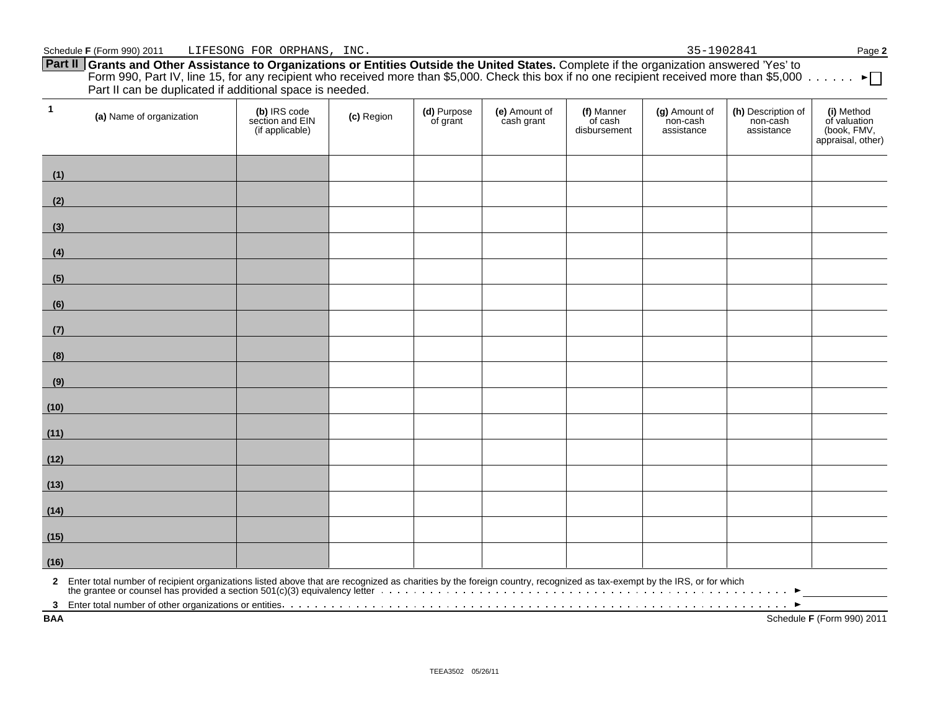**Part II Grants and Other Assistance to Organizations or Entities Outside the United States.** Complete if the organization answered 'Yes' to Form 990, Part IV, line 15, for any recipient who received more than \$5,000. Check this box if no one recipient received more than \$5,000 Part II can be duplicated if additional space is needed.

| $\overline{1}$ | (a) Name of organization                                                                                                                                                                                                             | (b) IRS code<br>section and EIN<br>(if applicable) | (c) Region | (d) Purpose<br>of grant | (e) Amount of<br>cash grant | (f) Manner<br>of cash<br>disbursement | (g) Amount of<br>non-cash<br>assistance | (h) Description of<br>non-cash<br>assistance | (i) Method<br>of valuation<br>(book, FMV,<br>appraisal, other) |
|----------------|--------------------------------------------------------------------------------------------------------------------------------------------------------------------------------------------------------------------------------------|----------------------------------------------------|------------|-------------------------|-----------------------------|---------------------------------------|-----------------------------------------|----------------------------------------------|----------------------------------------------------------------|
| (1)            |                                                                                                                                                                                                                                      |                                                    |            |                         |                             |                                       |                                         |                                              |                                                                |
| (2)            |                                                                                                                                                                                                                                      |                                                    |            |                         |                             |                                       |                                         |                                              |                                                                |
| (3)            | <u> 1990 - Jan Jawa Barat, pre</u>                                                                                                                                                                                                   |                                                    |            |                         |                             |                                       |                                         |                                              |                                                                |
| (4)            |                                                                                                                                                                                                                                      |                                                    |            |                         |                             |                                       |                                         |                                              |                                                                |
| (5)            | <u> 1999 - Jan Barbara III, maskin</u>                                                                                                                                                                                               |                                                    |            |                         |                             |                                       |                                         |                                              |                                                                |
| (6)            |                                                                                                                                                                                                                                      |                                                    |            |                         |                             |                                       |                                         |                                              |                                                                |
| (7)            | <u> 1999 - Johann Barnett, fransk politiker (</u>                                                                                                                                                                                    |                                                    |            |                         |                             |                                       |                                         |                                              |                                                                |
| (8)            | <u> 1990 - Johann Barnett, fransk politik (</u>                                                                                                                                                                                      |                                                    |            |                         |                             |                                       |                                         |                                              |                                                                |
| (9)            | <u> Antonio de la contenentación de la contenentación de la contenentación de la contenentación de la contenentación de la contenentación de la contenentación de la contenentación de la contenentación de la contenentación de</u> |                                                    |            |                         |                             |                                       |                                         |                                              |                                                                |
| (10)           | <u> Tanzania (h. 1878).</u>                                                                                                                                                                                                          |                                                    |            |                         |                             |                                       |                                         |                                              |                                                                |
| (11)           | <u> 1989 - Johann Barnett, fransk politiker (</u>                                                                                                                                                                                    |                                                    |            |                         |                             |                                       |                                         |                                              |                                                                |
| (12)           |                                                                                                                                                                                                                                      |                                                    |            |                         |                             |                                       |                                         |                                              |                                                                |
| (13)           | <u> 1989 - Johann Barnett, fransk politik (</u>                                                                                                                                                                                      |                                                    |            |                         |                             |                                       |                                         |                                              |                                                                |
| (14)           | <u> 1990 - Johann Barnett, fransk politiker (</u>                                                                                                                                                                                    |                                                    |            |                         |                             |                                       |                                         |                                              |                                                                |
| (15)           | <u> 1990 - Johann Barbara, martxa a</u>                                                                                                                                                                                              |                                                    |            |                         |                             |                                       |                                         |                                              |                                                                |
| (16)           |                                                                                                                                                                                                                                      |                                                    |            |                         |                             |                                       |                                         |                                              |                                                                |
|                | 2 Enter total number of recipient organizations listed above that are recognized as charities by the foreign country, recognized as tax-exempt by the IRS, or for which<br>the grantee or counsel has provided a section 501(c)(3    |                                                    |            |                         |                             |                                       |                                         |                                              |                                                                |
| <b>BAA</b>     |                                                                                                                                                                                                                                      |                                                    |            |                         |                             |                                       |                                         |                                              | Schedule F (Form 990) 2011                                     |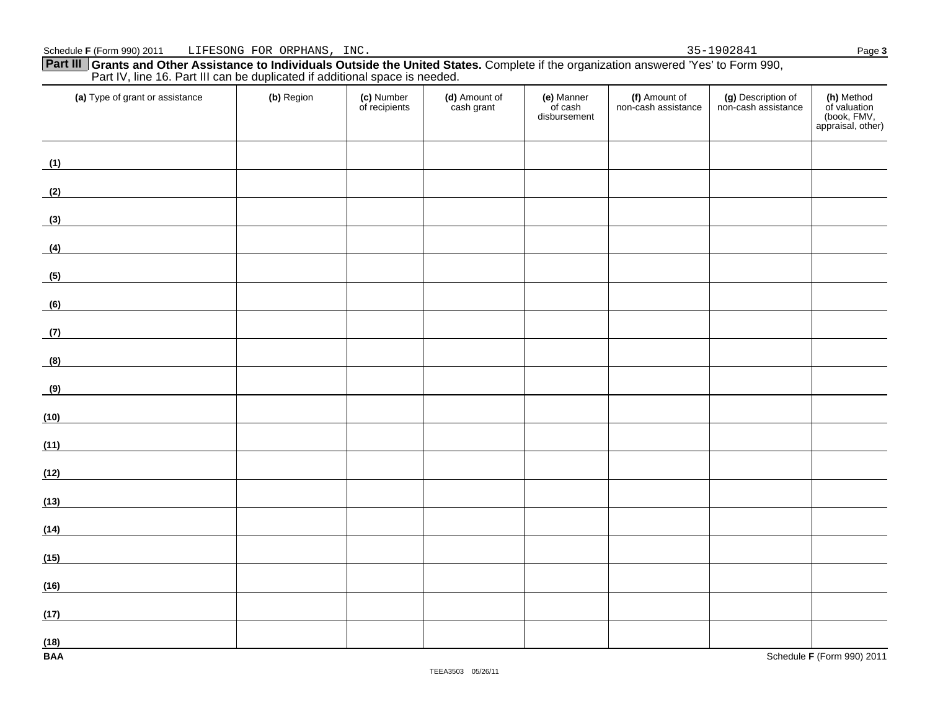### **Part III Grants and Other Assistance to Individuals Outside the United States.** Complete if the organization answered 'Yes' to Form 990, Part IV, line 16. Part III can be duplicated if additional space is needed.

| (a) Type of grant or assistance                                                                                             | (b) Region | (c) Number<br>of recipients | (d) Amount of<br>cash grant | (e) Manner<br>of cash<br>disbursement | (f) Amount of<br>non-cash assistance | (g) Description of<br>non-cash assistance | (h) Method<br>of valuation<br>(book, FMV,<br>appraisal, other) |
|-----------------------------------------------------------------------------------------------------------------------------|------------|-----------------------------|-----------------------------|---------------------------------------|--------------------------------------|-------------------------------------------|----------------------------------------------------------------|
| (1)                                                                                                                         |            |                             |                             |                                       |                                      |                                           |                                                                |
| (2)                                                                                                                         |            |                             |                             |                                       |                                      |                                           |                                                                |
| (3)<br>$\overline{\phantom{a}}$                                                                                             |            |                             |                             |                                       |                                      |                                           |                                                                |
| (4)                                                                                                                         |            |                             |                             |                                       |                                      |                                           |                                                                |
| (5)                                                                                                                         |            |                             |                             |                                       |                                      |                                           |                                                                |
| (6)                                                                                                                         |            |                             |                             |                                       |                                      |                                           |                                                                |
| (7)                                                                                                                         |            |                             |                             |                                       |                                      |                                           |                                                                |
| (8)                                                                                                                         |            |                             |                             |                                       |                                      |                                           |                                                                |
| (9)                                                                                                                         |            |                             |                             |                                       |                                      |                                           |                                                                |
| (10)<br><u> 1980 - Johann Barn, mars eta bainar eta baina eta baina eta baina eta baina eta baina eta baina eta baina e</u> |            |                             |                             |                                       |                                      |                                           |                                                                |
| (11)                                                                                                                        |            |                             |                             |                                       |                                      |                                           |                                                                |
| (12)                                                                                                                        |            |                             |                             |                                       |                                      |                                           |                                                                |
| (13)                                                                                                                        |            |                             |                             |                                       |                                      |                                           |                                                                |
| (14)                                                                                                                        |            |                             |                             |                                       |                                      |                                           |                                                                |
| (15)<br><u> 1989 - Andrea Station Barbara (b. 1989)</u>                                                                     |            |                             |                             |                                       |                                      |                                           |                                                                |
| (16)                                                                                                                        |            |                             |                             |                                       |                                      |                                           |                                                                |
| (17)<br><u> 1990 - Jan Barat, politik politik (</u>                                                                         |            |                             |                             |                                       |                                      |                                           |                                                                |
| (18)<br><b>BAA</b>                                                                                                          |            |                             |                             |                                       |                                      |                                           | Schedule F (Form 990) 2011                                     |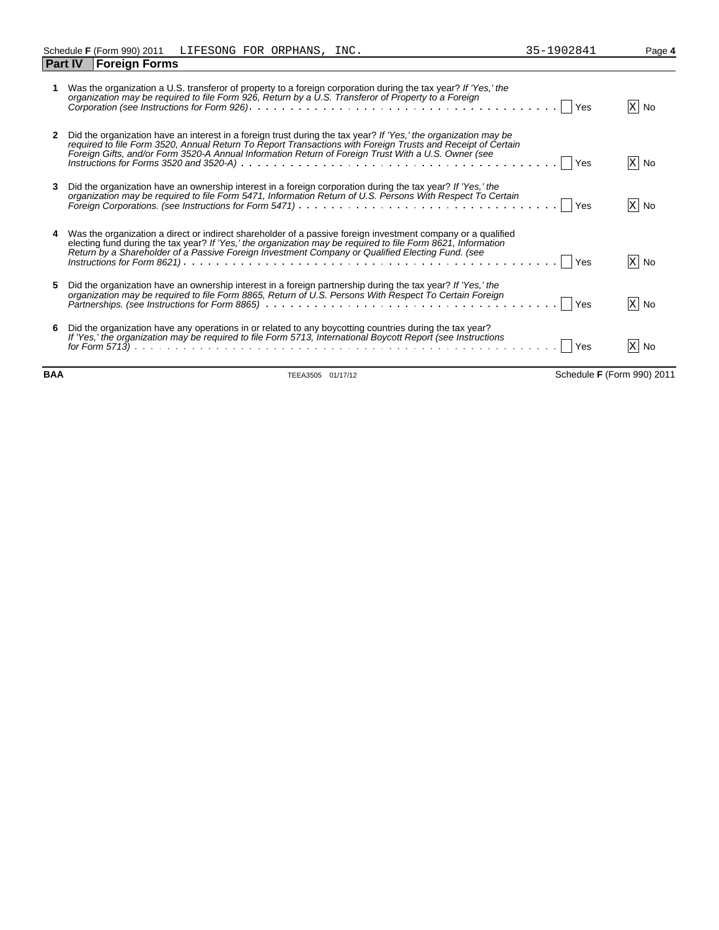**Part IV Foreign Forms**

|    | Was the organization a U.S. transferor of property to a foreign corporation during the tax year? If 'Yes,' the<br>organization may be required to file Form 926, Return by a U.S. Transferor of Property to a Foreign                                                                                                                                                                                                                                                                  | X No |
|----|----------------------------------------------------------------------------------------------------------------------------------------------------------------------------------------------------------------------------------------------------------------------------------------------------------------------------------------------------------------------------------------------------------------------------------------------------------------------------------------|------|
| 2  | Did the organization have an interest in a foreign trust during the tax year? If 'Yes,' the organization may be<br>required to file Form 3520, Annual Return To Report Transactions with Foreign Trusts and Receipt of Certain<br>Foreign Gifts, and/or Form 3520-A Annual Information Return of Foreign Trust With a U.S. Owner (see                                                                                                                                                  | X No |
| 3. | Did the organization have an ownership interest in a foreign corporation during the tax year? If 'Yes,' the<br>organization may be required to file Form 5471, Information Return of U.S. Persons With Respect To Certain                                                                                                                                                                                                                                                              | X No |
|    | 4 Was the organization a direct or indirect shareholder of a passive foreign investment company or a qualified<br>electing fund during the tax year? If 'Yes,' the organization may be required to file Form 8621, Information<br>Return by a Shareholder of a Passive Foreign Investment Company or Qualified Electing Fund. (see<br>Instructions for Form 8621) $\ldots$ $\ldots$ $\ldots$ $\ldots$ $\ldots$ $\ldots$ $\ldots$ $\ldots$ $\ldots$ $\ldots$ $\ldots$ $\ldots$ $\ldots$ | X No |
| 5. | Did the organization have an ownership interest in a foreign partnership during the tax year? If 'Yes,' the<br>organization may be required to file Form 8865, Return of U.S. Persons With Respect To Certain Foreign                                                                                                                                                                                                                                                                  | X No |
|    | 6 Did the organization have any operations in or related to any boycotting countries during the tax year?<br>If 'Yes,' the organization may be required to file Form 5713, International Boycott Report (see Instructions                                                                                                                                                                                                                                                              |      |

*for Form 5713)* Yes No

**BAA** TEEA3505 01/17/12 Schedule **F** (Form 990) 2011

X No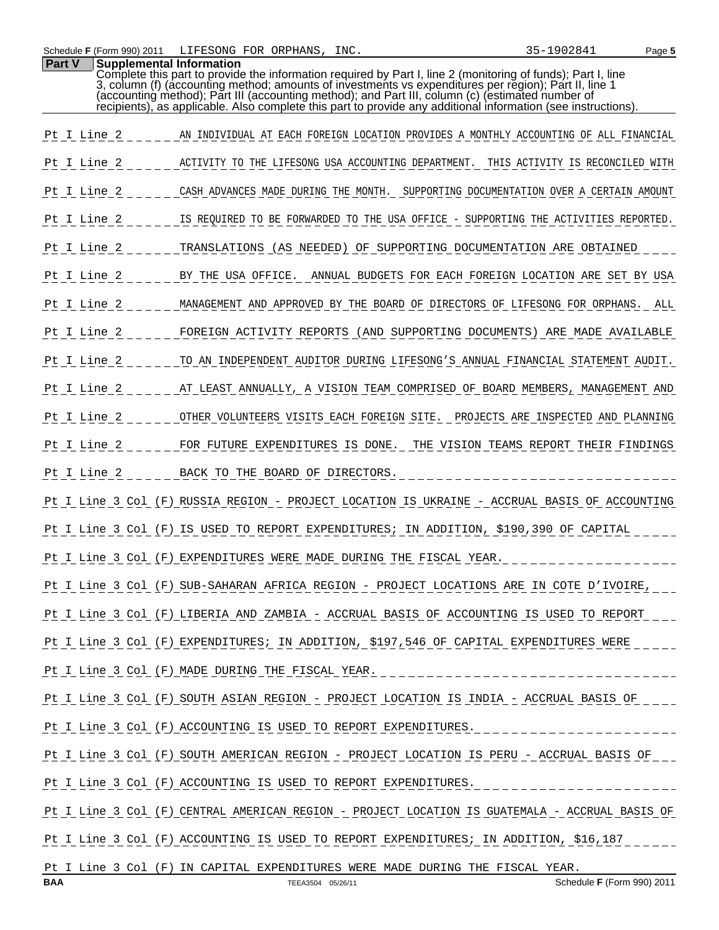**Part V Supplemental Information**

|             | recipients), as applicable. Also complete this part to provide any additional information (see instructions). |
|-------------|---------------------------------------------------------------------------------------------------------------|
| Pt I Line 2 | AN INDIVIDUAL AT EACH FOREIGN LOCATION PROVIDES A MONTHLY ACCOUNTING OF ALL FINANCIAL                         |
| Pt I Line 2 | ACTIVITY TO THE LIFESONG USA ACCOUNTING DEPARTMENT. THIS ACTIVITY IS RECONCILED WITH                          |
| Pt I Line 2 | CASH ADVANCES MADE DURING THE MONTH. SUPPORTING DOCUMENTATION OVER A CERTAIN AMOUNT                           |
| Pt I Line 2 | IS REQUIRED TO BE FORWARDED TO THE USA OFFICE - SUPPORTING THE ACTIVITIES REPORTED.                           |
| Pt I Line 2 | TRANSLATIONS (AS NEEDED) OF SUPPORTING DOCUMENTATION ARE OBTAINED                                             |
| Pt I Line 2 | BY THE USA OFFICE. ANNUAL BUDGETS FOR EACH FOREIGN LOCATION ARE SET BY USA                                    |
| Pt I Line 2 | MANAGEMENT AND APPROVED BY THE BOARD OF DIRECTORS OF LIFESONG FOR ORPHANS. ALL                                |
| Pt I Line 2 | FOREIGN ACTIVITY REPORTS (AND SUPPORTING DOCUMENTS) ARE MADE AVAILABLE                                        |
| Pt I Line 2 | TO AN INDEPENDENT AUDITOR DURING LIFESONG'S ANNUAL FINANCIAL STATEMENT AUDIT.                                 |
| Pt I Line 2 | AT LEAST ANNUALLY, A VISION TEAM COMPRISED OF BOARD MEMBERS, MANAGEMENT AND                                   |
| Pt I Line 2 | OTHER VOLUNTEERS VISITS EACH FOREIGN SITE. PROJECTS ARE INSPECTED AND PLANNING                                |
| Pt I Line 2 | FOR FUTURE EXPENDITURES IS DONE. THE VISION TEAMS REPORT THEIR FINDINGS                                       |
| Pt I Line 2 | BACK TO THE BOARD OF DIRECTORS.                                                                               |
|             | Pt I Line 3 Col (F) RUSSIA REGION - PROJECT LOCATION IS UKRAINE - ACCRUAL BASIS OF ACCOUNTING                 |
|             | Pt I Line 3 Col (F) IS USED TO REPORT EXPENDITURES; IN ADDITION, \$190,390 OF CAPITAL                         |
|             | Pt I Line 3 Col (F) EXPENDITURES WERE MADE DURING THE FISCAL YEAR.                                            |
|             | Pt I Line 3 Col (F) SUB-SAHARAN AFRICA REGION - PROJECT LOCATIONS ARE IN COTE D'IVOIRE,                       |
|             | Pt I Line 3 Col (F) LIBERIA AND ZAMBIA - ACCRUAL BASIS OF ACCOUNTING IS USED TO REPORT                        |
|             | Pt I Line 3 Col (F) EXPENDITURES; IN ADDITION, \$197,546 OF CAPITAL EXPENDITURES WERE                         |
|             | Pt I_Line 3 Col (F) MADE DURING THE FISCAL YEAR. _______________________________                              |
|             | Pt I Line 3 Col (F) SOUTH ASIAN REGION - PROJECT LOCATION IS INDIA - ACCRUAL BASIS OF ____                    |
|             | Pt I Line 3 Col (F) ACCOUNTING IS USED TO REPORT EXPENDITURES.                                                |
|             | Pt I Line 3 Col (F) SOUTH AMERICAN REGION - PROJECT LOCATION IS PERU - ACCRUAL BASIS OF                       |
|             | Pt I Line 3 Col (F) ACCOUNTING IS USED TO REPORT EXPENDITURES.                                                |
|             | Pt I Line 3 Col (F) CENTRAL AMERICAN REGION - PROJECT LOCATION IS GUATEMALA - ACCRUAL BASIS OF                |
|             | Pt I Line 3 Col (F) ACCOUNTING IS USED TO REPORT EXPENDITURES; IN ADDITION, \$16,187                          |
|             | Pt I Line 3 Col (F) IN CAPITAL EXPENDITURES WERE MADE DURING THE FISCAL YEAR.                                 |

Complete this part to provide the information required by Part I, line 2 (monitoring of funds); Part I, line 3, column (f) (accounting method; amounts of investments vs expenditures per region); Part II, line 1 (accounting method); Part III (accounting method); and Part III, column (c) (estimated number of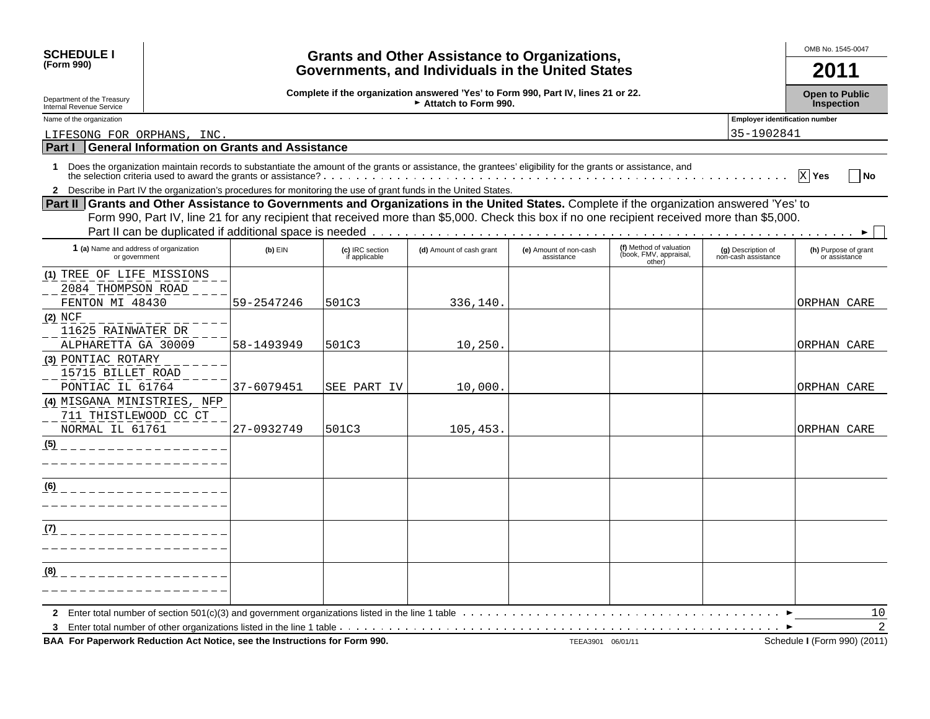| <b>SCHEDULE I</b>                                                                                                                                                                                                                                                                         |                                                                                                           |                                  | <b>Grants and Other Assistance to Organizations,</b> |                                      |                                                             |                                           | OMB No. 1545-0047                     |  |
|-------------------------------------------------------------------------------------------------------------------------------------------------------------------------------------------------------------------------------------------------------------------------------------------|-----------------------------------------------------------------------------------------------------------|----------------------------------|------------------------------------------------------|--------------------------------------|-------------------------------------------------------------|-------------------------------------------|---------------------------------------|--|
| (Form 990)                                                                                                                                                                                                                                                                                |                                                                                                           |                                  | Governments, and Individuals in the United States    |                                      |                                                             |                                           | 2011                                  |  |
| Department of the Treasury<br>Internal Revenue Service                                                                                                                                                                                                                                    | Complete if the organization answered 'Yes' to Form 990, Part IV, lines 21 or 22.<br>Attatch to Form 990. |                                  |                                                      |                                      |                                                             |                                           |                                       |  |
| <b>Employer identification number</b><br>Name of the organization                                                                                                                                                                                                                         |                                                                                                           |                                  |                                                      |                                      |                                                             |                                           |                                       |  |
| LIFESONG FOR ORPHANS, INC                                                                                                                                                                                                                                                                 |                                                                                                           |                                  |                                                      |                                      |                                                             | 35-1902841                                |                                       |  |
| Part I<br><b>General Information on Grants and Assistance</b>                                                                                                                                                                                                                             |                                                                                                           |                                  |                                                      |                                      |                                                             |                                           |                                       |  |
| 1 Does the organization maintain records to substantiate the amount of the grants or assistance, the grantees' eligibility for the grants or assistance, and                                                                                                                              |                                                                                                           |                                  |                                                      |                                      |                                                             |                                           | $X$ Yes<br>l No                       |  |
| Describe in Part IV the organization's procedures for monitoring the use of grant funds in the United States.<br>$\mathbf{2}$                                                                                                                                                             |                                                                                                           |                                  |                                                      |                                      |                                                             |                                           |                                       |  |
| Part II Grants and Other Assistance to Governments and Organizations in the United States. Complete if the organization answered 'Yes' to<br>Form 990, Part IV, line 21 for any recipient that received more than \$5,000. Check this box if no one recipient received more than \$5,000. |                                                                                                           |                                  |                                                      |                                      |                                                             |                                           |                                       |  |
| 1 (a) Name and address of organization<br>or government                                                                                                                                                                                                                                   | $(b)$ EIN                                                                                                 | (c) IRC section<br>if applicable | (d) Amount of cash grant                             | (e) Amount of non-cash<br>assistance | (f) Method of valuation<br>(book, FMV, appraisal,<br>other) | (g) Description of<br>non-cash assistance | (h) Purpose of grant<br>or assistance |  |
| (1) TREE OF LIFE MISSIONS<br>2084 THOMPSON ROAD<br>FENTON MI 48430                                                                                                                                                                                                                        | 59-2547246                                                                                                | 501C3                            | 336,140.                                             |                                      |                                                             |                                           | ORPHAN CARE                           |  |
| (2) NCF                                                                                                                                                                                                                                                                                   |                                                                                                           |                                  |                                                      |                                      |                                                             |                                           |                                       |  |
| 11625 RAINWATER DR                                                                                                                                                                                                                                                                        |                                                                                                           |                                  |                                                      |                                      |                                                             |                                           |                                       |  |
| ALPHARETTA GA 30009                                                                                                                                                                                                                                                                       | 58-1493949                                                                                                | 501C3                            | 10, 250.                                             |                                      |                                                             |                                           | ORPHAN CARE                           |  |
| (3) PONTIAC ROTARY<br>15715 BILLET ROAD                                                                                                                                                                                                                                                   |                                                                                                           |                                  |                                                      |                                      |                                                             |                                           |                                       |  |
| PONTIAC IL 61764                                                                                                                                                                                                                                                                          | 37-6079451                                                                                                | SEE PART IV                      | 10,000.                                              |                                      |                                                             |                                           | ORPHAN CARE                           |  |
| (4) MISGANA MINISTRIES, NFP<br>711 THISTLEWOOD CC CT                                                                                                                                                                                                                                      |                                                                                                           |                                  |                                                      |                                      |                                                             |                                           |                                       |  |
| NORMAL IL 61761                                                                                                                                                                                                                                                                           | 27-0932749                                                                                                | 501C3                            | 105, 453.                                            |                                      |                                                             |                                           | ORPHAN CARE                           |  |
| (5)                                                                                                                                                                                                                                                                                       |                                                                                                           |                                  |                                                      |                                      |                                                             |                                           |                                       |  |
| (6)                                                                                                                                                                                                                                                                                       |                                                                                                           |                                  |                                                      |                                      |                                                             |                                           |                                       |  |
| (7)                                                                                                                                                                                                                                                                                       |                                                                                                           |                                  |                                                      |                                      |                                                             |                                           |                                       |  |
|                                                                                                                                                                                                                                                                                           |                                                                                                           |                                  |                                                      |                                      |                                                             |                                           |                                       |  |
| (8)                                                                                                                                                                                                                                                                                       |                                                                                                           |                                  |                                                      |                                      |                                                             |                                           |                                       |  |
| $\mathbf{2}$                                                                                                                                                                                                                                                                              |                                                                                                           |                                  |                                                      |                                      |                                                             |                                           | 10                                    |  |
| 3<br>BAA For Paperwork Reduction Act Notice, see the Instructions for Form 990.                                                                                                                                                                                                           |                                                                                                           |                                  |                                                      | TEEA3901 06/01/11                    |                                                             |                                           | 2<br>Schedule I (Form 990) (2011)     |  |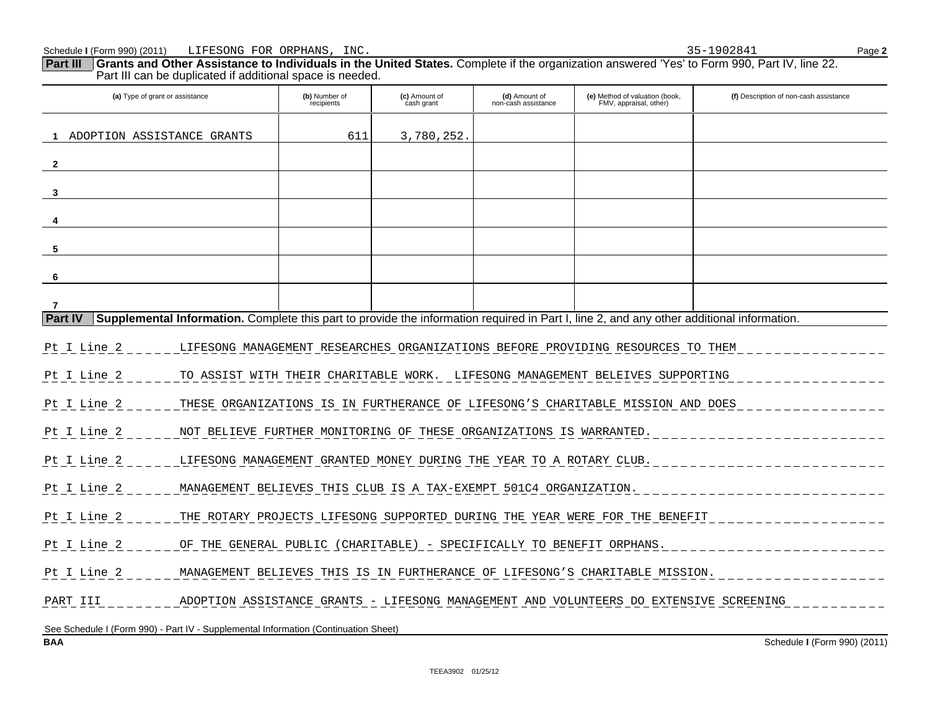**Part III** Grants and Other Assistance to Individuals in the United States. Complete if the organization answered 'Yes' to Form 990, Part IV, line 22. Part III can be duplicated if additional space is needed.

| (a) Type of grant or assistance                                                     |                                                                                        | (b) Number of<br>recipients | (c) Amount of<br>cash grant                                         | (d) Amount of<br>non-cash assistance | (e) Method of valuation (book,<br>FMV, appraisal, other)                                                                                  | (f) Description of non-cash assistance |
|-------------------------------------------------------------------------------------|----------------------------------------------------------------------------------------|-----------------------------|---------------------------------------------------------------------|--------------------------------------|-------------------------------------------------------------------------------------------------------------------------------------------|----------------------------------------|
| ADOPTION ASSISTANCE GRANTS                                                          |                                                                                        | 611                         | 3,780,252.                                                          |                                      |                                                                                                                                           |                                        |
| $\overline{2}$                                                                      |                                                                                        |                             |                                                                     |                                      |                                                                                                                                           |                                        |
| 3                                                                                   |                                                                                        |                             |                                                                     |                                      |                                                                                                                                           |                                        |
|                                                                                     |                                                                                        |                             |                                                                     |                                      |                                                                                                                                           |                                        |
| 5                                                                                   |                                                                                        |                             |                                                                     |                                      |                                                                                                                                           |                                        |
| 6                                                                                   |                                                                                        |                             |                                                                     |                                      |                                                                                                                                           |                                        |
| 7                                                                                   |                                                                                        |                             |                                                                     |                                      |                                                                                                                                           |                                        |
| <b>Part IV</b>                                                                      |                                                                                        |                             |                                                                     |                                      | Supplemental Information. Complete this part to provide the information required in Part I, line 2, and any other additional information. |                                        |
|                                                                                     |                                                                                        |                             |                                                                     |                                      |                                                                                                                                           |                                        |
| Pt I Line 2                                                                         |                                                                                        |                             |                                                                     |                                      | LIFESONG MANAGEMENT RESEARCHES ORGANIZATIONS BEFORE PROVIDING RESOURCES TO THEM                                                           |                                        |
| Pt I Line 2                                                                         |                                                                                        |                             |                                                                     |                                      | TO ASSIST WITH THEIR CHARITABLE WORK. LIFESONG MANAGEMENT BELEIVES SUPPORTING                                                             |                                        |
| Pt I Line 2                                                                         |                                                                                        |                             |                                                                     |                                      | THESE ORGANIZATIONS IS IN FURTHERANCE OF LIFESONG'S CHARITABLE MISSION AND DOES                                                           |                                        |
| Pt I Line 2                                                                         |                                                                                        |                             | NOT BELIEVE FURTHER MONITORING OF THESE ORGANIZATIONS IS WARRANTED. |                                      |                                                                                                                                           |                                        |
| Pt I Line 2                                                                         | LIFESONG MANAGEMENT GRANTED MONEY DURING THE YEAR TO A ROTARY CLUB.                    |                             |                                                                     |                                      |                                                                                                                                           |                                        |
| Pt I Line 2                                                                         |                                                                                        |                             | MANAGEMENT BELIEVES THIS CLUB IS A TAX-EXEMPT 501C4 ORGANIZATION.   |                                      |                                                                                                                                           |                                        |
| Pt I Line 2                                                                         |                                                                                        |                             |                                                                     |                                      | THE ROTARY PROJECTS LIFESONG SUPPORTED DURING THE YEAR WERE FOR THE BENEFIT                                                               |                                        |
| Pt I Line 2                                                                         | OF THE GENERAL PUBLIC (CHARITABLE) - SPECIFICALLY TO BENEFIT ORPHANS.                  |                             |                                                                     |                                      |                                                                                                                                           |                                        |
| Pt I Line 2                                                                         | MANAGEMENT BELIEVES THIS IS IN FURTHERANCE OF LIFESONG'S CHARITABLE MISSION.           |                             |                                                                     |                                      |                                                                                                                                           |                                        |
| PART III                                                                            | ADOPTION ASSISTANCE GRANTS - LIFESONG MANAGEMENT AND VOLUNTEERS DO EXTENSIVE SCREENING |                             |                                                                     |                                      |                                                                                                                                           |                                        |
|                                                                                     |                                                                                        |                             |                                                                     |                                      |                                                                                                                                           |                                        |
| See Schedule I (Form 990) - Part IV - Supplemental Information (Continuation Sheet) |                                                                                        |                             |                                                                     |                                      |                                                                                                                                           |                                        |
| <b>BAA</b>                                                                          |                                                                                        |                             |                                                                     |                                      |                                                                                                                                           | Schedule I (Form 990) (2011)           |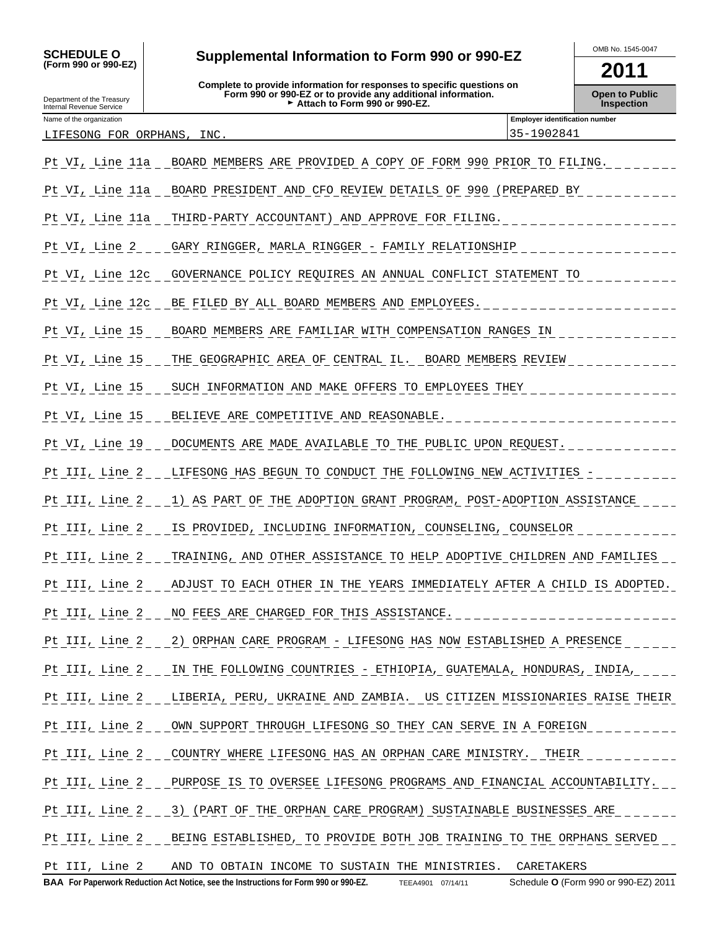**(Form 990 or 990-EZ)**

Department of the Treasury Internal Revenue Service

## SCHEDULE O Supplemental Information to Form 990 or 990-EZ MB No. 1545-0047

**Complete to provide information for responses to specific questions on Form 990 or 990-EZ or to provide any additional information.** G **Attach to Form 990 or 990-EZ.**

**2011**

**Open to Public Inspection**

| Name of the organization        | <b>Employer identification number</b> |
|---------------------------------|---------------------------------------|
| INC.<br>LIFESONG FOR<br>ORPHANS | 902841<br>$h -$                       |
|                                 |                                       |

| Pt VI, Line 11a     | BOARD MEMBERS ARE PROVIDED A COPY OF FORM 990 PRIOR TO FILING.                        |
|---------------------|---------------------------------------------------------------------------------------|
| Pt VI, Line 11a     | BOARD PRESIDENT AND CFO REVIEW DETAILS OF 990 (PREPARED BY                            |
| Pt VI, Line 11a     | THIRD-PARTY ACCOUNTANT) AND APPROVE FOR FILING.                                       |
| $Pt_VI$ , Line $2$  | GARY RINGGER, MARLA RINGGER - FAMILY RELATIONSHIP                                     |
| Pt VI, Line 12c     | GOVERNANCE POLICY REQUIRES AN ANNUAL CONFLICT STATEMENT TO                            |
| Pt VI, Line 12c     | BE FILED BY ALL BOARD MEMBERS AND EMPLOYEES.                                          |
| Pt VI, Line 15      | BOARD MEMBERS ARE FAMILIAR WITH COMPENSATION RANGES IN                                |
| Pt VI, Line 15      | THE GEOGRAPHIC AREA OF CENTRAL IL. BOARD MEMBERS REVIEW                               |
| Pt VI, Line 15      | SUCH INFORMATION AND MAKE OFFERS TO EMPLOYEES THEY                                    |
| Pt VI, Line 15      | BELIEVE ARE COMPETITIVE AND REASONABLE.                                               |
| Pt VI, Line 19      | DOCUMENTS ARE MADE AVAILABLE TO THE PUBLIC UPON REQUEST.                              |
| Pt III, Line 2      | LIFESONG HAS BEGUN TO CONDUCT THE FOLLOWING NEW ACTIVITIES -                          |
| Pt $III$ , Line $2$ | 1) AS PART OF THE ADOPTION GRANT PROGRAM, POST-ADOPTION ASSISTANCE                    |
| Pt $III, Line 2$    | IS PROVIDED, INCLUDING INFORMATION, COUNSELING, COUNSELOR                             |
| Pt III, Line 2      | TRAINING, AND OTHER ASSISTANCE TO HELP ADOPTIVE CHILDREN AND FAMILIES                 |
| $Pt$ III, Line $2$  | ADJUST TO EACH OTHER IN THE YEARS IMMEDIATELY AFTER A CHILD IS ADOPTED.               |
| Pt III, Line 2      | NO FEES ARE CHARGED FOR THIS ASSISTANCE.                                              |
|                     | Pt III, Line 2 _ _ 2) ORPHAN CARE PROGRAM - LIFESONG HAS NOW ESTABLISHED A PRESENCE   |
| Pt III, Line 2      | IN THE FOLLOWING COUNTRIES - ETHIOPIA, GUATEMALA, HONDURAS, INDIA,                    |
|                     | Pt III, Line 2 LIBERIA, PERU, UKRAINE AND ZAMBIA. US CITIZEN MISSIONARIES RAISE THEIR |
|                     | Pt III, Line 2 OWN SUPPORT THROUGH LIFESONG SO THEY CAN SERVE IN A FOREIGN            |
|                     | Pt III, Line 2 COUNTRY WHERE LIFESONG HAS AN ORPHAN CARE MINISTRY. THEIR              |
|                     | Pt III, Line 2 PURPOSE IS TO OVERSEE LIFESONG PROGRAMS AND FINANCIAL ACCOUNTABILITY.  |
|                     | Pt III, Line 2 3) (PART OF THE ORPHAN CARE PROGRAM) SUSTAINABLE BUSINESSES ARE        |
|                     | Pt III, Line 2 BEING ESTABLISHED, TO PROVIDE BOTH JOB TRAINING TO THE ORPHANS SERVED  |
|                     | Pt III, Line 2 AND TO OBTAIN INCOME TO SUSTAIN THE MINISTRIES. CARETAKERS             |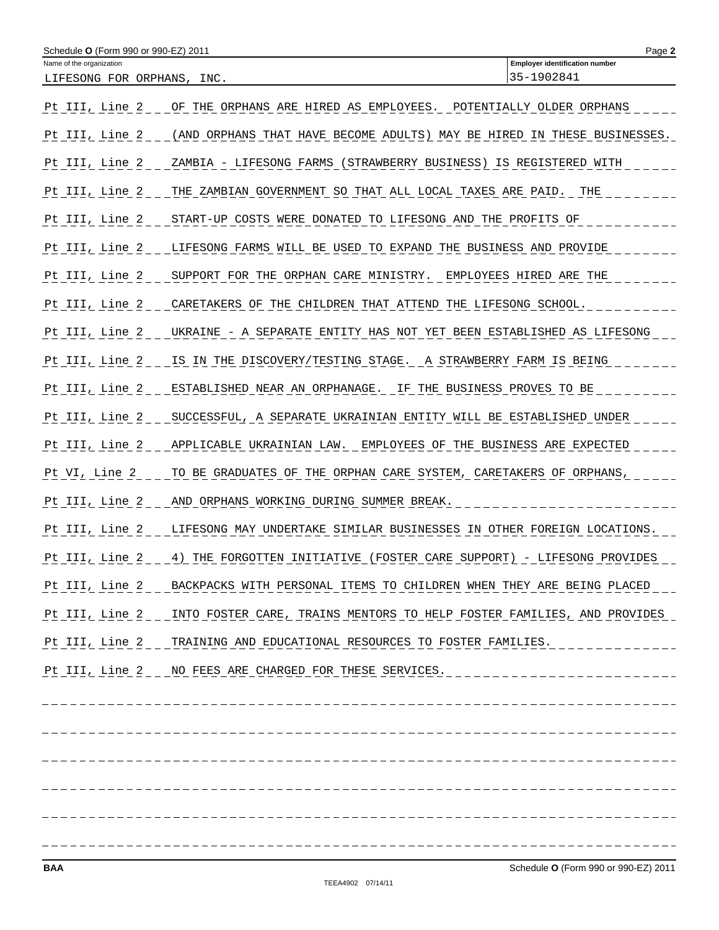| Schedule <b>O</b> (Form 990 or 990-EZ) 2011            |                                                                                       | Page 2                                              |
|--------------------------------------------------------|---------------------------------------------------------------------------------------|-----------------------------------------------------|
| Name of the organization<br>LIFESONG FOR ORPHANS, INC. |                                                                                       | <b>Employer identification number</b><br>35-1902841 |
| Pt III, Line 2                                         | OF THE ORPHANS ARE HIRED AS EMPLOYEES. POTENTIALLY OLDER ORPHANS                      |                                                     |
| Pt III, Line 2                                         | (AND ORPHANS THAT HAVE BECOME ADULTS) MAY BE HIRED IN THESE BUSINESSES.               |                                                     |
| Pt III, Line 2                                         | ZAMBIA - LIFESONG FARMS (STRAWBERRY BUSINESS) IS REGISTERED WITH                      |                                                     |
| Pt III, Line 2                                         | THE ZAMBIAN GOVERNMENT SO THAT ALL LOCAL TAXES ARE PAID. THE                          |                                                     |
| Pt III, Line 2                                         | START-UP COSTS WERE DONATED TO LIFESONG AND THE PROFITS OF                            |                                                     |
| <u>Pt III, Line 2</u>                                  | LIFESONG FARMS WILL BE USED TO EXPAND THE BUSINESS AND PROVIDE                        |                                                     |
| Pt III, Line 2                                         | SUPPORT FOR THE ORPHAN CARE MINISTRY. EMPLOYEES HIRED ARE THE                         |                                                     |
| Pt III, Line 2                                         | CARETAKERS OF THE CHILDREN THAT ATTEND THE LIFESONG SCHOOL.                           |                                                     |
| Pt III, Line 2                                         | UKRAINE - A SEPARATE ENTITY HAS NOT YET BEEN ESTABLISHED AS LIFESONG                  |                                                     |
| Pt III, Line 2                                         | IS IN THE DISCOVERY/TESTING STAGE. A STRAWBERRY FARM IS BEING                         |                                                     |
| Pt III, Line 2                                         | ESTABLISHED NEAR AN ORPHANAGE. IF THE BUSINESS PROVES TO BE                           |                                                     |
|                                                        | Pt III, Line 2 SUCCESSFUL, A SEPARATE UKRAINIAN ENTITY WILL BE ESTABLISHED UNDER      |                                                     |
| Pt III, Line 2                                         | APPLICABLE UKRAINIAN LAW. EMPLOYEES OF THE BUSINESS ARE EXPECTED                      |                                                     |
| Pt VI, Line 2                                          | TO BE GRADUATES OF THE ORPHAN CARE SYSTEM, CARETAKERS OF ORPHANS,                     |                                                     |
| Pt III, Line 2                                         | AND ORPHANS WORKING DURING SUMMER BREAK.                                              |                                                     |
| Pt III, Line 2                                         | LIFESONG MAY UNDERTAKE SIMILAR BUSINESSES IN OTHER FOREIGN LOCATIONS.                 |                                                     |
| Pt III, Line 2                                         | 4) THE FORGOTTEN INITIATIVE (FOSTER CARE SUPPORT) - LIFESONG PROVIDES                 |                                                     |
|                                                        | Pt III, Line 2 BACKPACKS WITH PERSONAL ITEMS TO CHILDREN WHEN THEY ARE BEING PLACED   |                                                     |
|                                                        | Pt III, Line 2 INTO FOSTER CARE, TRAINS MENTORS TO HELP FOSTER FAMILIES, AND PROVIDES |                                                     |
|                                                        | Pt III, Line 2 TRAINING AND EDUCATIONAL RESOURCES TO FOSTER FAMILIES.                 |                                                     |
|                                                        | Pt III, Line 2 NO FEES ARE CHARGED FOR THESE SERVICES.                                | __________________________                          |
|                                                        |                                                                                       | -------------------                                 |
|                                                        |                                                                                       |                                                     |
|                                                        |                                                                                       |                                                     |
|                                                        |                                                                                       |                                                     |
|                                                        |                                                                                       |                                                     |
|                                                        |                                                                                       |                                                     |
| <b>BAA</b>                                             |                                                                                       | Schedule O (Form 990 or 990-EZ) 2011                |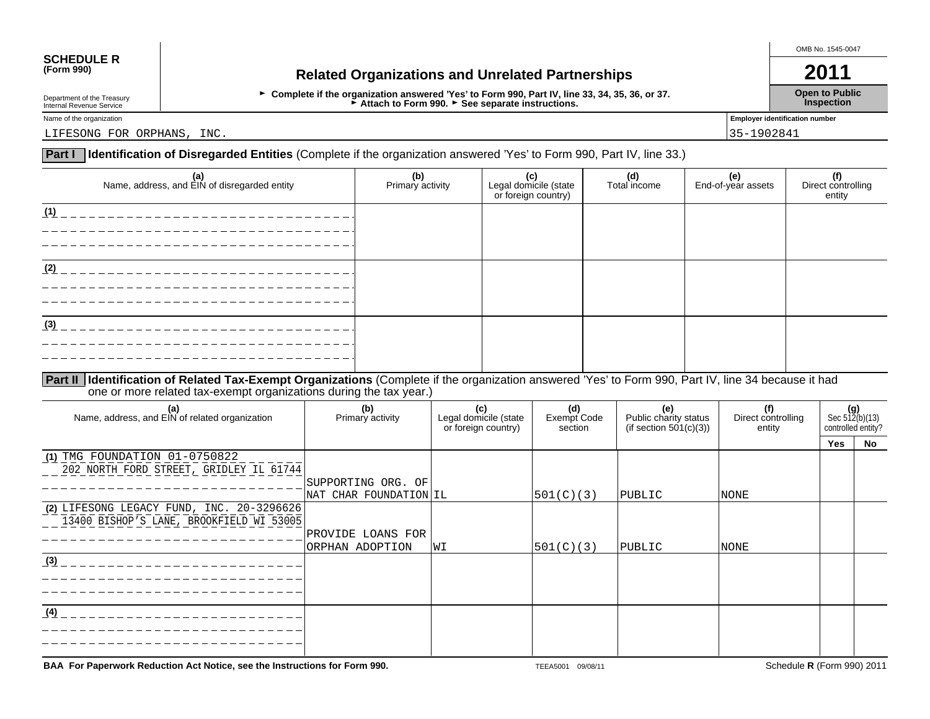# **SCHEDULE R**<br>(Form 990)

## **(Form 990) Related Organizations and Unrelated Partnerships 2011**

G **Complete if the organization answered 'Yes' to Form 990, Part IV, line 33, 34, 35, 36, or 37.** Attach to Form 990. Case separate instructions.

OMB No. 1545-0047

**Open to Public Inspection**

Department of the Treasury Internal Revenue Service

Name of the organization **Employer identification number Employer identification number** 

LIFESONG FOR ORPHANS, INC. 2002/04/12 and 2003/04/2003 15-1902/04/12 and 2004/2004 15-1902/04/12 and 2004/2004

## **Identification of Disregarded Entities** (Complete if the organization answered 'Yes' to Form 990, Part IV, line 33.) **Part I**

| (a)<br>Name, address, and EIN of disregarded entity                                                                                                    | (b)<br>Primary activity | (c)<br>Legal domicile (state<br>or foreign country) | (d)<br>Total income | (e)<br>End-of-year assets | (f)<br>Direct controlling<br>entity |
|--------------------------------------------------------------------------------------------------------------------------------------------------------|-------------------------|-----------------------------------------------------|---------------------|---------------------------|-------------------------------------|
| (1)<br>_____________________                                                                                                                           |                         |                                                     |                     |                           |                                     |
|                                                                                                                                                        |                         |                                                     |                     |                           |                                     |
| (2)                                                                                                                                                    |                         |                                                     |                     |                           |                                     |
|                                                                                                                                                        |                         |                                                     |                     |                           |                                     |
| (3)                                                                                                                                                    |                         |                                                     |                     |                           |                                     |
|                                                                                                                                                        |                         |                                                     |                     |                           |                                     |
| Part II   Identification of Related Tax-Exempt Organizations (Complete if the organization answered 'Yes' to Form 990, Part IV, line 34 because it had |                         |                                                     |                     |                           |                                     |

one or more related tax-exempt organizations during the tax year.)

| (a)<br>Name, address, and EIN of related organization                                 | (b)<br>Primary activity | (c)<br>Legal domicile (state<br>or foreign country) | (d)<br>Exempt Code<br>section | (e)<br>Public charity status<br>(if section $501(c)(3)$ ) | (f)<br>Direct controlling<br>entity | Sec $512(b)(13)$<br>controlled entity? |    |
|---------------------------------------------------------------------------------------|-------------------------|-----------------------------------------------------|-------------------------------|-----------------------------------------------------------|-------------------------------------|----------------------------------------|----|
|                                                                                       |                         |                                                     |                               |                                                           |                                     | Yes                                    | No |
| $(1)$ TMG FOUNDATION $01-0750822$                                                     |                         |                                                     |                               |                                                           |                                     |                                        |    |
| 202 NORTH FORD STREET, GRIDLEY IL 61744                                               |                         |                                                     |                               |                                                           |                                     |                                        |    |
|                                                                                       | SUPPORTING ORG. OF      |                                                     |                               |                                                           |                                     |                                        |    |
|                                                                                       | NAT CHAR FOUNDATION IL  |                                                     | 501(C)(3)                     | PUBLIC                                                    | <b>NONE</b>                         |                                        |    |
| (2) LIFESONG LEGACY FUND, INC. 20-3296626<br>13400 BISHOP'S LANE, BROOKFIELD WI 53005 |                         |                                                     |                               |                                                           |                                     |                                        |    |
|                                                                                       | PROVIDE LOANS FOR       |                                                     |                               |                                                           |                                     |                                        |    |
|                                                                                       | ORPHAN ADOPTION         | WI                                                  | 501(C)(3)                     | PUBLIC                                                    | <b>NONE</b>                         |                                        |    |
| (3)                                                                                   |                         |                                                     |                               |                                                           |                                     |                                        |    |
|                                                                                       |                         |                                                     |                               |                                                           |                                     |                                        |    |
|                                                                                       |                         |                                                     |                               |                                                           |                                     |                                        |    |
| (4)                                                                                   |                         |                                                     |                               |                                                           |                                     |                                        |    |
|                                                                                       |                         |                                                     |                               |                                                           |                                     |                                        |    |
|                                                                                       |                         |                                                     |                               |                                                           |                                     |                                        |    |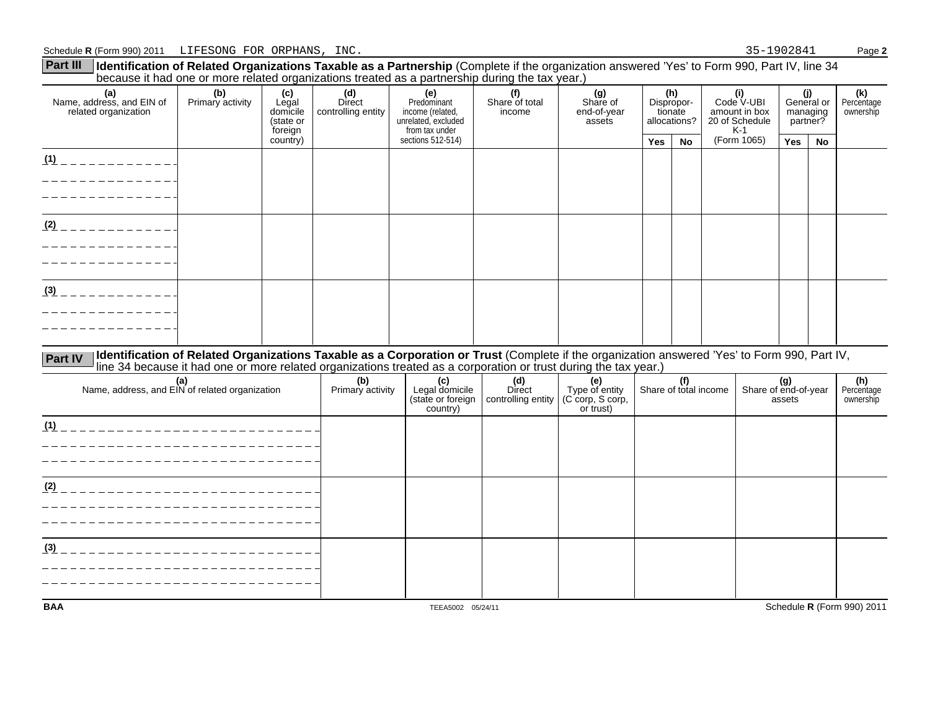| <b>Part III</b><br>Identification of Related Organizations Taxable as a Partnership (Complete if the organization answered 'Yes' to Form 990, Part IV, line 34 | because it had one or more related organizations treated as a partnership during the tax year.)                                                                                                                                                                  |                                                  |                                     |                                                                                 |                                     |                                                        |            |                                              |                                                               |                                       |                                           |           |                                |
|----------------------------------------------------------------------------------------------------------------------------------------------------------------|------------------------------------------------------------------------------------------------------------------------------------------------------------------------------------------------------------------------------------------------------------------|--------------------------------------------------|-------------------------------------|---------------------------------------------------------------------------------|-------------------------------------|--------------------------------------------------------|------------|----------------------------------------------|---------------------------------------------------------------|---------------------------------------|-------------------------------------------|-----------|--------------------------------|
| (a)<br>Name, address, and EIN of<br>related organization                                                                                                       | (b)<br>Primary activity                                                                                                                                                                                                                                          | (c)<br>Legal<br>domicile<br>(state or<br>foreign | (d)<br>Direct<br>controlling entity | (e)<br>Predominant<br>income (related,<br>unrelated, excluded<br>from tax under | (f)<br>Share of total<br>income     | (g)<br>Share of<br>end-of-year<br>assets               |            | (h)<br>Dispropor-<br>tionate<br>allocations? | (i)<br>Code V-UBI<br>amount in box<br>20 of Schedule<br>$K-1$ |                                       | (j)<br>General or<br>managing<br>partner? |           | (k)<br>Percentage<br>ownership |
|                                                                                                                                                                |                                                                                                                                                                                                                                                                  | country)                                         |                                     | sections 512-514)                                                               |                                     |                                                        | <b>Yes</b> | No                                           | (Form 1065)                                                   |                                       | <b>Yes</b>                                | <b>No</b> |                                |
| $(1)$ _ _ _ _ _ _ _ _ _ _ _ _ _ _<br>______________<br>______________                                                                                          |                                                                                                                                                                                                                                                                  |                                                  |                                     |                                                                                 |                                     |                                                        |            |                                              |                                                               |                                       |                                           |           |                                |
| $(2)$ _ _ _ _ _ _ _ _ _ _ _ _ _                                                                                                                                |                                                                                                                                                                                                                                                                  |                                                  |                                     |                                                                                 |                                     |                                                        |            |                                              |                                                               |                                       |                                           |           |                                |
| .<br>$(3)$ _ _ _ _ _ _ _ _ _ _ _ _ _                                                                                                                           |                                                                                                                                                                                                                                                                  |                                                  |                                     |                                                                                 |                                     |                                                        |            |                                              |                                                               |                                       |                                           |           |                                |
|                                                                                                                                                                |                                                                                                                                                                                                                                                                  |                                                  |                                     |                                                                                 |                                     |                                                        |            |                                              |                                                               |                                       |                                           |           |                                |
| <b>Part IV</b>                                                                                                                                                 | Identification of Related Organizations Taxable as a Corporation or Trust (Complete if the organization answered 'Yes' to Form 990, Part IV,<br>line 34 because it had one or more related organizations treated as a corporation or trust during the tax year.) |                                                  |                                     |                                                                                 |                                     |                                                        |            |                                              |                                                               |                                       |                                           |           |                                |
| (a)<br>Name, address, and EIN of related organization                                                                                                          |                                                                                                                                                                                                                                                                  |                                                  | (b)<br>Primary activity             | (c)<br>Legal domicile<br>(state or foreign<br>country)                          | (d)<br>Direct<br>controlling entity | (e)<br>Type of entity<br>(C corp, S corp,<br>or trust) |            | (f)                                          | Share of total income                                         | (g)<br>Share of end-of-year<br>assets |                                           |           | (h)<br>Percentage<br>ownership |
| <u>(1)</u> __________________________________<br>_____________________________                                                                                 |                                                                                                                                                                                                                                                                  |                                                  |                                     |                                                                                 |                                     |                                                        |            |                                              |                                                               |                                       |                                           |           |                                |
| <u>(2) ___________________________</u>                                                                                                                         |                                                                                                                                                                                                                                                                  |                                                  |                                     |                                                                                 |                                     |                                                        |            |                                              |                                                               |                                       |                                           |           |                                |
| _______________________________<br><u>(3) ___________________________</u>                                                                                      |                                                                                                                                                                                                                                                                  |                                                  |                                     |                                                                                 |                                     |                                                        |            |                                              |                                                               |                                       |                                           |           |                                |
|                                                                                                                                                                |                                                                                                                                                                                                                                                                  |                                                  |                                     |                                                                                 |                                     |                                                        |            |                                              |                                                               |                                       |                                           |           |                                |
| <b>BAA</b>                                                                                                                                                     |                                                                                                                                                                                                                                                                  |                                                  |                                     | TEEA5002 05/24/11                                                               |                                     |                                                        |            |                                              |                                                               |                                       |                                           |           | Schedule R (Form 990) 2011     |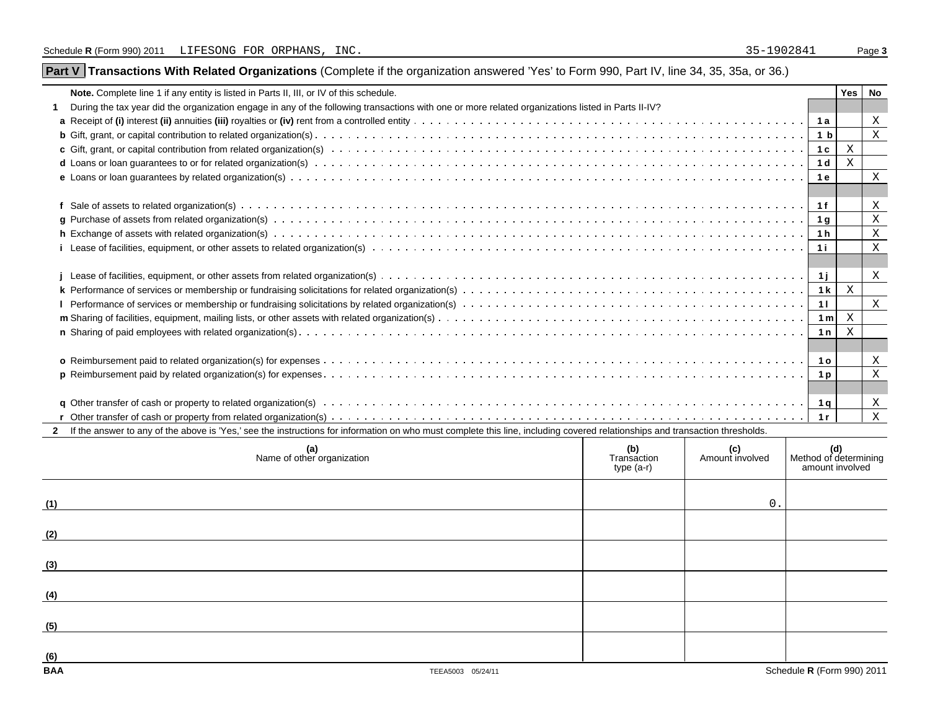## Part V | Transactions With Related Organizations (Complete if the organization answered 'Yes' to Form 990, Part IV, line 34, 35, 35a, or 36.)

| Note. Complete line 1 if any entity is listed in Parts II, III, or IV of this schedule.                                                                                                                                        |              |  |                | Yes I  | No           |  |  |  |  |
|--------------------------------------------------------------------------------------------------------------------------------------------------------------------------------------------------------------------------------|--------------|--|----------------|--------|--------------|--|--|--|--|
| During the tax year did the organization engage in any of the following transactions with one or more related organizations listed in Parts II-IV?                                                                             |              |  |                |        |              |  |  |  |  |
|                                                                                                                                                                                                                                |              |  |                |        | X            |  |  |  |  |
|                                                                                                                                                                                                                                |              |  |                |        | X            |  |  |  |  |
|                                                                                                                                                                                                                                |              |  | 1c             | Χ      |              |  |  |  |  |
|                                                                                                                                                                                                                                |              |  | 1 d            | Х      |              |  |  |  |  |
|                                                                                                                                                                                                                                |              |  | 1 e            |        | X            |  |  |  |  |
|                                                                                                                                                                                                                                |              |  |                |        |              |  |  |  |  |
|                                                                                                                                                                                                                                |              |  |                |        | X            |  |  |  |  |
|                                                                                                                                                                                                                                |              |  | 1g             |        | $\mathbf{X}$ |  |  |  |  |
|                                                                                                                                                                                                                                |              |  | 1h             |        | $\mathbf{X}$ |  |  |  |  |
|                                                                                                                                                                                                                                |              |  | 1 i            |        | X            |  |  |  |  |
|                                                                                                                                                                                                                                |              |  |                |        |              |  |  |  |  |
|                                                                                                                                                                                                                                |              |  | $-1j$          |        | X            |  |  |  |  |
|                                                                                                                                                                                                                                |              |  | 1 <sub>k</sub> | X      |              |  |  |  |  |
|                                                                                                                                                                                                                                |              |  | 11             |        | X            |  |  |  |  |
|                                                                                                                                                                                                                                |              |  | 1 <sub>m</sub> | X      |              |  |  |  |  |
|                                                                                                                                                                                                                                |              |  | 1n             | X      |              |  |  |  |  |
|                                                                                                                                                                                                                                |              |  |                |        |              |  |  |  |  |
|                                                                                                                                                                                                                                |              |  | <b>10</b>      |        | X            |  |  |  |  |
|                                                                                                                                                                                                                                |              |  | 1 <sub>p</sub> |        | X            |  |  |  |  |
|                                                                                                                                                                                                                                |              |  |                |        |              |  |  |  |  |
| q Other transfer of cash or property to related organization(s) we were contact to contact the contact of the contact organization(s) and contact the contact of the contact of the contact organization(s) and contact the co |              |  | 1 q            |        | X            |  |  |  |  |
|                                                                                                                                                                                                                                |              |  |                |        |              |  |  |  |  |
| If the answer to any of the above is 'Yes,' see the instructions for information on who must complete this line, including covered relationships and transaction thresholds.                                                   |              |  |                |        |              |  |  |  |  |
| $\sim$                                                                                                                                                                                                                         | $\mathbf{L}$ |  |                | $\sim$ |              |  |  |  |  |

|                   | (a)<br>Name of other organization | (b)<br>Transaction<br>type (a-r) | (c)<br>Amount involved | (d)<br>Method of determining<br>amount involved |
|-------------------|-----------------------------------|----------------------------------|------------------------|-------------------------------------------------|
| (1)               |                                   |                                  | 0                      |                                                 |
| (2)               |                                   |                                  |                        |                                                 |
| (3)               |                                   |                                  |                        |                                                 |
| (4)               |                                   |                                  |                        |                                                 |
| (5)               |                                   |                                  |                        |                                                 |
| (6)<br><b>BAA</b> | TEEA5003 05/24/11                 |                                  |                        | Schedule R (Form 990) 2011                      |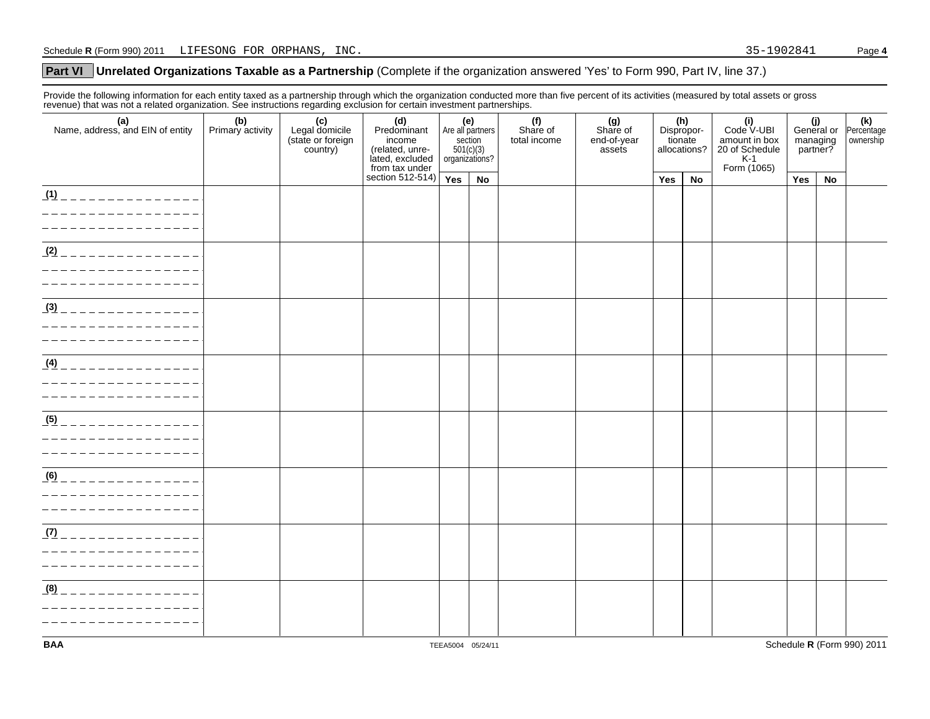## **Unrelated Organizations Taxable as a Partnership** (Complete if the organization answered 'Yes' to Form 990, Part IV, line 37.) **Part VI**

Provide the following information for each entity taxed as a partnership through which the organization conducted more than five percent of its activities (measured by total assets or gross revenue) that was not a related organization. See instructions regarding exclusion for certain investment partnerships.

| . p. . application of a relation of gall<br>(a)<br>Name, address, and EIN of entity | (b)<br>Primary activity | (c)<br>Legal domicile<br>(state or foreign<br>country) | $50.18$ $1.10001$ $1.0001$ $1.0001$<br>(d)<br>Predominant<br>income<br>(related, unre-<br>lated, excluded<br>from tax under | (e)<br>Are all partners<br>section<br>$501(c)(3)$<br>organizations? |    | (f)<br>Share of<br>total income | (g)<br>Share of<br>end-of-year<br>assets |     | (h)<br>Dispropor-<br>tionate<br>allocations? | (i)<br>Code V-UBI<br>amount in box<br>20 of Schedule<br>K-1<br>Form (1065) | (j)<br>General or<br>managing<br>partner? |    | (k)<br>Percentage<br>ownership |
|-------------------------------------------------------------------------------------|-------------------------|--------------------------------------------------------|-----------------------------------------------------------------------------------------------------------------------------|---------------------------------------------------------------------|----|---------------------------------|------------------------------------------|-----|----------------------------------------------|----------------------------------------------------------------------------|-------------------------------------------|----|--------------------------------|
|                                                                                     |                         |                                                        | section 512-514)                                                                                                            | Yes                                                                 | No |                                 |                                          | Yes | No                                           |                                                                            | Yes                                       | No |                                |
| $(1)$ _ _ _ _ _ _ _ _ _ _ _ _ _ _ _ _<br>---------                                  |                         |                                                        |                                                                                                                             |                                                                     |    |                                 |                                          |     |                                              |                                                                            |                                           |    |                                |
| $(2)$ _ _ _ _ _ _ _ _ _ _ _ _ _ _ _<br>---------                                    |                         |                                                        |                                                                                                                             |                                                                     |    |                                 |                                          |     |                                              |                                                                            |                                           |    |                                |
| $\frac{(3)}{2}$ _ _ _ _ _ _ _ _ _ _ _ _ _ _ _ _                                     |                         |                                                        |                                                                                                                             |                                                                     |    |                                 |                                          |     |                                              |                                                                            |                                           |    |                                |
| $(4)$ _ _ _ _ _ _ _ _ _ _ _                                                         |                         |                                                        |                                                                                                                             |                                                                     |    |                                 |                                          |     |                                              |                                                                            |                                           |    |                                |
| (5)                                                                                 |                         |                                                        |                                                                                                                             |                                                                     |    |                                 |                                          |     |                                              |                                                                            |                                           |    |                                |
| (6)                                                                                 |                         |                                                        |                                                                                                                             |                                                                     |    |                                 |                                          |     |                                              |                                                                            |                                           |    |                                |
| $(7)$ _ _ _ _ _ _ _ _ _ _                                                           |                         |                                                        |                                                                                                                             |                                                                     |    |                                 |                                          |     |                                              |                                                                            |                                           |    |                                |
| $(8)$ _ _ _ _ _ _ _ _ _ _ _ _ _ _ _                                                 |                         |                                                        |                                                                                                                             |                                                                     |    |                                 |                                          |     |                                              |                                                                            |                                           |    |                                |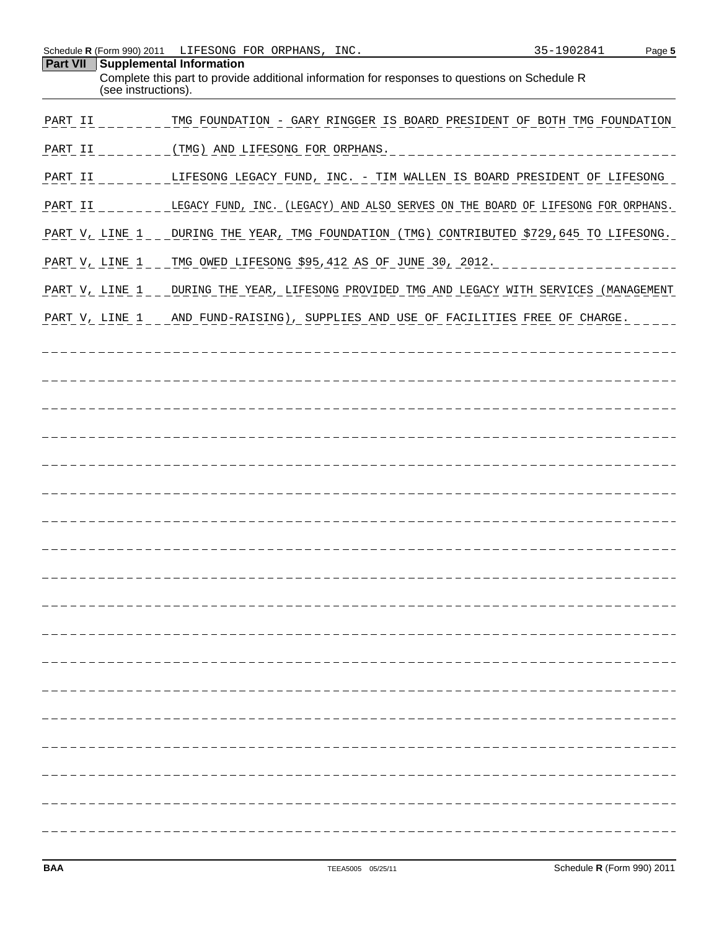| Schedule R (Form 990) 2011 | LIFESONG FOR ORPHANS, INC.                                                                                                                       | 35-1902841 | Page 5 |
|----------------------------|--------------------------------------------------------------------------------------------------------------------------------------------------|------------|--------|
| Part VII                   | Supplemental Information<br>Complete this part to provide additional information for responses to questions on Schedule R<br>(see instructions). |            |        |
| PART II                    | TMG FOUNDATION - GARY RINGGER IS BOARD PRESIDENT OF BOTH TMG FOUNDATION                                                                          |            |        |
| PART II                    | (TMG) AND LIFESONG FOR ORPHANS.                                                                                                                  |            |        |
| PART II                    | LIFESONG LEGACY FUND, INC. - TIM WALLEN IS BOARD PRESIDENT OF LIFESONG                                                                           |            |        |
| PART II                    | LEGACY FUND, INC. (LEGACY) AND ALSO SERVES ON THE BOARD OF LIFESONG FOR ORPHANS.                                                                 |            |        |
| PART V, LINE 1             | DURING THE YEAR, TMG FOUNDATION (TMG) CONTRIBUTED \$729,645 TO LIFESONG.                                                                         |            |        |
| PART V, LINE 1             | TMG OWED LIFESONG \$95,412 AS OF JUNE 30, 2012.                                                                                                  |            |        |
| PART V, LINE 1             | DURING THE YEAR, LIFESONG PROVIDED TMG AND LEGACY WITH SERVICES (MANAGEMENT                                                                      |            |        |
| PART V, LINE 1             | AND FUND-RAISING), SUPPLIES AND USE OF FACILITIES FREE OF CHARGE.                                                                                |            |        |
|                            |                                                                                                                                                  |            |        |
|                            |                                                                                                                                                  |            |        |
|                            |                                                                                                                                                  |            |        |
|                            |                                                                                                                                                  |            |        |
|                            |                                                                                                                                                  |            |        |
|                            |                                                                                                                                                  |            |        |
|                            |                                                                                                                                                  |            |        |
|                            |                                                                                                                                                  |            |        |
|                            |                                                                                                                                                  |            |        |
|                            |                                                                                                                                                  |            |        |
|                            |                                                                                                                                                  |            |        |
|                            |                                                                                                                                                  |            |        |
|                            |                                                                                                                                                  |            |        |
|                            |                                                                                                                                                  |            |        |
|                            |                                                                                                                                                  |            |        |
|                            |                                                                                                                                                  |            |        |
|                            |                                                                                                                                                  |            |        |
|                            |                                                                                                                                                  |            |        |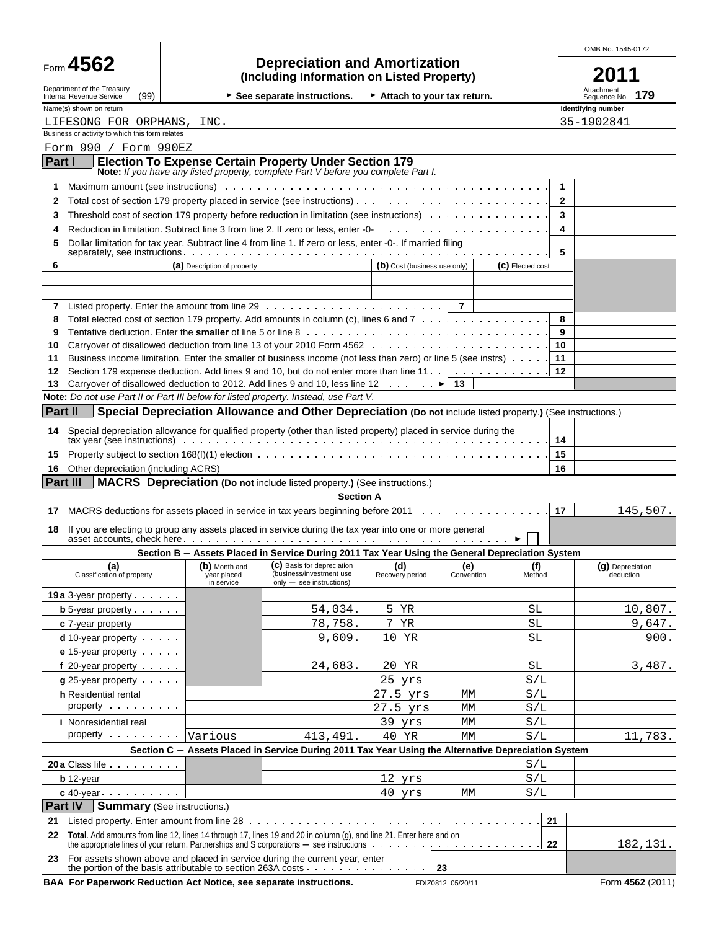|                                                                                                                    |                                    |                                                                                                                                                                                                                                |                              |                   |               | OMB No. 1545-0172                 |
|--------------------------------------------------------------------------------------------------------------------|------------------------------------|--------------------------------------------------------------------------------------------------------------------------------------------------------------------------------------------------------------------------------|------------------------------|-------------------|---------------|-----------------------------------|
| Form 4562                                                                                                          |                                    | <b>Depreciation and Amortization</b><br>(Including Information on Listed Property)                                                                                                                                             |                              |                   |               | 2011                              |
| Department of the Treasury<br>Internal Revenue Service<br>(99)                                                     |                                    | $\triangleright$ See separate instructions.                                                                                                                                                                                    | Attach to your tax return.   |                   |               | Attachment<br>179<br>Sequence No. |
| Name(s) shown on return                                                                                            |                                    |                                                                                                                                                                                                                                |                              |                   |               | Identifying number                |
| LIFESONG FOR ORPHANS, INC.<br>Business or activity to which this form relates                                      |                                    |                                                                                                                                                                                                                                |                              |                   |               | 35-1902841                        |
| Form 990 / Form 990EZ                                                                                              |                                    |                                                                                                                                                                                                                                |                              |                   |               |                                   |
| Part I                                                                                                             |                                    | <b>Election To Expense Certain Property Under Section 179</b>                                                                                                                                                                  |                              |                   |               |                                   |
|                                                                                                                    |                                    | Note: If you have any listed property, complete Part V before you complete Part I.                                                                                                                                             |                              |                   |               |                                   |
| 1                                                                                                                  |                                    | Maximum amount (see instructions) with the content of the content of the content of the content of the content of the content of the content of the content of the content of the content of the content of the content of the |                              |                   |               | $\mathbf{1}$<br>$\overline{2}$    |
| 2<br>3                                                                                                             |                                    | Threshold cost of section 179 property before reduction in limitation (see instructions)                                                                                                                                       |                              |                   |               | 3                                 |
| 4                                                                                                                  |                                    |                                                                                                                                                                                                                                |                              |                   |               | 4                                 |
| Dollar limitation for tax year. Subtract line 4 from line 1. If zero or less, enter -0-. If married filing<br>5    |                                    |                                                                                                                                                                                                                                |                              |                   |               |                                   |
| 6                                                                                                                  | (C) Elected cost                   | 5                                                                                                                                                                                                                              |                              |                   |               |                                   |
|                                                                                                                    | (a) Description of property        |                                                                                                                                                                                                                                | (b) Cost (business use only) |                   |               |                                   |
|                                                                                                                    |                                    |                                                                                                                                                                                                                                |                              |                   |               |                                   |
| 7                                                                                                                  |                                    |                                                                                                                                                                                                                                |                              |                   |               |                                   |
| 8<br>9                                                                                                             |                                    | Total elected cost of section 179 property. Add amounts in column (c), lines 6 and 7                                                                                                                                           |                              |                   |               | 8<br>9                            |
| 10                                                                                                                 |                                    |                                                                                                                                                                                                                                |                              |                   | 10            |                                   |
| 11                                                                                                                 |                                    | Business income limitation. Enter the smaller of business income (not less than zero) or line 5 (see instrs)                                                                                                                   |                              |                   | 11            |                                   |
| 12                                                                                                                 |                                    | Section 179 expense deduction. Add lines 9 and 10, but do not enter more than line 11.                                                                                                                                         |                              |                   | 12            |                                   |
| 13<br>Note: Do not use Part II or Part III below for listed property. Instead, use Part V.                         |                                    | Carryover of disallowed deduction to 2012. Add lines 9 and 10, less line 12. $\dots \dots$                                                                                                                                     |                              | 13                |               |                                   |
| Part II                                                                                                            |                                    | Special Depreciation Allowance and Other Depreciation (Do not include listed property.) (See instructions.)                                                                                                                    |                              |                   |               |                                   |
| 14 Special depreciation allowance for qualified property (other than listed property) placed in service during the |                                    |                                                                                                                                                                                                                                |                              |                   |               |                                   |
|                                                                                                                    |                                    | tax year (see instructions) with the content of the content of the content of the content of the content of the content of the content of the content of the content of the content of the content of the content of the conte |                              |                   | 14            |                                   |
| 15                                                                                                                 |                                    |                                                                                                                                                                                                                                |                              |                   | 15            |                                   |
| 16<br>Part III                                                                                                     |                                    | <b>MACRS</b> Depreciation (Do not include listed property.) (See instructions.)                                                                                                                                                |                              |                   | 16            |                                   |
|                                                                                                                    |                                    | <b>Section A</b>                                                                                                                                                                                                               |                              |                   |               |                                   |
| 17                                                                                                                 |                                    | MACRS deductions for assets placed in service in tax years beginning before 2011.                                                                                                                                              |                              |                   | 17            | 145,507.                          |
| 18.                                                                                                                |                                    | If you are electing to group any assets placed in service during the tax year into one or more general                                                                                                                         |                              |                   |               |                                   |
|                                                                                                                    |                                    | Section B - Assets Placed in Service During 2011 Tax Year Using the General Depreciation System                                                                                                                                |                              |                   |               |                                   |
| (a)<br>Classification of property                                                                                  | year placed<br>in service          | (b) Month and (c) Basis for depreciation<br>(business/investment use<br>$only - see$ instructions)                                                                                                                             | (d)<br>Recovery period       | (e)<br>Convention | (f)<br>Method | (g) Depreciation<br>deduction     |
| 19a 3-year property                                                                                                |                                    |                                                                                                                                                                                                                                |                              |                   |               |                                   |
| <b>b</b> 5-year property $\cdots$                                                                                  |                                    | 54,034.                                                                                                                                                                                                                        | 5 YR<br>7<br>ΥR              |                   | SL            | 10,807.<br>9,647.                 |
| $c$ 7-year property $\cdots$<br>$d$ 10-year property $\cdots$                                                      |                                    | 78,758.<br>9,609.                                                                                                                                                                                                              | 10 YR                        |                   | SL<br>SL      | 900.                              |
| e 15-year property                                                                                                 |                                    |                                                                                                                                                                                                                                |                              |                   |               |                                   |
| f 20-year property $\cdots$                                                                                        |                                    | 24,683.                                                                                                                                                                                                                        | 20 YR                        |                   | SL            | 3,487.                            |
| $g$ 25-year property $\cdots$                                                                                      |                                    |                                                                                                                                                                                                                                | 25 yrs                       |                   | S/L           |                                   |
| h Residential rental                                                                                               |                                    |                                                                                                                                                                                                                                | 27.5 yrs<br>27.5 yrs         | MM<br>MM          | S/L           |                                   |
| property<br><i>i</i> Nonresidential real                                                                           | S/L<br>S/L                         |                                                                                                                                                                                                                                |                              |                   |               |                                   |
| property                                                                                                           | Various                            | 413,491.                                                                                                                                                                                                                       | 39 yrs<br>40 YR              | МM<br>MM          | S/L           | 11,783.                           |
|                                                                                                                    |                                    | Section C - Assets Placed in Service During 2011 Tax Year Using the Alternative Depreciation System                                                                                                                            |                              |                   |               |                                   |
| 20 a Class life                                                                                                    |                                    |                                                                                                                                                                                                                                |                              |                   | S/L           |                                   |
| $\mathbf{b}$ 12-year $\cdots$                                                                                      |                                    |                                                                                                                                                                                                                                | 12 yrs                       |                   | S/L           |                                   |
| $c$ 40-year $\cdots$                                                                                               |                                    |                                                                                                                                                                                                                                | 40 yrs                       | MM                | S/L           |                                   |
| Part IV                                                                                                            | <b>Summary</b> (See instructions.) |                                                                                                                                                                                                                                |                              |                   | 21            |                                   |
| 21<br>22                                                                                                           |                                    | Total. Add amounts from line 12, lines 14 through 17, lines 19 and 20 in column (g), and line 21. Enter here and on                                                                                                            |                              |                   |               |                                   |
|                                                                                                                    |                                    |                                                                                                                                                                                                                                |                              |                   | 22            | 182,131.                          |
| 23                                                                                                                 |                                    | For assets shown above and placed in service during the current year, enter                                                                                                                                                    |                              |                   |               |                                   |

**BAA For Paperwork Reduction Act Notice, see separate instructions.** FDIZ0812 05/20/11 Form 4562 (2011)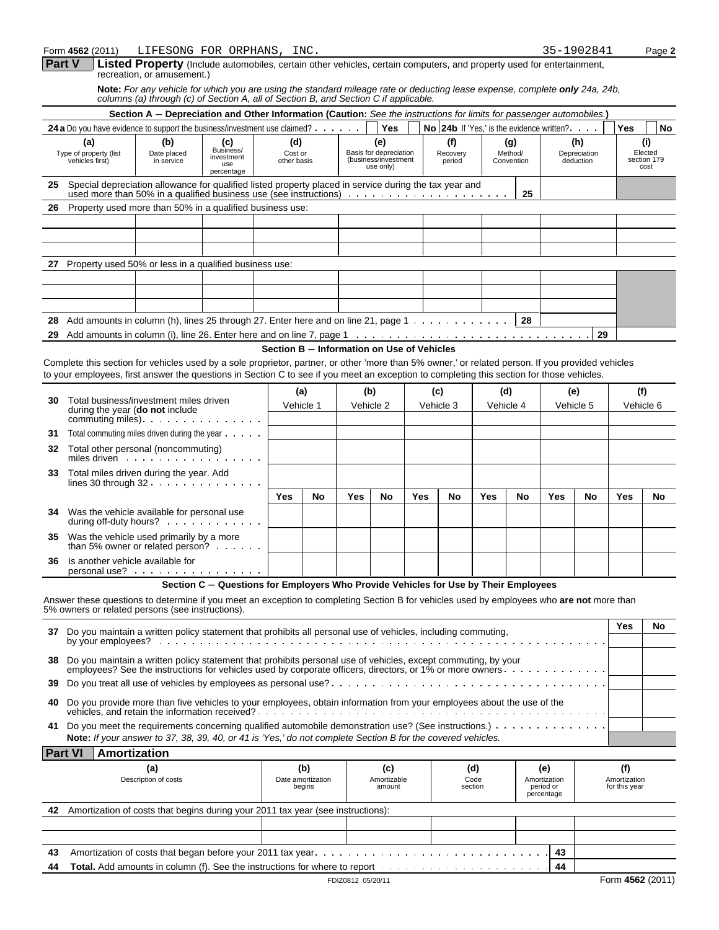#### Form **4562** (2011) Page **2** LIFESONG FOR ORPHANS, INC. 35-1902841

|  | -1902841 | Pag |
|--|----------|-----|
|  |          |     |

| Part V   Listed Property (Include automobiles, certain other vehicles, certain computers, and property used for entertainment |
|-------------------------------------------------------------------------------------------------------------------------------|
| recreation, or amusement.)                                                                                                    |

**Note:** *For any vehicle for which you are using the standard mileage rate or deducting lease expense, complete only 24a, 24b, columns (a) through (c) of Section A, all of Section B, and Section C if applicable.*

|                                                                                                 |                                                                                                                                                                                                                                                                                                | Section A - Depreciation and Other Information (Caution: See the instructions for limits for passenger automobiles.) |                                                                                     |                                            |                       |                   |                                                       |                 |           |                           |                                         |                              |                                           |                                  |                  |                               |
|-------------------------------------------------------------------------------------------------|------------------------------------------------------------------------------------------------------------------------------------------------------------------------------------------------------------------------------------------------------------------------------------------------|----------------------------------------------------------------------------------------------------------------------|-------------------------------------------------------------------------------------|--------------------------------------------|-----------------------|-------------------|-------------------------------------------------------|-----------------|-----------|---------------------------|-----------------------------------------|------------------------------|-------------------------------------------|----------------------------------|------------------|-------------------------------|
|                                                                                                 | 24 a Do you have evidence to support the business/investment use claimed? $\cdots$                                                                                                                                                                                                             |                                                                                                                      |                                                                                     |                                            |                       |                   | Yes                                                   |                 |           |                           |                                         |                              | No 24b If 'Yes.' is the evidence written? |                                  | Yes              | <b>No</b>                     |
|                                                                                                 | (a)<br>Type of property (list<br>vehicles first)                                                                                                                                                                                                                                               | (b)<br>Date placed<br>in service                                                                                     | (c)<br>Business/<br>investment<br>use                                               | (d)<br>Cost or<br>other basis              |                       |                   | (e)<br>Basis for depreciation<br>(business/investment |                 |           | (f)<br>Recovery<br>period |                                         | (g)<br>Method/<br>Convention |                                           | (h)<br>Depreciation<br>deduction |                  | (i)<br>Elected<br>section 179 |
|                                                                                                 |                                                                                                                                                                                                                                                                                                |                                                                                                                      | percentage                                                                          |                                            |                       |                   | use only)                                             |                 |           |                           |                                         |                              |                                           |                                  |                  | cost                          |
| 25                                                                                              | Special depreciation allowance for qualified listed property placed in service during the tax year and                                                                                                                                                                                         |                                                                                                                      |                                                                                     |                                            |                       |                   |                                                       |                 |           |                           |                                         | 25                           |                                           |                                  |                  |                               |
| 26                                                                                              | Property used more than 50% in a qualified business use:                                                                                                                                                                                                                                       |                                                                                                                      |                                                                                     |                                            |                       |                   |                                                       |                 |           |                           |                                         |                              |                                           |                                  |                  |                               |
|                                                                                                 |                                                                                                                                                                                                                                                                                                |                                                                                                                      |                                                                                     |                                            |                       |                   |                                                       |                 |           |                           |                                         |                              |                                           |                                  |                  |                               |
|                                                                                                 |                                                                                                                                                                                                                                                                                                |                                                                                                                      |                                                                                     |                                            |                       |                   |                                                       |                 |           |                           |                                         |                              |                                           |                                  |                  |                               |
| 27                                                                                              | Property used 50% or less in a qualified business use:                                                                                                                                                                                                                                         |                                                                                                                      |                                                                                     |                                            |                       |                   |                                                       |                 |           |                           |                                         |                              |                                           |                                  |                  |                               |
|                                                                                                 |                                                                                                                                                                                                                                                                                                |                                                                                                                      |                                                                                     |                                            |                       |                   |                                                       |                 |           |                           |                                         |                              |                                           |                                  |                  |                               |
|                                                                                                 |                                                                                                                                                                                                                                                                                                |                                                                                                                      |                                                                                     |                                            |                       |                   |                                                       |                 |           |                           |                                         |                              |                                           |                                  |                  |                               |
|                                                                                                 |                                                                                                                                                                                                                                                                                                |                                                                                                                      |                                                                                     |                                            |                       |                   |                                                       |                 |           |                           |                                         |                              |                                           |                                  |                  |                               |
| 28                                                                                              | Add amounts in column (h), lines 25 through 27. Enter here and on line 21, page 1                                                                                                                                                                                                              |                                                                                                                      |                                                                                     |                                            |                       |                   |                                                       |                 |           |                           |                                         | 28                           |                                           |                                  |                  |                               |
| 29                                                                                              |                                                                                                                                                                                                                                                                                                |                                                                                                                      |                                                                                     |                                            |                       |                   |                                                       |                 |           |                           |                                         |                              |                                           | 29                               |                  |                               |
|                                                                                                 |                                                                                                                                                                                                                                                                                                |                                                                                                                      |                                                                                     | Section B - Information on Use of Vehicles |                       |                   |                                                       |                 |           |                           |                                         |                              |                                           |                                  |                  |                               |
|                                                                                                 | Complete this section for vehicles used by a sole proprietor, partner, or other 'more than 5% owner,' or related person. If you provided vehicles<br>to your employees, first answer the questions in Section C to see if you meet an exception to completing this section for those vehicles. |                                                                                                                      |                                                                                     |                                            |                       |                   |                                                       |                 |           |                           |                                         |                              |                                           |                                  |                  |                               |
| 30                                                                                              | Total business/investment miles driven                                                                                                                                                                                                                                                         |                                                                                                                      |                                                                                     |                                            | (a)                   | (b)               |                                                       |                 | (c)       |                           | (d)                                     |                              |                                           | (e)                              |                  | (f)                           |
|                                                                                                 | during the year (do not include                                                                                                                                                                                                                                                                |                                                                                                                      |                                                                                     |                                            | Vehicle 1             | Vehicle 2         |                                                       |                 | Vehicle 3 |                           | Vehicle 4                               |                              |                                           | Vehicle 5                        |                  | Vehicle 6                     |
| 31                                                                                              | commuting miles). $\cdots$ . $\cdots$ . $\cdots$ . $\cdots$<br>Total commuting miles driven during the year                                                                                                                                                                                    |                                                                                                                      |                                                                                     |                                            |                       |                   |                                                       |                 |           |                           |                                         |                              |                                           |                                  |                  |                               |
| 32                                                                                              | Total other personal (noncommuting)                                                                                                                                                                                                                                                            |                                                                                                                      |                                                                                     |                                            |                       |                   |                                                       |                 |           |                           |                                         |                              |                                           |                                  |                  |                               |
| miles driven<br>Total miles driven during the year. Add<br>33<br>lines 30 through $32 \ldots$ , |                                                                                                                                                                                                                                                                                                |                                                                                                                      |                                                                                     |                                            |                       |                   |                                                       |                 |           |                           |                                         |                              |                                           |                                  |                  |                               |
|                                                                                                 |                                                                                                                                                                                                                                                                                                |                                                                                                                      |                                                                                     | Yes                                        | No                    | <b>Yes</b>        | No                                                    |                 | Yes       | No                        | Yes                                     | No                           | Yes                                       | No                               | Yes              | No                            |
| 34                                                                                              | Was the vehicle available for personal use<br>during off-duty hours?                                                                                                                                                                                                                           |                                                                                                                      |                                                                                     |                                            |                       |                   |                                                       |                 |           |                           |                                         |                              |                                           |                                  |                  |                               |
| 35                                                                                              | Was the vehicle used primarily by a more<br>than 5% owner or related person? $\cdots$                                                                                                                                                                                                          |                                                                                                                      |                                                                                     |                                            |                       |                   |                                                       |                 |           |                           |                                         |                              |                                           |                                  |                  |                               |
| 36                                                                                              | Is another vehicle available for<br>personal use?                                                                                                                                                                                                                                              |                                                                                                                      |                                                                                     |                                            |                       |                   |                                                       |                 |           |                           |                                         |                              |                                           |                                  |                  |                               |
|                                                                                                 |                                                                                                                                                                                                                                                                                                |                                                                                                                      | Section C - Questions for Employers Who Provide Vehicles for Use by Their Employees |                                            |                       |                   |                                                       |                 |           |                           |                                         |                              |                                           |                                  |                  |                               |
|                                                                                                 | Answer these questions to determine if you meet an exception to completing Section B for vehicles used by employees who are not more than<br>5% owners or related persons (see instructions).                                                                                                  |                                                                                                                      |                                                                                     |                                            |                       |                   |                                                       |                 |           |                           |                                         |                              |                                           |                                  |                  |                               |
|                                                                                                 | 37 Do you maintain a written policy statement that prohibits all personal use of vehicles, including commuting,<br>by your employees?                                                                                                                                                          |                                                                                                                      |                                                                                     |                                            |                       |                   |                                                       |                 |           |                           |                                         |                              |                                           |                                  | Yes              | No                            |
| 38                                                                                              | Do you maintain a written policy statement that prohibits personal use of vehicles, except commuting, by your<br>employees? See the instructions for vehicles used by corporate officers, directors, or 1% or more owners.                                                                     |                                                                                                                      |                                                                                     |                                            |                       |                   |                                                       |                 |           |                           |                                         |                              |                                           |                                  |                  |                               |
| 39                                                                                              | Do you treat all use of vehicles by employees as personal use?                                                                                                                                                                                                                                 |                                                                                                                      |                                                                                     |                                            |                       |                   |                                                       |                 |           |                           |                                         |                              |                                           |                                  |                  |                               |
| 40                                                                                              | Do you provide more than five vehicles to your employees, obtain information from your employees about the use of the                                                                                                                                                                          |                                                                                                                      |                                                                                     |                                            |                       |                   |                                                       |                 |           |                           |                                         |                              |                                           |                                  |                  |                               |
| 41                                                                                              | Note: If your answer to 37, 38, 39, 40, or 41 is 'Yes,' do not complete Section B for the covered vehicles.                                                                                                                                                                                    |                                                                                                                      |                                                                                     |                                            |                       |                   |                                                       |                 |           |                           |                                         |                              |                                           |                                  |                  |                               |
| <b>Part VI</b>                                                                                  | Amortization                                                                                                                                                                                                                                                                                   |                                                                                                                      |                                                                                     |                                            |                       |                   |                                                       |                 |           |                           |                                         |                              |                                           |                                  |                  |                               |
|                                                                                                 |                                                                                                                                                                                                                                                                                                | (a)                                                                                                                  |                                                                                     |                                            | (b)                   |                   | (c)                                                   |                 |           | (d)                       |                                         |                              | (e)                                       |                                  | (f)              |                               |
|                                                                                                 | Description of costs                                                                                                                                                                                                                                                                           |                                                                                                                      | Date amortization<br>begins                                                         |                                            | Amortizable<br>amount |                   |                                                       | Code<br>section |           |                           | Amortization<br>period or<br>percentage |                              | Amortization<br>for this year             |                                  |                  |                               |
| 42                                                                                              | Amortization of costs that begins during your 2011 tax year (see instructions):                                                                                                                                                                                                                |                                                                                                                      |                                                                                     |                                            |                       |                   |                                                       |                 |           |                           |                                         |                              |                                           |                                  |                  |                               |
|                                                                                                 |                                                                                                                                                                                                                                                                                                |                                                                                                                      |                                                                                     |                                            |                       |                   |                                                       |                 |           |                           |                                         |                              |                                           |                                  |                  |                               |
|                                                                                                 |                                                                                                                                                                                                                                                                                                |                                                                                                                      |                                                                                     |                                            |                       |                   |                                                       |                 |           |                           |                                         |                              |                                           |                                  |                  |                               |
| 43                                                                                              |                                                                                                                                                                                                                                                                                                |                                                                                                                      |                                                                                     |                                            |                       |                   |                                                       |                 |           |                           |                                         |                              | 43                                        |                                  |                  |                               |
| 44                                                                                              |                                                                                                                                                                                                                                                                                                |                                                                                                                      |                                                                                     |                                            |                       |                   |                                                       |                 |           |                           |                                         |                              | 44                                        |                                  |                  |                               |
|                                                                                                 |                                                                                                                                                                                                                                                                                                |                                                                                                                      |                                                                                     |                                            |                       | FDIZ0812 05/20/11 |                                                       |                 |           |                           |                                         |                              |                                           |                                  | Form 4562 (2011) |                               |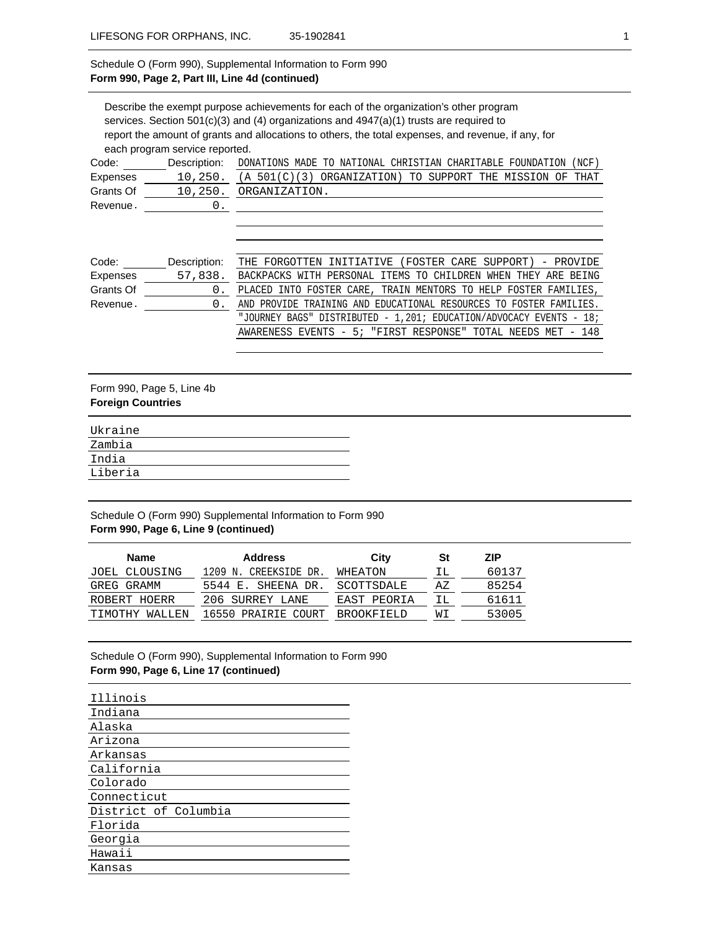## Schedule O (Form 990), Supplemental Information to Form 990 **Form 990, Page 2, Part III, Line 4d (continued)**

| Describe the exempt purpose achievements for each of the organization's other program<br>services. Section 501(c)(3) and (4) organizations and 4947(a)(1) trusts are required to<br>report the amount of grants and allocations to others, the total expenses, and revenue, if any, for |              |                                                                     |  |  |  |  |
|-----------------------------------------------------------------------------------------------------------------------------------------------------------------------------------------------------------------------------------------------------------------------------------------|--------------|---------------------------------------------------------------------|--|--|--|--|
| each program service reported.                                                                                                                                                                                                                                                          |              |                                                                     |  |  |  |  |
| Code:                                                                                                                                                                                                                                                                                   | Description: | (NCF)<br>DONATIONS MADE TO NATIONAL CHRISTIAN CHARITABLE FOUNDATION |  |  |  |  |
| Expenses                                                                                                                                                                                                                                                                                | 10, 250.     | ORGANIZATION) TO SUPPORT THE MISSION OF<br>(A 501(C)(3)<br>THAT     |  |  |  |  |
| Grants Of                                                                                                                                                                                                                                                                               | 10, 250.     | ORGANIZATION.                                                       |  |  |  |  |
| Revenue.                                                                                                                                                                                                                                                                                |              |                                                                     |  |  |  |  |
|                                                                                                                                                                                                                                                                                         |              |                                                                     |  |  |  |  |

| Code:     | Description:   | THE FORGOTTEN INITIATIVE (FOSTER CARE SUPPORT) - PROVIDE            |
|-----------|----------------|---------------------------------------------------------------------|
| Expenses  | 57,838.        | BACKPACKS WITH PERSONAL ITEMS TO CHILDREN WHEN THEY ARE BEING       |
| Grants Of | 0 <sub>1</sub> | PLACED INTO FOSTER CARE, TRAIN MENTORS TO HELP FOSTER FAMILIES,     |
| Revenue.  | $\Omega$ .     | AND PROVIDE TRAINING AND EDUCATIONAL RESOURCES TO FOSTER FAMILIES.  |
|           |                | "JOURNEY BAGS" DISTRIBUTED - 1,201; EDUCATION/ADVOCACY EVENTS - 18; |
|           |                | AWARENESS EVENTS - 5; "FIRST RESPONSE" TOTAL NEEDS MET - 148        |

## Form 990, Page 5, Line 4b **Foreign Countries**

| Ukraine |
|---------|
| Zambia  |
| India   |
| Liberia |
|         |

Schedule O (Form 990) Supplemental Information to Form 990 **Form 990, Page 6, Line 9 (continued)**

| Name           | <b>Address</b>        | City        | St | ZIP   |
|----------------|-----------------------|-------------|----|-------|
| JOEL CLOUSING  | 1209 N. CREEKSIDE DR. | WHEATON     | ΙL | 60137 |
| GREG GRAMM     | 5544 E. SHEENA DR.    | SCOTTSDALE  | ΑZ | 85254 |
| ROBERT HOERR   | 206 SURREY LANE       | EAST PEORIA | ΙL | 61611 |
| TIMOTHY WALLEN | 16550 PRAIRIE COURT   | BROOKFIELD  | WΙ | 53005 |

## Schedule O (Form 990), Supplemental Information to Form 990 **Form 990, Page 6, Line 17 (continued)**

| Illinois             |  |  |  |
|----------------------|--|--|--|
| Indiana              |  |  |  |
| Alaska               |  |  |  |
| Arizona              |  |  |  |
| Arkansas             |  |  |  |
| California           |  |  |  |
| Colorado             |  |  |  |
| Connecticut          |  |  |  |
| District of Columbia |  |  |  |
| Florida              |  |  |  |
| Georgia              |  |  |  |
| Hawaii               |  |  |  |
| Kansas               |  |  |  |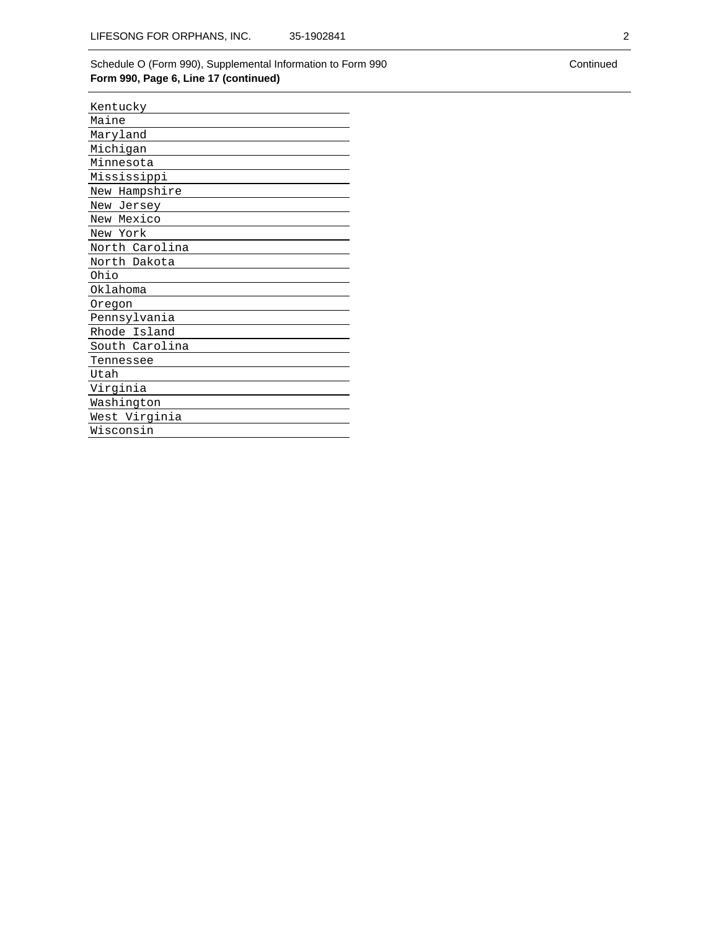## Schedule O (Form 990), Supplemental Information to Form 990 **Form 990, Page 6, Line 17 (continued)**

| Kentucky       |
|----------------|
| Maine          |
| Maryland       |
| Michigan       |
| Minnesota      |
| Mississippi    |
| New Hampshire  |
| New Jersey     |
| New Mexico     |
| New York       |
| North Carolina |
| North Dakota   |
| Ohio           |
| Oklahoma       |
| Oregon         |
| Pennsylvania   |
| Rhode Island   |
| South Carolina |
| Tennessee      |
| Utah           |
| Virginia       |
| Washington     |
| West Virginia  |
| Wisconsin      |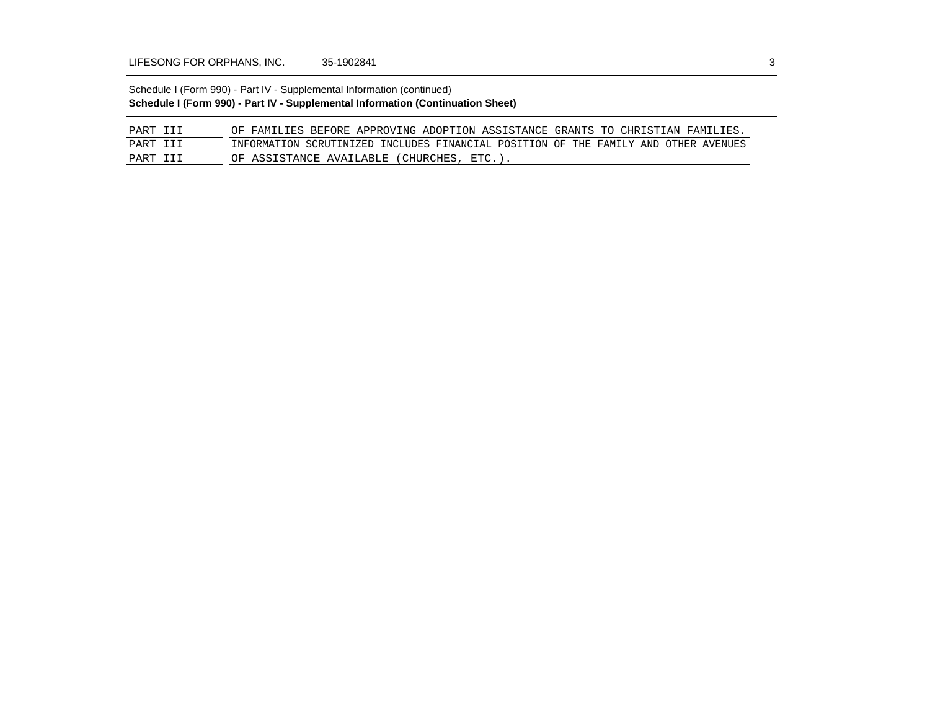## Schedule I (Form 990) - Part IV - Supplemental Information (continued) **Schedule I (Form 990) - Part IV - Supplemental Information (Continuation Sheet)**

| PART III | OF FAMILIES BEFORE APPROVING ADOPTION ASSISTANCE GRANTS TO CHRISTIAN FAMILIES.      |
|----------|-------------------------------------------------------------------------------------|
| PART III | INFORMATION SCRUTINIZED INCLUDES FINANCIAL POSITION OF THE FAMILY AND OTHER AVENUES |
| PART III | OF ASSISTANCE AVAILABLE (CHURCHES, ETC.).                                           |